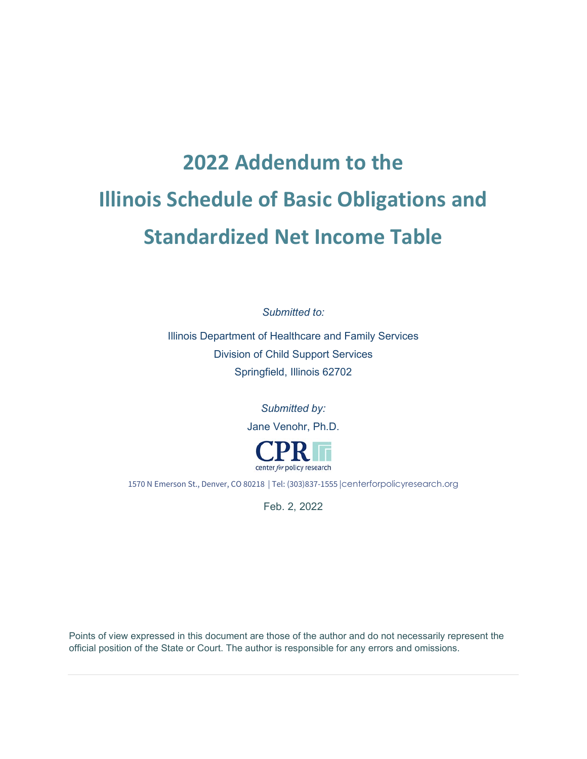# **2022 Addendum to the Illinois Schedule of Basic Obligations and Standardized Net Income Table**

*Submitted to:*

Illinois Department of Healthcare and Family Services Division of Child Support Services Springfield, Illinois 62702

> *Submitted by:* Jane Venohr, Ph.D.



1570 N Emerson St., Denver, CO 80218 | Tel: (303)837-1555 |[centerforpolicyresearch.org](http://www.centerforpolicyresearch.org/)

Feb. 2, 2022

Points of view expressed in this document are those of the author and do not necessarily represent the official position of the State or Court. The author is responsible for any errors and omissions.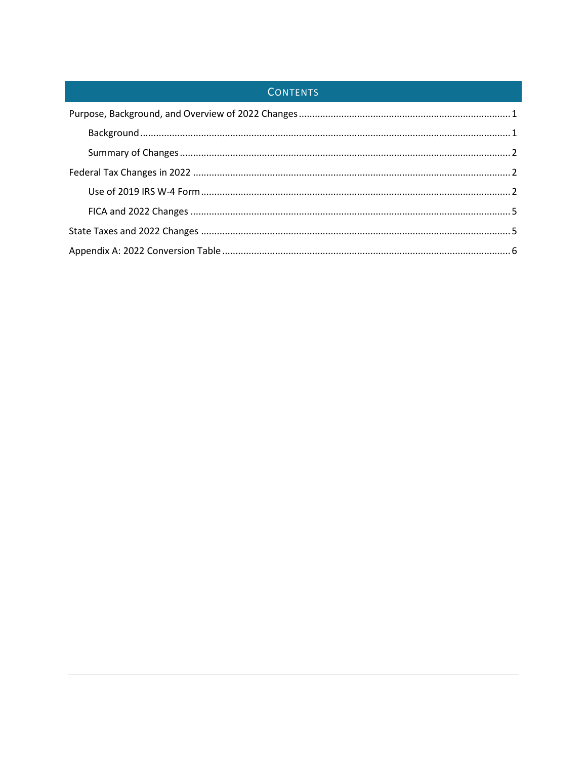# CONTENTS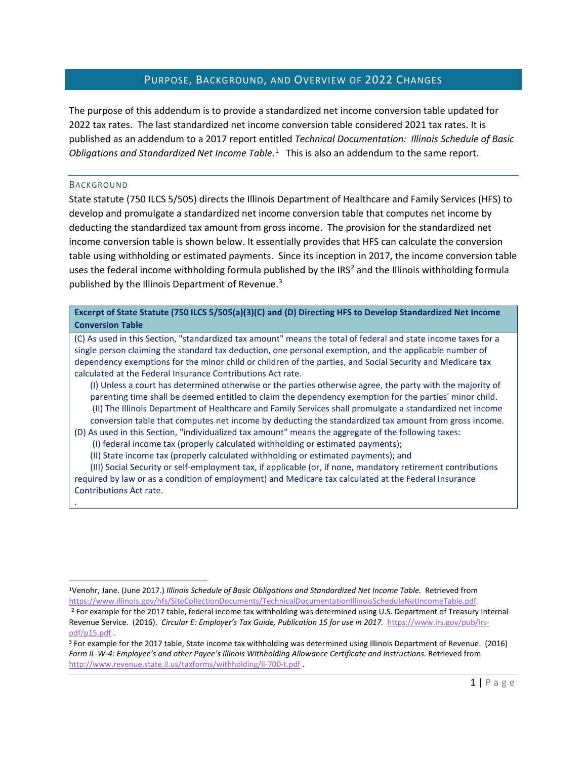# PURPOSE, BACKGROUND, AND OVERVIEW OF 2022 CHANGES

<span id="page-2-0"></span>The purpose of this addendum is to provide a standardized net income conversion table updated for 2022 tax rates. The last standardized net income conversion table considered 2021 tax rates. It is published as an addendum to a 2017 report entitled *Technical Documentation: Illinois Schedule of Basic Obligations and Standardized Net Income Table*. [1](#page-2-2) This is also an addendum to the same report.

#### <span id="page-2-1"></span>BACKGROUND

.

State statute (750 ILCS 5/505) directs the Illinois Department of Healthcare and Family Services (HFS) to develop and promulgate a standardized net income conversion table that computes net income by deducting the standardized tax amount from gross income. The provision for the standardized net income conversion table is shown below. It essentially provides that HFS can calculate the conversion table using withholding or estimated payments. Since its inception in 2017, the income conversion table uses the federal income withholding formula published by the IRS<sup>[2](#page-2-3)</sup> and the Illinois withholding formula published by the Illinois Department of Revenue.<sup>[3](#page-2-4)</sup>

**Excerpt of State Statute (750 ILCS 5/505(a)(3)(C) and (D) Directing HFS to Develop Standardized Net Income Conversion Table** 

(C) As used in this Section, "standardized tax amount" means the total of federal and state income taxes for a single person claiming the standard tax deduction, one personal exemption, and the applicable number of dependency exemptions for the minor child or children of the parties, and Social Security and Medicare tax calculated at the Federal Insurance Contributions Act rate.

(I) Unless a court has determined otherwise or the parties otherwise agree, the party with the majority of parenting time shall be deemed entitled to claim the dependency exemption for the parties' minor child. (II) The Illinois Department of Healthcare and Family Services shall promulgate a standardized net income conversion table that computes net income by deducting the standardized tax amount from gross income.

(D) As used in this Section, "individualized tax amount" means the aggregate of the following taxes:

- (I) federal income tax (properly calculated withholding or estimated payments);
- (II) State income tax (properly calculated withholding or estimated payments); and

(III) Social Security or self-employment tax, if applicable (or, if none, mandatory retirement contributions required by law or as a condition of employment) and Medicare tax calculated at the Federal Insurance Contributions Act rate.

<span id="page-2-2"></span><sup>1</sup>Venohr, Jane. (June 2017.) *Illinois Schedule of Basic Obligations and Standardized Net Income Table.* Retrieved from [https://www.illinois.gov/hfs/SiteCollectionDocuments/TechnicalDocumentationIllinoisScheduleNetIncomeTable.pdf.](https://www.illinois.gov/hfs/SiteCollectionDocuments/TechnicalDocumentationIllinoisScheduleNetIncomeTable.pdf)

<span id="page-2-3"></span><sup>&</sup>lt;sup>2</sup> For example for the 2017 table, federal income tax withholding was determined using U.S. Department of Treasury Internal Revenue Service. (2016). *Circular E: Employer's Tax Guide, Publication 15 for use in 2017.* [https://www.irs.gov/pub/irs](https://www.irs.gov/pub/irs-pdf/p15.pdf)[pdf/p15.pdf](https://www.irs.gov/pub/irs-pdf/p15.pdf) .

<span id="page-2-4"></span><sup>3</sup> For example for the 2017 table, State income tax withholding was determined using Illinois Department of Revenue. (2016) *Form IL-W-4: Employee's and other Payee's Illinois Withholding Allowance Certificate and Instructions*. Retrieved from <http://www.revenue.state.il.us/taxforms/withholding/il-700-t.pdf>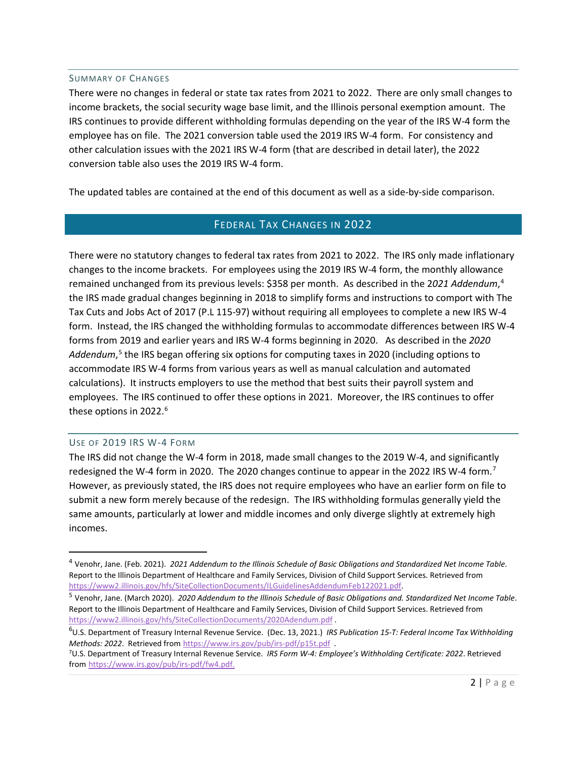#### <span id="page-3-0"></span>SUMMARY OF CHANGES

There were no changes in federal or state tax rates from 2021 to 2022. There are only small changes to income brackets, the social security wage base limit, and the Illinois personal exemption amount. The IRS continues to provide different withholding formulas depending on the year of the IRS W-4 form the employee has on file. The 2021 conversion table used the 2019 IRS W-4 form. For consistency and other calculation issues with the 2021 IRS W-4 form (that are described in detail later), the 2022 conversion table also uses the 2019 IRS W-4 form.

<span id="page-3-1"></span>The updated tables are contained at the end of this document as well as a side-by-side comparison.

# FEDERAL TAX CHANGES IN 2022

There were no statutory changes to federal tax rates from 2021 to 2022. The IRS only made inflationary changes to the income brackets. For employees using the 2019 IRS W-4 form, the monthly allowance remained unchanged from its previous levels: \$358 per month. As described in the 2*021 Addendum*, [4](#page-3-3) the IRS made gradual changes beginning in 2018 to simplify forms and instructions to comport with The Tax Cuts and Jobs Act of 2017 (P.L 115-97) without requiring all employees to complete a new IRS W-4 form. Instead, the IRS changed the withholding formulas to accommodate differences between IRS W-4 forms from 2019 and earlier years and IRS W-4 forms beginning in 2020. As described in the *2020 Addendum*, [5](#page-3-4) the IRS began offering six options for computing taxes in 2020 (including options to accommodate IRS W-4 forms from various years as well as manual calculation and automated calculations). It instructs employers to use the method that best suits their payroll system and employees. The IRS continued to offer these options in 2021. Moreover, the IRS continues to offer these options in 2022. [6](#page-3-5)

#### <span id="page-3-2"></span>USE OF 2019 IRS W-4 FORM

The IRS did not change the W-4 form in 2018, made small changes to the 2019 W-4, and significantly redesigned the W-4 form in 2020. The 2020 changes continue to appear in the 2022 IRS W-4 form.<sup>[7](#page-3-6)</sup> However, as previously stated, the IRS does not require employees who have an earlier form on file to submit a new form merely because of the redesign. The IRS withholding formulas generally yield the same amounts, particularly at lower and middle incomes and only diverge slightly at extremely high incomes.

<span id="page-3-3"></span><sup>4</sup> Venohr, Jane. (Feb. 2021). *2021 Addendum to the Illinois Schedule of Basic Obligations and Standardized Net Income Table*. Report to the Illinois Department of Healthcare and Family Services, Division of Child Support Services. Retrieved from [https://www2.illinois.gov/hfs/SiteCollectionDocuments/ILGuidelinesAddendumFeb122021.pdf.](https://www2.illinois.gov/hfs/SiteCollectionDocuments/ILGuidelinesAddendumFeb122021.pdf)

<span id="page-3-4"></span><sup>5</sup> Venohr, Jane. (March 2020). *2020 Addendum to the Illinois Schedule of Basic Obligations and. Standardized Net Income Table*. Report to the Illinois Department of Healthcare and Family Services, Division of Child Support Services. Retrieved from <https://www2.illinois.gov/hfs/SiteCollectionDocuments/2020Adendum.pdf> .

<span id="page-3-5"></span><sup>6</sup> U.S. Department of Treasury Internal Revenue Service. (Dec. 13, 2021.) *IRS Publication 15-T: Federal Income Tax Withholding Methods: 2022*. Retrieved from <https://www.irs.gov/pub/irs-pdf/p15t.pdf>.

<span id="page-3-6"></span><sup>7</sup>U.S. Department of Treasury Internal Revenue Service. *IRS Form W-4: Employee's Withholding Certificate: 2022*. Retrieved from https://www.irs.gov/pub/irs-pdf/fw4.pdf.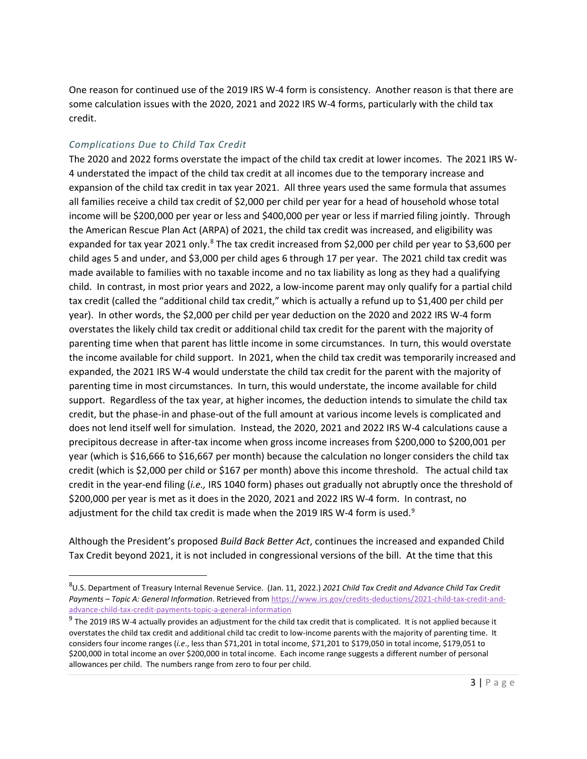One reason for continued use of the 2019 IRS W-4 form is consistency. Another reason is that there are some calculation issues with the 2020, 2021 and 2022 IRS W-4 forms, particularly with the child tax credit.

## *Complications Due to Child Tax Credit*

The 2020 and 2022 forms overstate the impact of the child tax credit at lower incomes. The 2021 IRS W-4 understated the impact of the child tax credit at all incomes due to the temporary increase and expansion of the child tax credit in tax year 2021. All three years used the same formula that assumes all families receive a child tax credit of \$2,000 per child per year for a head of household whose total income will be \$200,000 per year or less and \$400,000 per year or less if married filing jointly. Through the American Rescue Plan Act (ARPA) of 2021, the child tax credit was increased, and eligibility was expanded for tax year 2021 only.<sup>8</sup> The tax credit increased from \$2,000 per child per year to \$3,600 per child ages 5 and under, and \$3,000 per child ages 6 through 17 per year. The 2021 child tax credit was made available to families with no taxable income and no tax liability as long as they had a qualifying child. In contrast, in most prior years and 2022, a low-income parent may only qualify for a partial child tax credit (called the "additional child tax credit," which is actually a refund up to \$1,400 per child per year). In other words, the \$2,000 per child per year deduction on the 2020 and 2022 IRS W-4 form overstates the likely child tax credit or additional child tax credit for the parent with the majority of parenting time when that parent has little income in some circumstances. In turn, this would overstate the income available for child support. In 2021, when the child tax credit was temporarily increased and expanded, the 2021 IRS W-4 would understate the child tax credit for the parent with the majority of parenting time in most circumstances. In turn, this would understate, the income available for child support. Regardless of the tax year, at higher incomes, the deduction intends to simulate the child tax credit, but the phase-in and phase-out of the full amount at various income levels is complicated and does not lend itself well for simulation. Instead, the 2020, 2021 and 2022 IRS W-4 calculations cause a precipitous decrease in after-tax income when gross income increases from \$200,000 to \$200,001 per year (which is \$16,666 to \$16,667 per month) because the calculation no longer considers the child tax credit (which is \$2,000 per child or \$167 per month) above this income threshold. The actual child tax credit in the year-end filing (*i.e.,* IRS 1040 form) phases out gradually not abruptly once the threshold of \$200,000 per year is met as it does in the 2020, 2021 and 2022 IRS W-4 form. In contrast, no adjustment for the child tax credit is made when the 201[9](#page-4-1) IRS W-4 form is used. $9$ 

Although the President's proposed *Build Back Better Act*, continues the increased and expanded Child Tax Credit beyond 2021, it is not included in congressional versions of the bill. At the time that this

<span id="page-4-0"></span><sup>8</sup> U.S. Department of Treasury Internal Revenue Service. (Jan. 11, 2022.) *2021 Child Tax Credit and Advance Child Tax Credit Payments – Topic A: General Information*. Retrieved fro[m https://www.irs.gov/credits-deductions/2021-child-tax-credit-and](https://www.irs.gov/credits-deductions/2021-child-tax-credit-and-advance-child-tax-credit-payments-topic-a-general-information)[advance-child-tax-credit-payments-topic-a-general-information](https://www.irs.gov/credits-deductions/2021-child-tax-credit-and-advance-child-tax-credit-payments-topic-a-general-information)

<span id="page-4-1"></span> $9$  The 2019 IRS W-4 actually provides an adjustment for the child tax credit that is complicated. It is not applied because it overstates the child tax credit and additional child tac credit to low-income parents with the majority of parenting time. It considers four income ranges (*i.e*., less than \$71,201 in total income, \$71,201 to \$179,050 in total income, \$179,051 to \$200,000 in total income an over \$200,000 in total income. Each income range suggests a different number of personal allowances per child. The numbers range from zero to four per child.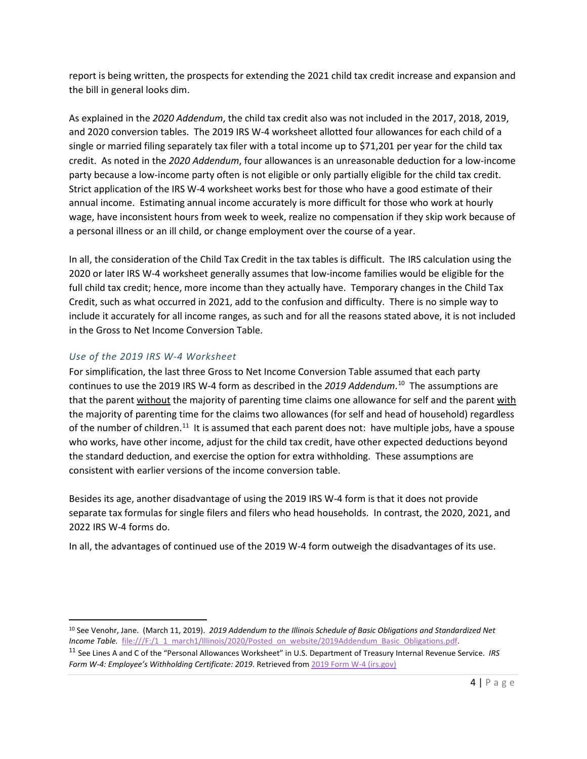report is being written, the prospects for extending the 2021 child tax credit increase and expansion and the bill in general looks dim.

As explained in the *2020 Addendum*, the child tax credit also was not included in the 2017, 2018, 2019, and 2020 conversion tables. The 2019 IRS W-4 worksheet allotted four allowances for each child of a single or married filing separately tax filer with a total income up to \$71,201 per year for the child tax credit. As noted in the *2020 Addendum*, four allowances is an unreasonable deduction for a low-income party because a low-income party often is not eligible or only partially eligible for the child tax credit. Strict application of the IRS W-4 worksheet works best for those who have a good estimate of their annual income. Estimating annual income accurately is more difficult for those who work at hourly wage, have inconsistent hours from week to week, realize no compensation if they skip work because of a personal illness or an ill child, or change employment over the course of a year.

In all, the consideration of the Child Tax Credit in the tax tables is difficult. The IRS calculation using the 2020 or later IRS W-4 worksheet generally assumes that low-income families would be eligible for the full child tax credit; hence, more income than they actually have. Temporary changes in the Child Tax Credit, such as what occurred in 2021, add to the confusion and difficulty. There is no simple way to include it accurately for all income ranges, as such and for all the reasons stated above, it is not included in the Gross to Net Income Conversion Table.

### *Use of the 2019 IRS W-4 Worksheet*

For simplification, the last three Gross to Net Income Conversion Table assumed that each party continues to use the 2019 IRS W-4 form as described in the *2019 Addendum*. [10](#page-5-0) The assumptions are that the parent without the majority of parenting time claims one allowance for self and the parent with the majority of parenting time for the claims two allowances (for self and head of household) regardless of the number of children.<sup>[11](#page-5-1)</sup> It is assumed that each parent does not: have multiple jobs, have a spouse who works, have other income, adjust for the child tax credit, have other expected deductions beyond the standard deduction, and exercise the option for extra withholding. These assumptions are consistent with earlier versions of the income conversion table.

Besides its age, another disadvantage of using the 2019 IRS W-4 form is that it does not provide separate tax formulas for single filers and filers who head households. In contrast, the 2020, 2021, and 2022 IRS W-4 forms do.

In all, the advantages of continued use of the 2019 W-4 form outweigh the disadvantages of its use.

<span id="page-5-0"></span><sup>10</sup> See Venohr, Jane. (March 11, 2019). *2019 Addendum to the Illinois Schedule of Basic Obligations and Standardized Net Income Table.* file:///F:/1\_1\_march1/Illinois/2020/Posted\_on\_website/2019Addendum\_Basic\_Obligations.pdf.

<span id="page-5-1"></span><sup>11</sup> See Lines A and C of the "Personal Allowances Worksheet" in U.S. Department of Treasury Internal Revenue Service. *IRS Form W-4: Employee's Withholding Certificate: 2019*. Retrieved from [2019 Form W-4 \(irs.gov\)](https://www.irs.gov/pub/irs-prior/fw4--2019.pdf)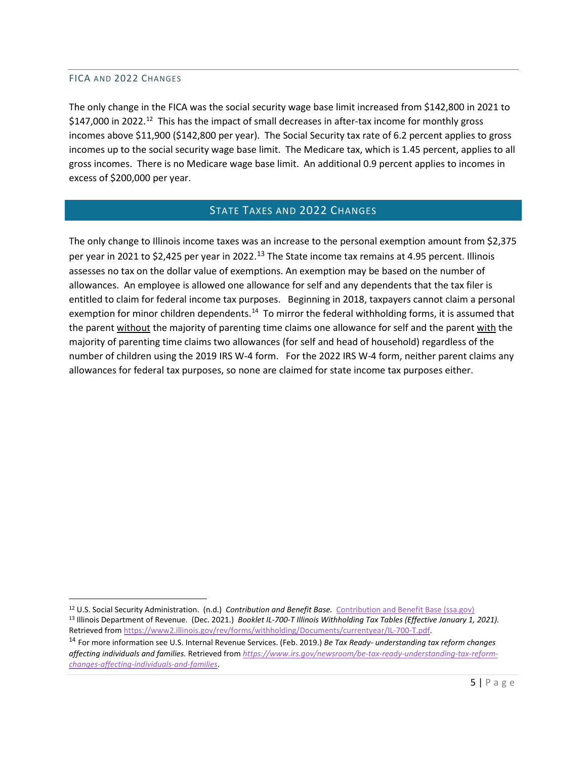#### <span id="page-6-0"></span>FICA AND 2022 CHANGES

The only change in the FICA was the social security wage base limit increased from \$142,800 in 2021 to \$147,000 in 2022.<sup>12</sup> This has the impact of small decreases in after-tax income for monthly gross incomes above \$11,900 (\$142,800 per year). The Social Security tax rate of 6.2 percent applies to gross incomes up to the social security wage base limit. The Medicare tax, which is 1.45 percent, applies to all gross incomes. There is no Medicare wage base limit. An additional 0.9 percent applies to incomes in excess of \$200,000 per year.

# STATE TAXES AND 2022 CHANGES

<span id="page-6-1"></span>The only change to Illinois income taxes was an increase to the personal exemption amount from \$2,375 per year in 2021 to \$2,425 per year in 2022.<sup>[13](#page-6-3)</sup> The State income tax remains at 4.95 percent. Illinois assesses no tax on the dollar value of exemptions. An exemption may be based on the number of allowances. An employee is allowed one allowance for self and any dependents that the tax filer is entitled to claim for federal income tax purposes. Beginning in 2018, taxpayers cannot claim a personal exemption for minor children dependents.<sup>14</sup> To mirror the federal withholding forms, it is assumed that the parent without the majority of parenting time claims one allowance for self and the parent with the majority of parenting time claims two allowances (for self and head of household) regardless of the number of children using the 2019 IRS W-4 form. For the 2022 IRS W-4 form, neither parent claims any allowances for federal tax purposes, so none are claimed for state income tax purposes either.

<span id="page-6-3"></span><span id="page-6-2"></span><sup>12</sup> U.S. Social Security Administration. (n.d.) *Contribution and Benefit Base.* [Contribution and Benefit Base \(ssa.gov\)](https://www.ssa.gov/oact/cola/cbb.html) <sup>13</sup> Illinois Department of Revenue. (Dec. 2021.) *Booklet IL-700-T Illinois Withholding Tax Tables (Effective January 1, 2021).* Retrieved fro[m https://www2.illinois.gov/rev/forms/withholding/Documents/currentyear/IL-700-T.pdf.](https://www2.illinois.gov/rev/forms/withholding/Documents/currentyear/IL-700-T.pdf)

<span id="page-6-4"></span><sup>14</sup> For more information see U.S. Internal Revenue Services. (Feb. 2019.) *Be Tax Ready- understanding tax reform changes affecting individuals and families.* Retrieved from *[https://www.irs.gov/newsroom/be-tax-ready-understanding-tax-reform](https://www.irs.gov/newsroom/be-tax-ready-understanding-tax-reform-changes-affecting-individuals-and-families)[changes-affecting-individuals-and-families](https://www.irs.gov/newsroom/be-tax-ready-understanding-tax-reform-changes-affecting-individuals-and-families)*.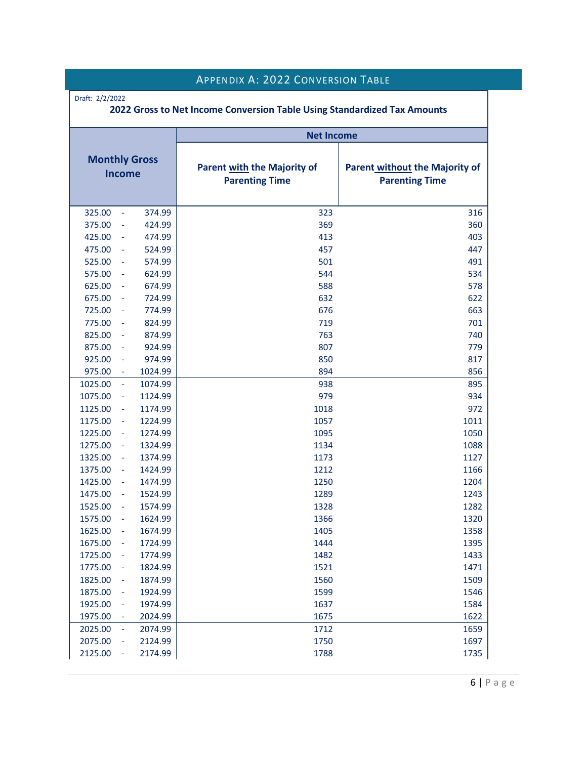<span id="page-7-0"></span>

|                                       |         | <b>APPENDIX A: 2022 CONVERSION TABLE</b>                                                                               |      |  |
|---------------------------------------|---------|------------------------------------------------------------------------------------------------------------------------|------|--|
| Draft: 2/2/2022                       |         | 2022 Gross to Net Income Conversion Table Using Standardized Tax Amounts                                               |      |  |
|                                       |         | <b>Net Income</b>                                                                                                      |      |  |
| <b>Monthly Gross</b><br><b>Income</b> |         | <b>Parent with the Majority of</b><br>Parent without the Majority of<br><b>Parenting Time</b><br><b>Parenting Time</b> |      |  |
| 325.00<br>$\sim$                      | 374.99  | 323                                                                                                                    | 316  |  |
| 375.00                                | 424.99  | 369                                                                                                                    | 360  |  |
| 425.00<br>$\blacksquare$              | 474.99  | 413                                                                                                                    | 403  |  |
| 475.00                                | 524.99  | 457                                                                                                                    | 447  |  |
| 525.00<br>$\blacksquare$              | 574.99  | 501                                                                                                                    | 491  |  |
| 575.00<br>$\sim$                      | 624.99  | 544                                                                                                                    | 534  |  |
| 625.00<br>$\sim$                      | 674.99  | 588                                                                                                                    | 578  |  |
| 675.00                                | 724.99  | 632                                                                                                                    | 622  |  |
| 725.00                                | 774.99  | 676                                                                                                                    | 663  |  |
| 775.00                                | 824.99  | 719                                                                                                                    | 701  |  |
| 825.00<br>$\overline{\phantom{a}}$    | 874.99  | 763                                                                                                                    | 740  |  |
| 875.00<br>$\blacksquare$              | 924.99  | 807                                                                                                                    | 779  |  |
| 925.00<br>$\blacksquare$              | 974.99  | 850                                                                                                                    | 817  |  |
| 975.00<br>$\overline{\phantom{a}}$    | 1024.99 | 894                                                                                                                    | 856  |  |
| 1025.00<br>$\equiv$                   | 1074.99 | 938                                                                                                                    | 895  |  |
| 1075.00<br>$\sim$                     | 1124.99 | 979                                                                                                                    | 934  |  |
| 1125.00                               | 1174.99 | 1018                                                                                                                   | 972  |  |
| 1175.00<br>$\sim$                     | 1224.99 | 1057                                                                                                                   | 1011 |  |
| 1225.00<br>$\overline{\phantom{a}}$   | 1274.99 | 1095                                                                                                                   | 1050 |  |
| 1275.00<br>$\overline{\phantom{a}}$   | 1324.99 | 1134                                                                                                                   | 1088 |  |
| 1325.00<br>$\blacksquare$             | 1374.99 | 1173                                                                                                                   | 1127 |  |
| 1375.00<br>$\overline{\phantom{a}}$   | 1424.99 | 1212                                                                                                                   | 1166 |  |
| 1425.00                               | 1474.99 | 1250                                                                                                                   | 1204 |  |
| 1475.00<br>$\equiv$                   | 1524.99 | 1289                                                                                                                   | 1243 |  |
| 1525.00<br>$\blacksquare$             | 1574.99 | 1328                                                                                                                   | 1282 |  |
| 1575.00<br>÷                          | 1624.99 | 1366                                                                                                                   | 1320 |  |
| 1625.00<br>÷                          | 1674.99 | 1405                                                                                                                   | 1358 |  |
| 1675.00<br>÷                          | 1724.99 | 1444                                                                                                                   | 1395 |  |
| 1725.00<br>$\blacksquare$             | 1774.99 | 1482                                                                                                                   | 1433 |  |
| 1775.00<br>$\blacksquare$             | 1824.99 | 1521                                                                                                                   | 1471 |  |
| 1825.00<br>$\blacksquare$             | 1874.99 | 1560                                                                                                                   | 1509 |  |
| 1875.00<br>$\blacksquare$             | 1924.99 | 1599                                                                                                                   | 1546 |  |
| 1925.00<br>$\blacksquare$             | 1974.99 | 1637                                                                                                                   | 1584 |  |
| 1975.00                               | 2024.99 | 1675                                                                                                                   | 1622 |  |
| 2025.00<br>$\blacksquare$             | 2074.99 | 1712                                                                                                                   | 1659 |  |
| 2075.00<br>$\blacksquare$             | 2124.99 | 1750                                                                                                                   | 1697 |  |
| 2125.00<br>$\blacksquare$             | 2174.99 | 1788                                                                                                                   | 1735 |  |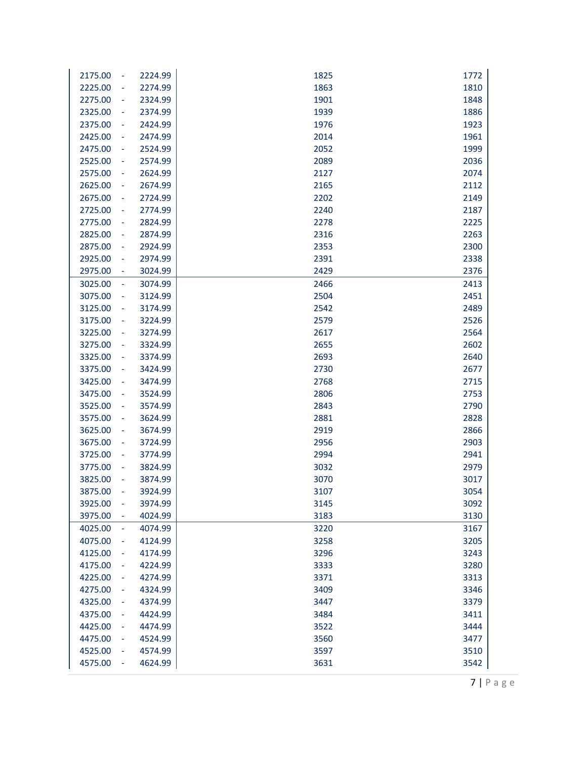| 2175.00<br>2224.99<br>÷  | 1825 | 1772 |
|--------------------------|------|------|
| 2225.00<br>2274.99       | 1863 | 1810 |
| 2275.00<br>2324.99<br>÷  | 1901 | 1848 |
| 2325.00<br>2374.99<br>÷  | 1939 | 1886 |
| 2375.00<br>2424.99<br>÷  | 1976 | 1923 |
| 2425.00<br>2474.99<br>÷  | 2014 | 1961 |
| 2475.00<br>2524.99<br>÷  | 2052 | 1999 |
| 2525.00<br>2574.99<br>÷  | 2089 | 2036 |
| 2575.00<br>2624.99<br>÷  | 2127 | 2074 |
| 2625.00<br>2674.99<br>÷  | 2165 | 2112 |
| 2675.00<br>2724.99<br>÷  | 2202 | 2149 |
| 2725.00<br>2774.99<br>÷  | 2240 | 2187 |
| 2775.00<br>2824.99<br>÷  | 2278 | 2225 |
| 2825.00<br>2874.99<br>÷  | 2316 | 2263 |
| 2875.00<br>2924.99<br>÷  | 2353 | 2300 |
| 2925.00<br>2974.99<br>÷  | 2391 | 2338 |
| 2975.00<br>3024.99<br>÷  | 2429 | 2376 |
| 3025.00<br>3074.99<br>÷  | 2466 | 2413 |
| 3075.00<br>3124.99<br>÷  | 2504 | 2451 |
| 3125.00<br>3174.99<br>÷, | 2542 | 2489 |
| 3175.00<br>3224.99<br>÷  | 2579 | 2526 |
| 3225.00<br>3274.99<br>÷, | 2617 | 2564 |
| 3275.00<br>3324.99<br>÷  | 2655 | 2602 |
| 3325.00<br>3374.99       | 2693 | 2640 |
| 3375.00<br>3424.99       | 2730 | 2677 |
| 3425.00<br>3474.99<br>÷  | 2768 | 2715 |
| 3475.00<br>3524.99<br>÷  | 2806 | 2753 |
| 3525.00<br>3574.99<br>÷  | 2843 | 2790 |
| 3575.00<br>3624.99<br>÷  | 2881 | 2828 |
| 3625.00<br>3674.99<br>÷  | 2919 | 2866 |
| 3675.00<br>3724.99<br>÷  | 2956 | 2903 |
| 3725.00<br>3774.99<br>÷  | 2994 | 2941 |
| 3775.00<br>3824.99<br>÷  | 3032 | 2979 |
| 3825.00<br>3874.99       | 3070 | 3017 |
| 3875.00<br>3924.99       | 3107 | 3054 |
| 3925.00<br>÷,<br>3974.99 | 3145 | 3092 |
| 3975.00<br>4024.99<br>÷  | 3183 | 3130 |
| 4025.00<br>4074.99<br>÷  | 3220 | 3167 |
| 4075.00<br>4124.99       | 3258 | 3205 |
| 4125.00<br>4174.99       | 3296 | 3243 |
| 4175.00<br>4224.99       | 3333 | 3280 |
| 4225.00<br>4274.99       | 3371 | 3313 |
| 4275.00<br>4324.99       | 3409 | 3346 |
| 4325.00<br>4374.99<br>۰  | 3447 | 3379 |
| 4375.00<br>4424.99<br>۰  | 3484 | 3411 |
| 4425.00<br>4474.99       | 3522 | 3444 |
| 4475.00<br>4524.99       | 3560 | 3477 |
| 4525.00<br>4574.99       | 3597 | 3510 |
| 4575.00<br>4624.99       | 3631 | 3542 |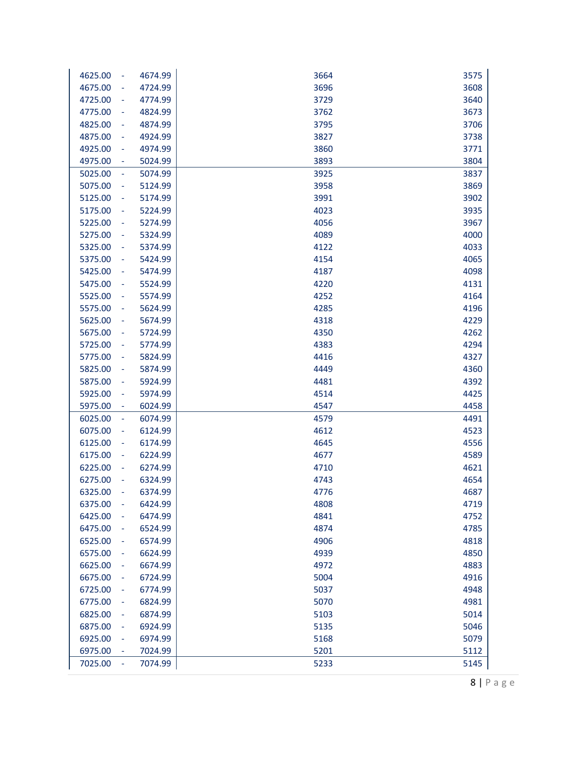| 4625.00<br>÷  | 4674.99 | 3664 | 3575 |
|---------------|---------|------|------|
| 4675.00       | 4724.99 | 3696 | 3608 |
| 4725.00       | 4774.99 | 3729 | 3640 |
| 4775.00<br>÷  | 4824.99 | 3762 | 3673 |
| 4825.00<br>÷  | 4874.99 | 3795 | 3706 |
| 4875.00<br>۰  | 4924.99 | 3827 | 3738 |
| 4925.00<br>÷  | 4974.99 | 3860 | 3771 |
| 4975.00       | 5024.99 | 3893 | 3804 |
| 5025.00       | 5074.99 | 3925 | 3837 |
| 5075.00<br>÷  | 5124.99 | 3958 | 3869 |
| 5125.00<br>÷  | 5174.99 | 3991 | 3902 |
| 5175.00<br>۰  | 5224.99 | 4023 | 3935 |
| 5225.00<br>÷  | 5274.99 | 4056 | 3967 |
| 5275.00<br>÷  | 5324.99 | 4089 | 4000 |
| 5325.00<br>÷  | 5374.99 | 4122 | 4033 |
| 5375.00<br>÷  | 5424.99 | 4154 | 4065 |
| 5425.00       | 5474.99 | 4187 | 4098 |
| 5475.00<br>÷  | 5524.99 | 4220 | 4131 |
| 5525.00       | 5574.99 | 4252 | 4164 |
| 5575.00<br>۰  | 5624.99 | 4285 | 4196 |
| 5625.00<br>÷  | 5674.99 | 4318 | 4229 |
| 5675.00<br>۰  | 5724.99 | 4350 | 4262 |
| 5725.00       | 5774.99 | 4383 | 4294 |
| 5775.00<br>÷  | 5824.99 | 4416 | 4327 |
| 5825.00       | 5874.99 | 4449 | 4360 |
| 5875.00<br>÷  | 5924.99 | 4481 | 4392 |
| 5925.00<br>÷  | 5974.99 | 4514 | 4425 |
| 5975.00<br>۳  | 6024.99 | 4547 | 4458 |
| 6025.00<br>÷  | 6074.99 | 4579 | 4491 |
| 6075.00<br>÷  | 6124.99 | 4612 | 4523 |
| 6125.00<br>÷  | 6174.99 | 4645 | 4556 |
| 6175.00<br>÷  | 6224.99 | 4677 | 4589 |
| 6225.00<br>÷  | 6274.99 | 4710 | 4621 |
| 6275.00       | 6324.99 | 4743 | 4654 |
| 6325.00<br>÷, | 6374.99 | 4776 | 4687 |
| 6375.00<br>L, | 6424.99 | 4808 | 4719 |
| 6425.00<br>÷  | 6474.99 | 4841 | 4752 |
| 6475.00<br>۰  | 6524.99 | 4874 | 4785 |
| 6525.00<br>÷  | 6574.99 | 4906 | 4818 |
| 6575.00       | 6624.99 | 4939 | 4850 |
| 6625.00       | 6674.99 | 4972 | 4883 |
| 6675.00       | 6724.99 | 5004 | 4916 |
| 6725.00<br>۰  | 6774.99 | 5037 | 4948 |
| 6775.00<br>۰  | 6824.99 | 5070 | 4981 |
| 6825.00<br>÷  | 6874.99 | 5103 | 5014 |
| 6875.00<br>÷  | 6924.99 | 5135 | 5046 |
| 6925.00<br>÷  | 6974.99 | 5168 | 5079 |
| 6975.00       | 7024.99 | 5201 | 5112 |
| 7025.00<br>÷, | 7074.99 | 5233 | 5145 |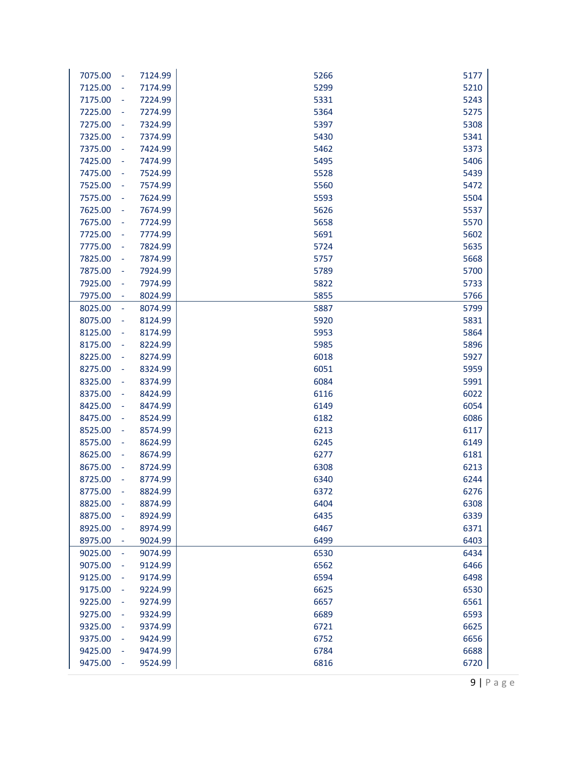| 7075.00<br>$\sim$                   | 7124.99 | 5266 | 5177 |
|-------------------------------------|---------|------|------|
| 7125.00<br>$\overline{\phantom{a}}$ | 7174.99 | 5299 | 5210 |
| 7175.00<br>$\overline{\phantom{a}}$ | 7224.99 | 5331 | 5243 |
| 7225.00<br>$\blacksquare$           | 7274.99 | 5364 | 5275 |
| 7275.00<br>$\equiv$                 | 7324.99 | 5397 | 5308 |
| 7325.00<br>$\overline{\phantom{a}}$ | 7374.99 | 5430 | 5341 |
| 7375.00<br>$\equiv$                 | 7424.99 | 5462 | 5373 |
| 7425.00<br>$\overline{\phantom{a}}$ | 7474.99 | 5495 | 5406 |
| 7475.00<br>$\overline{\phantom{a}}$ | 7524.99 | 5528 | 5439 |
| 7525.00<br>$\overline{\phantom{a}}$ | 7574.99 | 5560 | 5472 |
| 7575.00<br>$\blacksquare$           | 7624.99 | 5593 | 5504 |
| 7625.00<br>$\blacksquare$           | 7674.99 | 5626 | 5537 |
| 7675.00<br>$\overline{\phantom{a}}$ | 7724.99 | 5658 | 5570 |
| 7725.00<br>$\sim$                   | 7774.99 | 5691 | 5602 |
| 7775.00<br>$\sim$                   | 7824.99 | 5724 | 5635 |
| 7825.00<br>$\sim$                   | 7874.99 | 5757 | 5668 |
| 7875.00<br>$\sim$                   | 7924.99 | 5789 | 5700 |
| 7925.00<br>$\overline{\phantom{a}}$ | 7974.99 | 5822 | 5733 |
| 7975.00<br>$\blacksquare$           | 8024.99 | 5855 | 5766 |
| 8025.00<br>$\overline{\phantom{a}}$ | 8074.99 | 5887 | 5799 |
| 8075.00<br>۰                        | 8124.99 | 5920 | 5831 |
| 8125.00<br>$\blacksquare$           | 8174.99 | 5953 | 5864 |
| 8175.00<br>$\overline{\phantom{a}}$ | 8224.99 | 5985 | 5896 |
| 8225.00<br>$\equiv$                 | 8274.99 | 6018 | 5927 |
| 8275.00<br>$\overline{\phantom{a}}$ | 8324.99 | 6051 | 5959 |
| 8325.00<br>$\blacksquare$           | 8374.99 | 6084 | 5991 |
| 8375.00<br>$\overline{\phantom{a}}$ | 8424.99 | 6116 | 6022 |
| 8425.00<br>$\overline{\phantom{a}}$ | 8474.99 | 6149 | 6054 |
| 8475.00<br>$\overline{\phantom{a}}$ | 8524.99 | 6182 | 6086 |
| 8525.00<br>$\blacksquare$           | 8574.99 | 6213 | 6117 |
| 8575.00<br>$\blacksquare$           | 8624.99 | 6245 | 6149 |
| 8625.00<br>$\overline{\phantom{a}}$ | 8674.99 | 6277 | 6181 |
| 8675.00<br>÷                        | 8724.99 | 6308 | 6213 |
| 8725.00<br>÷                        | 8774.99 | 6340 | 6244 |
| 8775.00                             | 8824.99 | 6372 | 6276 |
| 8825.00<br>÷                        | 8874.99 | 6404 | 6308 |
| 8875.00<br>÷                        | 8924.99 | 6435 | 6339 |
| 8925.00<br>÷                        | 8974.99 | 6467 | 6371 |
| 8975.00<br>$\overline{\phantom{a}}$ | 9024.99 | 6499 | 6403 |
| 9025.00<br>$\blacksquare$           | 9074.99 | 6530 | 6434 |
| 9075.00<br>÷                        | 9124.99 | 6562 | 6466 |
| 9125.00<br>۰                        | 9174.99 | 6594 | 6498 |
| 9175.00<br>۰                        | 9224.99 | 6625 | 6530 |
| 9225.00<br>÷                        | 9274.99 | 6657 | 6561 |
| 9275.00<br>÷                        | 9324.99 | 6689 | 6593 |
| 9325.00<br>۰                        | 9374.99 | 6721 | 6625 |
| 9375.00<br>÷                        | 9424.99 | 6752 | 6656 |
| 9425.00<br>÷                        | 9474.99 | 6784 | 6688 |
| 9475.00<br>÷                        | 9524.99 | 6816 | 6720 |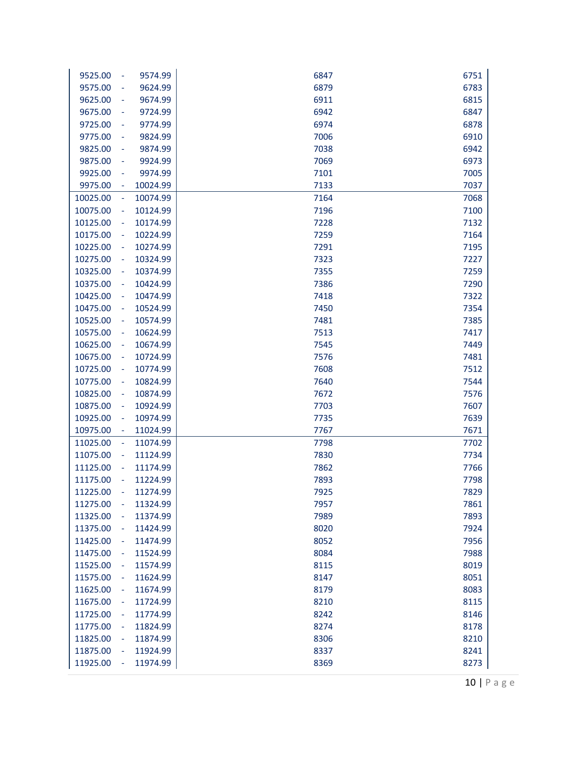| 9525.00<br>$\blacksquare$            | 9574.99              | 6847         | 6751         |
|--------------------------------------|----------------------|--------------|--------------|
| 9575.00                              | 9624.99              | 6879         | 6783         |
| 9625.00<br>÷                         | 9674.99              | 6911         | 6815         |
| 9675.00<br>÷                         | 9724.99              | 6942         | 6847         |
| 9725.00<br>$\blacksquare$            | 9774.99              | 6974         | 6878         |
| 9775.00<br>$\blacksquare$            | 9824.99              | 7006         | 6910         |
| 9825.00<br>$\overline{\phantom{a}}$  | 9874.99              | 7038         | 6942         |
| 9875.00<br>$\overline{\phantom{a}}$  | 9924.99              | 7069         | 6973         |
| 9925.00<br>$\overline{\phantom{a}}$  | 9974.99              | 7101         | 7005         |
| 9975.00<br>÷                         | 10024.99             | 7133         | 7037         |
| 10025.00<br>÷                        | 10074.99             | 7164         | 7068         |
| 10075.00<br>÷                        | 10124.99             | 7196         | 7100         |
| 10125.00<br>÷                        | 10174.99             | 7228         | 7132         |
| 10175.00<br>$\overline{\phantom{a}}$ | 10224.99             | 7259         | 7164         |
| 10225.00<br>$\blacksquare$           | 10274.99             | 7291         | 7195         |
| 10275.00<br>$\overline{\phantom{a}}$ | 10324.99             | 7323         | 7227         |
| 10325.00<br>$\blacksquare$           | 10374.99             | 7355         | 7259         |
| 10375.00<br>÷                        | 10424.99             | 7386         | 7290         |
| 10425.00<br>÷                        | 10474.99             | 7418         | 7322         |
| 10475.00<br>÷                        | 10524.99             | 7450         | 7354         |
| 10525.00<br>÷                        | 10574.99             | 7481         | 7385         |
| 10575.00<br>$\blacksquare$           | 10624.99             | 7513         | 7417         |
| 10625.00<br>$\blacksquare$           | 10674.99             | 7545         | 7449         |
| 10675.00<br>$\overline{\phantom{a}}$ | 10724.99             | 7576         | 7481         |
| 10725.00<br>$\blacksquare$           | 10774.99             | 7608         | 7512         |
| 10775.00<br>÷                        | 10824.99             | 7640         | 7544         |
| 10825.00<br>÷,                       | 10874.99             | 7672         | 7576         |
| 10875.00<br>÷                        | 10924.99             | 7703         | 7607         |
| 10925.00<br>÷                        | 10974.99             | 7735         | 7639         |
| 10975.00<br>÷                        | 11024.99             | 7767         | 7671         |
| 11025.00<br>$\overline{\phantom{a}}$ | 11074.99             | 7798         | 7702         |
| 11075.00<br>$\blacksquare$           | 11124.99             | 7830         | 7734         |
| 11125.00<br>$\overline{\phantom{a}}$ | 11174.99             | 7862         | 7766         |
| 11175.00                             | 11224.99             | 7893         | 7798         |
| 11225.00                             | 11274.99             | 7925         | 7829         |
| 11275.00<br>$\overline{\phantom{a}}$ | 11324.99             | 7957         | 7861         |
| 11325.00                             | 11374.99             | 7989         | 7893         |
| 11375.00<br>÷                        | 11424.99             | 8020         | 7924         |
| 11425.00                             | 11474.99             | 8052         | 7956         |
| 11475.00                             | 11524.99             | 8084         | 7988         |
| 11525.00                             | 11574.99             | 8115         | 8019         |
| 11575.00<br>11625.00                 | 11624.99<br>11674.99 | 8147         | 8051         |
| 11675.00                             |                      | 8179<br>8210 | 8083         |
| ÷<br>11725.00                        | 11724.99<br>11774.99 | 8242         | 8115<br>8146 |
| ÷<br>11775.00                        |                      | 8274         | 8178         |
| $\blacksquare$<br>11825.00           | 11824.99<br>11874.99 | 8306         | 8210         |
| 11875.00                             | 11924.99             | 8337         | 8241         |
| 11925.00                             | 11974.99             | 8369         |              |
|                                      |                      |              | 8273         |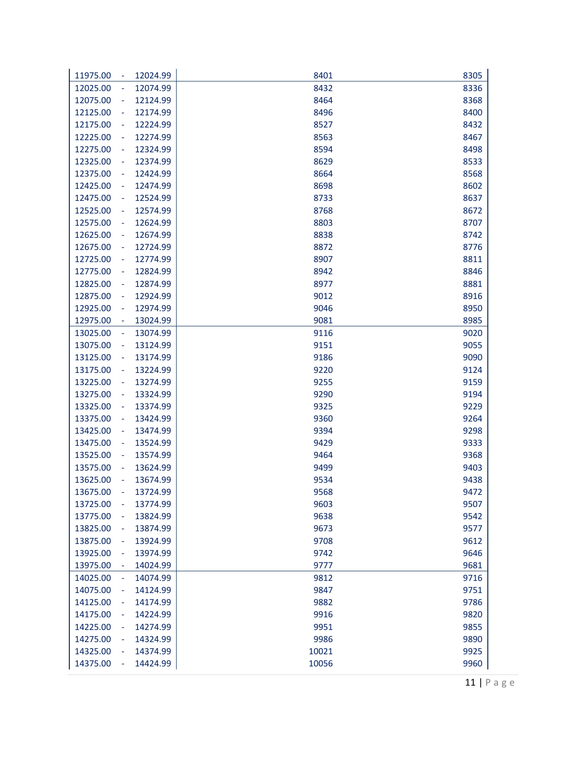| 11975.00                             | 12024.99 | 8401  | 8305 |
|--------------------------------------|----------|-------|------|
| 12025.00                             | 12074.99 | 8432  | 8336 |
| 12075.00<br>÷                        | 12124.99 | 8464  | 8368 |
| 12125.00<br>÷                        | 12174.99 | 8496  | 8400 |
| 12175.00                             | 12224.99 | 8527  | 8432 |
| 12225.00<br>۰                        | 12274.99 | 8563  | 8467 |
| 12275.00<br>÷                        | 12324.99 | 8594  | 8498 |
| 12325.00<br>$\overline{\phantom{a}}$ | 12374.99 | 8629  | 8533 |
| 12375.00<br>$\blacksquare$           | 12424.99 | 8664  | 8568 |
| 12425.00<br>$\blacksquare$           | 12474.99 | 8698  | 8602 |
| 12475.00<br>÷                        | 12524.99 | 8733  | 8637 |
| 12525.00<br>÷,                       | 12574.99 | 8768  | 8672 |
| 12575.00<br>÷                        | 12624.99 | 8803  | 8707 |
| 12625.00<br>۰                        | 12674.99 | 8838  | 8742 |
| 12675.00<br>$\blacksquare$           | 12724.99 | 8872  | 8776 |
| 12725.00<br>$\blacksquare$           | 12774.99 | 8907  | 8811 |
| 12775.00<br>$\blacksquare$           | 12824.99 | 8942  | 8846 |
| 12825.00<br>$\blacksquare$           | 12874.99 | 8977  | 8881 |
| 12875.00<br>÷                        | 12924.99 | 9012  | 8916 |
| 12925.00<br>÷                        | 12974.99 | 9046  | 8950 |
| 12975.00<br>$\blacksquare$           | 13024.99 | 9081  | 8985 |
| 13025.00<br>$\blacksquare$           | 13074.99 | 9116  | 9020 |
| 13075.00<br>$\blacksquare$           | 13124.99 | 9151  | 9055 |
| 13125.00<br>$\overline{\phantom{a}}$ | 13174.99 | 9186  | 9090 |
| 13175.00<br>$\blacksquare$           | 13224.99 | 9220  | 9124 |
| 13225.00<br>÷                        | 13274.99 | 9255  | 9159 |
| 13275.00<br>÷,                       | 13324.99 | 9290  | 9194 |
| 13325.00<br>÷                        | 13374.99 | 9325  | 9229 |
| 13375.00<br>۰                        | 13424.99 | 9360  | 9264 |
| 13425.00<br>÷                        | 13474.99 | 9394  | 9298 |
| 13475.00<br>÷                        | 13524.99 | 9429  | 9333 |
| 13525.00                             | 13574.99 | 9464  | 9368 |
| 13575.00                             | 13624.99 | 9499  | 9403 |
| 13625.00                             | 13674.99 | 9534  | 9438 |
| 13675.00                             | 13724.99 | 9568  | 9472 |
| 13725.00<br>÷                        | 13774.99 | 9603  | 9507 |
| 13775.00                             | 13824.99 | 9638  | 9542 |
| 13825.00<br>÷                        | 13874.99 | 9673  | 9577 |
| 13875.00<br>÷                        | 13924.99 | 9708  | 9612 |
| 13925.00                             | 13974.99 | 9742  | 9646 |
| 13975.00                             | 14024.99 | 9777  | 9681 |
| 14025.00                             | 14074.99 | 9812  | 9716 |
| 14075.00                             | 14124.99 | 9847  | 9751 |
| 14125.00<br>÷                        | 14174.99 | 9882  | 9786 |
| 14175.00<br>÷                        | 14224.99 | 9916  | 9820 |
| 14225.00<br>$\blacksquare$           | 14274.99 | 9951  | 9855 |
| 14275.00<br>$\blacksquare$           | 14324.99 | 9986  | 9890 |
| 14325.00                             | 14374.99 | 10021 | 9925 |
| 14375.00                             | 14424.99 | 10056 |      |
|                                      |          |       | 9960 |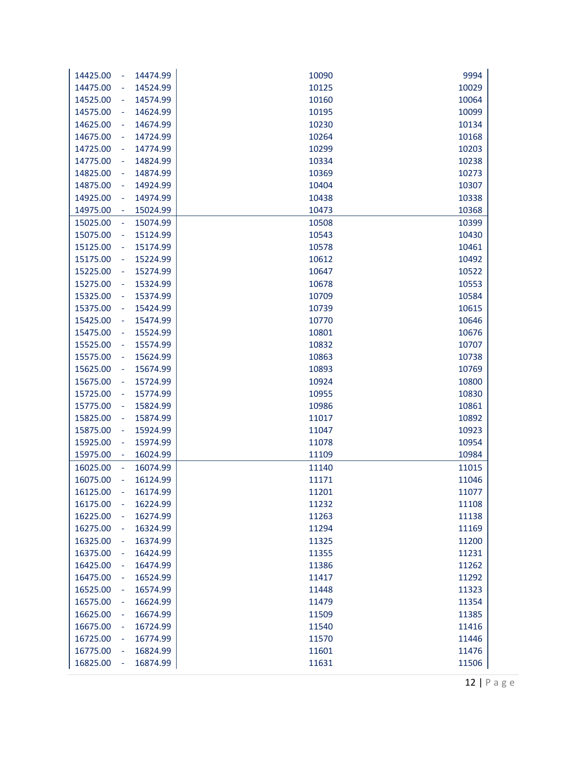| 14474.99<br>9994<br>14425.00<br>10090<br>$\sim$<br>14475.00<br>14524.99<br>10125<br>10029<br>$\blacksquare$<br>14574.99<br>10064<br>14525.00<br>10160<br>$\blacksquare$<br>14575.00<br>14624.99<br>10195<br>10099<br>$\blacksquare$<br>14625.00<br>14674.99<br>10230<br>10134<br>$\blacksquare$<br>14675.00<br>14724.99<br>10264<br>10168<br>$\blacksquare$<br>14725.00<br>14774.99<br>10299<br>10203<br>$\overline{\phantom{a}}$<br>14775.00<br>14824.99<br>10334<br>10238<br>$\blacksquare$<br>14825.00<br>14874.99<br>10273<br>10369<br>$\blacksquare$<br>14875.00<br>14924.99<br>10404<br>10307<br>$\blacksquare$<br>14925.00<br>14974.99<br>10438<br>10338<br>$\blacksquare$<br>14975.00<br>15024.99<br>10473<br>10368<br>$\blacksquare$<br>15025.00<br>15074.99<br>10508<br>10399<br>$\Box$<br>15075.00<br>10543<br>10430<br>15124.99<br>$\blacksquare$<br>15125.00<br>15174.99<br>10578<br>10461<br>$\blacksquare$<br>15175.00<br>15224.99<br>10492<br>10612<br>$\blacksquare$<br>15225.00<br>15274.99<br>10647<br>10522<br>÷<br>15275.00<br>15324.99<br>10678<br>10553<br>÷<br>15325.00<br>15374.99<br>10709<br>10584<br>$\blacksquare$<br>15375.00<br>15424.99<br>10739<br>10615<br>÷<br>15425.00<br>15474.99<br>10770<br>10646<br>÷<br>15475.00<br>15524.99<br>10801<br>10676<br>÷<br>15525.00<br>15574.99<br>10832<br>10707<br>$\blacksquare$<br>15575.00<br>15624.99<br>10738<br>10863<br>$\blacksquare$<br>15625.00<br>15674.99<br>10893<br>10769<br>$\blacksquare$<br>15675.00<br>10924<br>10800<br>15724.99<br>$\blacksquare$<br>15725.00<br>15774.99<br>10955<br>10830<br>$\blacksquare$<br>15775.00<br>15824.99<br>10986<br>10861<br>$\blacksquare$<br>15825.00<br>15874.99<br>11017<br>10892<br>$\blacksquare$<br>15875.00<br>11047<br>10923<br>15924.99<br>$\blacksquare$<br>15925.00<br>15974.99<br>11078<br>10954<br>$\blacksquare$<br>15975.00<br>16024.99<br>11109<br>10984<br>$\blacksquare$<br>16025.00<br>16074.99<br>11140<br>11015<br>÷<br>16075.00<br>16124.99<br>11171<br>11046<br>÷<br>16125.00<br>16174.99<br>11201<br>11077<br>16175.00<br>16224.99<br>11108<br>11232<br>$\overline{\phantom{a}}$<br>11263<br>11138<br>16225.00<br>16274.99<br>÷<br>11169<br>16275.00<br>16324.99<br>11294<br>$\overline{\phantom{a}}$<br>11200<br>16325.00<br>16374.99<br>11325<br>$\blacksquare$<br>16375.00<br>11231<br>16424.99<br>11355<br>$\blacksquare$<br>16425.00<br>11262<br>16474.99<br>11386<br>$\blacksquare$<br>16475.00<br>16524.99<br>11292<br>11417<br>$\blacksquare$<br>16525.00<br>16574.99<br>11323<br>11448<br>÷<br>16575.00<br>16624.99<br>11354<br>11479<br>÷<br>16625.00<br>11385<br>16674.99<br>11509<br>÷<br>16675.00<br>16724.99<br>11540<br>11416<br>$\blacksquare$<br>16725.00<br>16774.99<br>11570<br>11446<br>$\blacksquare$<br>16775.00<br>11601<br>11476<br>16824.99<br>$\blacksquare$<br>16825.00<br>16874.99<br>11506<br>11631<br>÷ |  |  |
|-----------------------------------------------------------------------------------------------------------------------------------------------------------------------------------------------------------------------------------------------------------------------------------------------------------------------------------------------------------------------------------------------------------------------------------------------------------------------------------------------------------------------------------------------------------------------------------------------------------------------------------------------------------------------------------------------------------------------------------------------------------------------------------------------------------------------------------------------------------------------------------------------------------------------------------------------------------------------------------------------------------------------------------------------------------------------------------------------------------------------------------------------------------------------------------------------------------------------------------------------------------------------------------------------------------------------------------------------------------------------------------------------------------------------------------------------------------------------------------------------------------------------------------------------------------------------------------------------------------------------------------------------------------------------------------------------------------------------------------------------------------------------------------------------------------------------------------------------------------------------------------------------------------------------------------------------------------------------------------------------------------------------------------------------------------------------------------------------------------------------------------------------------------------------------------------------------------------------------------------------------------------------------------------------------------------------------------------------------------------------------------------------------------------------------------------------------------------------------------------------------------------------------------------------------------------------------------------------------------------------------------------------------------------------------------------------------------------------------------------------------------------------------------------------------------------------------------------------------------------------------------------|--|--|
|                                                                                                                                                                                                                                                                                                                                                                                                                                                                                                                                                                                                                                                                                                                                                                                                                                                                                                                                                                                                                                                                                                                                                                                                                                                                                                                                                                                                                                                                                                                                                                                                                                                                                                                                                                                                                                                                                                                                                                                                                                                                                                                                                                                                                                                                                                                                                                                                                                                                                                                                                                                                                                                                                                                                                                                                                                                                                         |  |  |
|                                                                                                                                                                                                                                                                                                                                                                                                                                                                                                                                                                                                                                                                                                                                                                                                                                                                                                                                                                                                                                                                                                                                                                                                                                                                                                                                                                                                                                                                                                                                                                                                                                                                                                                                                                                                                                                                                                                                                                                                                                                                                                                                                                                                                                                                                                                                                                                                                                                                                                                                                                                                                                                                                                                                                                                                                                                                                         |  |  |
|                                                                                                                                                                                                                                                                                                                                                                                                                                                                                                                                                                                                                                                                                                                                                                                                                                                                                                                                                                                                                                                                                                                                                                                                                                                                                                                                                                                                                                                                                                                                                                                                                                                                                                                                                                                                                                                                                                                                                                                                                                                                                                                                                                                                                                                                                                                                                                                                                                                                                                                                                                                                                                                                                                                                                                                                                                                                                         |  |  |
|                                                                                                                                                                                                                                                                                                                                                                                                                                                                                                                                                                                                                                                                                                                                                                                                                                                                                                                                                                                                                                                                                                                                                                                                                                                                                                                                                                                                                                                                                                                                                                                                                                                                                                                                                                                                                                                                                                                                                                                                                                                                                                                                                                                                                                                                                                                                                                                                                                                                                                                                                                                                                                                                                                                                                                                                                                                                                         |  |  |
|                                                                                                                                                                                                                                                                                                                                                                                                                                                                                                                                                                                                                                                                                                                                                                                                                                                                                                                                                                                                                                                                                                                                                                                                                                                                                                                                                                                                                                                                                                                                                                                                                                                                                                                                                                                                                                                                                                                                                                                                                                                                                                                                                                                                                                                                                                                                                                                                                                                                                                                                                                                                                                                                                                                                                                                                                                                                                         |  |  |
|                                                                                                                                                                                                                                                                                                                                                                                                                                                                                                                                                                                                                                                                                                                                                                                                                                                                                                                                                                                                                                                                                                                                                                                                                                                                                                                                                                                                                                                                                                                                                                                                                                                                                                                                                                                                                                                                                                                                                                                                                                                                                                                                                                                                                                                                                                                                                                                                                                                                                                                                                                                                                                                                                                                                                                                                                                                                                         |  |  |
|                                                                                                                                                                                                                                                                                                                                                                                                                                                                                                                                                                                                                                                                                                                                                                                                                                                                                                                                                                                                                                                                                                                                                                                                                                                                                                                                                                                                                                                                                                                                                                                                                                                                                                                                                                                                                                                                                                                                                                                                                                                                                                                                                                                                                                                                                                                                                                                                                                                                                                                                                                                                                                                                                                                                                                                                                                                                                         |  |  |
|                                                                                                                                                                                                                                                                                                                                                                                                                                                                                                                                                                                                                                                                                                                                                                                                                                                                                                                                                                                                                                                                                                                                                                                                                                                                                                                                                                                                                                                                                                                                                                                                                                                                                                                                                                                                                                                                                                                                                                                                                                                                                                                                                                                                                                                                                                                                                                                                                                                                                                                                                                                                                                                                                                                                                                                                                                                                                         |  |  |
|                                                                                                                                                                                                                                                                                                                                                                                                                                                                                                                                                                                                                                                                                                                                                                                                                                                                                                                                                                                                                                                                                                                                                                                                                                                                                                                                                                                                                                                                                                                                                                                                                                                                                                                                                                                                                                                                                                                                                                                                                                                                                                                                                                                                                                                                                                                                                                                                                                                                                                                                                                                                                                                                                                                                                                                                                                                                                         |  |  |
|                                                                                                                                                                                                                                                                                                                                                                                                                                                                                                                                                                                                                                                                                                                                                                                                                                                                                                                                                                                                                                                                                                                                                                                                                                                                                                                                                                                                                                                                                                                                                                                                                                                                                                                                                                                                                                                                                                                                                                                                                                                                                                                                                                                                                                                                                                                                                                                                                                                                                                                                                                                                                                                                                                                                                                                                                                                                                         |  |  |
|                                                                                                                                                                                                                                                                                                                                                                                                                                                                                                                                                                                                                                                                                                                                                                                                                                                                                                                                                                                                                                                                                                                                                                                                                                                                                                                                                                                                                                                                                                                                                                                                                                                                                                                                                                                                                                                                                                                                                                                                                                                                                                                                                                                                                                                                                                                                                                                                                                                                                                                                                                                                                                                                                                                                                                                                                                                                                         |  |  |
|                                                                                                                                                                                                                                                                                                                                                                                                                                                                                                                                                                                                                                                                                                                                                                                                                                                                                                                                                                                                                                                                                                                                                                                                                                                                                                                                                                                                                                                                                                                                                                                                                                                                                                                                                                                                                                                                                                                                                                                                                                                                                                                                                                                                                                                                                                                                                                                                                                                                                                                                                                                                                                                                                                                                                                                                                                                                                         |  |  |
|                                                                                                                                                                                                                                                                                                                                                                                                                                                                                                                                                                                                                                                                                                                                                                                                                                                                                                                                                                                                                                                                                                                                                                                                                                                                                                                                                                                                                                                                                                                                                                                                                                                                                                                                                                                                                                                                                                                                                                                                                                                                                                                                                                                                                                                                                                                                                                                                                                                                                                                                                                                                                                                                                                                                                                                                                                                                                         |  |  |
|                                                                                                                                                                                                                                                                                                                                                                                                                                                                                                                                                                                                                                                                                                                                                                                                                                                                                                                                                                                                                                                                                                                                                                                                                                                                                                                                                                                                                                                                                                                                                                                                                                                                                                                                                                                                                                                                                                                                                                                                                                                                                                                                                                                                                                                                                                                                                                                                                                                                                                                                                                                                                                                                                                                                                                                                                                                                                         |  |  |
|                                                                                                                                                                                                                                                                                                                                                                                                                                                                                                                                                                                                                                                                                                                                                                                                                                                                                                                                                                                                                                                                                                                                                                                                                                                                                                                                                                                                                                                                                                                                                                                                                                                                                                                                                                                                                                                                                                                                                                                                                                                                                                                                                                                                                                                                                                                                                                                                                                                                                                                                                                                                                                                                                                                                                                                                                                                                                         |  |  |
|                                                                                                                                                                                                                                                                                                                                                                                                                                                                                                                                                                                                                                                                                                                                                                                                                                                                                                                                                                                                                                                                                                                                                                                                                                                                                                                                                                                                                                                                                                                                                                                                                                                                                                                                                                                                                                                                                                                                                                                                                                                                                                                                                                                                                                                                                                                                                                                                                                                                                                                                                                                                                                                                                                                                                                                                                                                                                         |  |  |
|                                                                                                                                                                                                                                                                                                                                                                                                                                                                                                                                                                                                                                                                                                                                                                                                                                                                                                                                                                                                                                                                                                                                                                                                                                                                                                                                                                                                                                                                                                                                                                                                                                                                                                                                                                                                                                                                                                                                                                                                                                                                                                                                                                                                                                                                                                                                                                                                                                                                                                                                                                                                                                                                                                                                                                                                                                                                                         |  |  |
|                                                                                                                                                                                                                                                                                                                                                                                                                                                                                                                                                                                                                                                                                                                                                                                                                                                                                                                                                                                                                                                                                                                                                                                                                                                                                                                                                                                                                                                                                                                                                                                                                                                                                                                                                                                                                                                                                                                                                                                                                                                                                                                                                                                                                                                                                                                                                                                                                                                                                                                                                                                                                                                                                                                                                                                                                                                                                         |  |  |
|                                                                                                                                                                                                                                                                                                                                                                                                                                                                                                                                                                                                                                                                                                                                                                                                                                                                                                                                                                                                                                                                                                                                                                                                                                                                                                                                                                                                                                                                                                                                                                                                                                                                                                                                                                                                                                                                                                                                                                                                                                                                                                                                                                                                                                                                                                                                                                                                                                                                                                                                                                                                                                                                                                                                                                                                                                                                                         |  |  |
|                                                                                                                                                                                                                                                                                                                                                                                                                                                                                                                                                                                                                                                                                                                                                                                                                                                                                                                                                                                                                                                                                                                                                                                                                                                                                                                                                                                                                                                                                                                                                                                                                                                                                                                                                                                                                                                                                                                                                                                                                                                                                                                                                                                                                                                                                                                                                                                                                                                                                                                                                                                                                                                                                                                                                                                                                                                                                         |  |  |
|                                                                                                                                                                                                                                                                                                                                                                                                                                                                                                                                                                                                                                                                                                                                                                                                                                                                                                                                                                                                                                                                                                                                                                                                                                                                                                                                                                                                                                                                                                                                                                                                                                                                                                                                                                                                                                                                                                                                                                                                                                                                                                                                                                                                                                                                                                                                                                                                                                                                                                                                                                                                                                                                                                                                                                                                                                                                                         |  |  |
|                                                                                                                                                                                                                                                                                                                                                                                                                                                                                                                                                                                                                                                                                                                                                                                                                                                                                                                                                                                                                                                                                                                                                                                                                                                                                                                                                                                                                                                                                                                                                                                                                                                                                                                                                                                                                                                                                                                                                                                                                                                                                                                                                                                                                                                                                                                                                                                                                                                                                                                                                                                                                                                                                                                                                                                                                                                                                         |  |  |
|                                                                                                                                                                                                                                                                                                                                                                                                                                                                                                                                                                                                                                                                                                                                                                                                                                                                                                                                                                                                                                                                                                                                                                                                                                                                                                                                                                                                                                                                                                                                                                                                                                                                                                                                                                                                                                                                                                                                                                                                                                                                                                                                                                                                                                                                                                                                                                                                                                                                                                                                                                                                                                                                                                                                                                                                                                                                                         |  |  |
|                                                                                                                                                                                                                                                                                                                                                                                                                                                                                                                                                                                                                                                                                                                                                                                                                                                                                                                                                                                                                                                                                                                                                                                                                                                                                                                                                                                                                                                                                                                                                                                                                                                                                                                                                                                                                                                                                                                                                                                                                                                                                                                                                                                                                                                                                                                                                                                                                                                                                                                                                                                                                                                                                                                                                                                                                                                                                         |  |  |
|                                                                                                                                                                                                                                                                                                                                                                                                                                                                                                                                                                                                                                                                                                                                                                                                                                                                                                                                                                                                                                                                                                                                                                                                                                                                                                                                                                                                                                                                                                                                                                                                                                                                                                                                                                                                                                                                                                                                                                                                                                                                                                                                                                                                                                                                                                                                                                                                                                                                                                                                                                                                                                                                                                                                                                                                                                                                                         |  |  |
|                                                                                                                                                                                                                                                                                                                                                                                                                                                                                                                                                                                                                                                                                                                                                                                                                                                                                                                                                                                                                                                                                                                                                                                                                                                                                                                                                                                                                                                                                                                                                                                                                                                                                                                                                                                                                                                                                                                                                                                                                                                                                                                                                                                                                                                                                                                                                                                                                                                                                                                                                                                                                                                                                                                                                                                                                                                                                         |  |  |
|                                                                                                                                                                                                                                                                                                                                                                                                                                                                                                                                                                                                                                                                                                                                                                                                                                                                                                                                                                                                                                                                                                                                                                                                                                                                                                                                                                                                                                                                                                                                                                                                                                                                                                                                                                                                                                                                                                                                                                                                                                                                                                                                                                                                                                                                                                                                                                                                                                                                                                                                                                                                                                                                                                                                                                                                                                                                                         |  |  |
|                                                                                                                                                                                                                                                                                                                                                                                                                                                                                                                                                                                                                                                                                                                                                                                                                                                                                                                                                                                                                                                                                                                                                                                                                                                                                                                                                                                                                                                                                                                                                                                                                                                                                                                                                                                                                                                                                                                                                                                                                                                                                                                                                                                                                                                                                                                                                                                                                                                                                                                                                                                                                                                                                                                                                                                                                                                                                         |  |  |
|                                                                                                                                                                                                                                                                                                                                                                                                                                                                                                                                                                                                                                                                                                                                                                                                                                                                                                                                                                                                                                                                                                                                                                                                                                                                                                                                                                                                                                                                                                                                                                                                                                                                                                                                                                                                                                                                                                                                                                                                                                                                                                                                                                                                                                                                                                                                                                                                                                                                                                                                                                                                                                                                                                                                                                                                                                                                                         |  |  |
|                                                                                                                                                                                                                                                                                                                                                                                                                                                                                                                                                                                                                                                                                                                                                                                                                                                                                                                                                                                                                                                                                                                                                                                                                                                                                                                                                                                                                                                                                                                                                                                                                                                                                                                                                                                                                                                                                                                                                                                                                                                                                                                                                                                                                                                                                                                                                                                                                                                                                                                                                                                                                                                                                                                                                                                                                                                                                         |  |  |
|                                                                                                                                                                                                                                                                                                                                                                                                                                                                                                                                                                                                                                                                                                                                                                                                                                                                                                                                                                                                                                                                                                                                                                                                                                                                                                                                                                                                                                                                                                                                                                                                                                                                                                                                                                                                                                                                                                                                                                                                                                                                                                                                                                                                                                                                                                                                                                                                                                                                                                                                                                                                                                                                                                                                                                                                                                                                                         |  |  |
|                                                                                                                                                                                                                                                                                                                                                                                                                                                                                                                                                                                                                                                                                                                                                                                                                                                                                                                                                                                                                                                                                                                                                                                                                                                                                                                                                                                                                                                                                                                                                                                                                                                                                                                                                                                                                                                                                                                                                                                                                                                                                                                                                                                                                                                                                                                                                                                                                                                                                                                                                                                                                                                                                                                                                                                                                                                                                         |  |  |
|                                                                                                                                                                                                                                                                                                                                                                                                                                                                                                                                                                                                                                                                                                                                                                                                                                                                                                                                                                                                                                                                                                                                                                                                                                                                                                                                                                                                                                                                                                                                                                                                                                                                                                                                                                                                                                                                                                                                                                                                                                                                                                                                                                                                                                                                                                                                                                                                                                                                                                                                                                                                                                                                                                                                                                                                                                                                                         |  |  |
|                                                                                                                                                                                                                                                                                                                                                                                                                                                                                                                                                                                                                                                                                                                                                                                                                                                                                                                                                                                                                                                                                                                                                                                                                                                                                                                                                                                                                                                                                                                                                                                                                                                                                                                                                                                                                                                                                                                                                                                                                                                                                                                                                                                                                                                                                                                                                                                                                                                                                                                                                                                                                                                                                                                                                                                                                                                                                         |  |  |
|                                                                                                                                                                                                                                                                                                                                                                                                                                                                                                                                                                                                                                                                                                                                                                                                                                                                                                                                                                                                                                                                                                                                                                                                                                                                                                                                                                                                                                                                                                                                                                                                                                                                                                                                                                                                                                                                                                                                                                                                                                                                                                                                                                                                                                                                                                                                                                                                                                                                                                                                                                                                                                                                                                                                                                                                                                                                                         |  |  |
|                                                                                                                                                                                                                                                                                                                                                                                                                                                                                                                                                                                                                                                                                                                                                                                                                                                                                                                                                                                                                                                                                                                                                                                                                                                                                                                                                                                                                                                                                                                                                                                                                                                                                                                                                                                                                                                                                                                                                                                                                                                                                                                                                                                                                                                                                                                                                                                                                                                                                                                                                                                                                                                                                                                                                                                                                                                                                         |  |  |
|                                                                                                                                                                                                                                                                                                                                                                                                                                                                                                                                                                                                                                                                                                                                                                                                                                                                                                                                                                                                                                                                                                                                                                                                                                                                                                                                                                                                                                                                                                                                                                                                                                                                                                                                                                                                                                                                                                                                                                                                                                                                                                                                                                                                                                                                                                                                                                                                                                                                                                                                                                                                                                                                                                                                                                                                                                                                                         |  |  |
|                                                                                                                                                                                                                                                                                                                                                                                                                                                                                                                                                                                                                                                                                                                                                                                                                                                                                                                                                                                                                                                                                                                                                                                                                                                                                                                                                                                                                                                                                                                                                                                                                                                                                                                                                                                                                                                                                                                                                                                                                                                                                                                                                                                                                                                                                                                                                                                                                                                                                                                                                                                                                                                                                                                                                                                                                                                                                         |  |  |
|                                                                                                                                                                                                                                                                                                                                                                                                                                                                                                                                                                                                                                                                                                                                                                                                                                                                                                                                                                                                                                                                                                                                                                                                                                                                                                                                                                                                                                                                                                                                                                                                                                                                                                                                                                                                                                                                                                                                                                                                                                                                                                                                                                                                                                                                                                                                                                                                                                                                                                                                                                                                                                                                                                                                                                                                                                                                                         |  |  |
|                                                                                                                                                                                                                                                                                                                                                                                                                                                                                                                                                                                                                                                                                                                                                                                                                                                                                                                                                                                                                                                                                                                                                                                                                                                                                                                                                                                                                                                                                                                                                                                                                                                                                                                                                                                                                                                                                                                                                                                                                                                                                                                                                                                                                                                                                                                                                                                                                                                                                                                                                                                                                                                                                                                                                                                                                                                                                         |  |  |
|                                                                                                                                                                                                                                                                                                                                                                                                                                                                                                                                                                                                                                                                                                                                                                                                                                                                                                                                                                                                                                                                                                                                                                                                                                                                                                                                                                                                                                                                                                                                                                                                                                                                                                                                                                                                                                                                                                                                                                                                                                                                                                                                                                                                                                                                                                                                                                                                                                                                                                                                                                                                                                                                                                                                                                                                                                                                                         |  |  |
|                                                                                                                                                                                                                                                                                                                                                                                                                                                                                                                                                                                                                                                                                                                                                                                                                                                                                                                                                                                                                                                                                                                                                                                                                                                                                                                                                                                                                                                                                                                                                                                                                                                                                                                                                                                                                                                                                                                                                                                                                                                                                                                                                                                                                                                                                                                                                                                                                                                                                                                                                                                                                                                                                                                                                                                                                                                                                         |  |  |
|                                                                                                                                                                                                                                                                                                                                                                                                                                                                                                                                                                                                                                                                                                                                                                                                                                                                                                                                                                                                                                                                                                                                                                                                                                                                                                                                                                                                                                                                                                                                                                                                                                                                                                                                                                                                                                                                                                                                                                                                                                                                                                                                                                                                                                                                                                                                                                                                                                                                                                                                                                                                                                                                                                                                                                                                                                                                                         |  |  |
|                                                                                                                                                                                                                                                                                                                                                                                                                                                                                                                                                                                                                                                                                                                                                                                                                                                                                                                                                                                                                                                                                                                                                                                                                                                                                                                                                                                                                                                                                                                                                                                                                                                                                                                                                                                                                                                                                                                                                                                                                                                                                                                                                                                                                                                                                                                                                                                                                                                                                                                                                                                                                                                                                                                                                                                                                                                                                         |  |  |
|                                                                                                                                                                                                                                                                                                                                                                                                                                                                                                                                                                                                                                                                                                                                                                                                                                                                                                                                                                                                                                                                                                                                                                                                                                                                                                                                                                                                                                                                                                                                                                                                                                                                                                                                                                                                                                                                                                                                                                                                                                                                                                                                                                                                                                                                                                                                                                                                                                                                                                                                                                                                                                                                                                                                                                                                                                                                                         |  |  |
|                                                                                                                                                                                                                                                                                                                                                                                                                                                                                                                                                                                                                                                                                                                                                                                                                                                                                                                                                                                                                                                                                                                                                                                                                                                                                                                                                                                                                                                                                                                                                                                                                                                                                                                                                                                                                                                                                                                                                                                                                                                                                                                                                                                                                                                                                                                                                                                                                                                                                                                                                                                                                                                                                                                                                                                                                                                                                         |  |  |
|                                                                                                                                                                                                                                                                                                                                                                                                                                                                                                                                                                                                                                                                                                                                                                                                                                                                                                                                                                                                                                                                                                                                                                                                                                                                                                                                                                                                                                                                                                                                                                                                                                                                                                                                                                                                                                                                                                                                                                                                                                                                                                                                                                                                                                                                                                                                                                                                                                                                                                                                                                                                                                                                                                                                                                                                                                                                                         |  |  |
|                                                                                                                                                                                                                                                                                                                                                                                                                                                                                                                                                                                                                                                                                                                                                                                                                                                                                                                                                                                                                                                                                                                                                                                                                                                                                                                                                                                                                                                                                                                                                                                                                                                                                                                                                                                                                                                                                                                                                                                                                                                                                                                                                                                                                                                                                                                                                                                                                                                                                                                                                                                                                                                                                                                                                                                                                                                                                         |  |  |
|                                                                                                                                                                                                                                                                                                                                                                                                                                                                                                                                                                                                                                                                                                                                                                                                                                                                                                                                                                                                                                                                                                                                                                                                                                                                                                                                                                                                                                                                                                                                                                                                                                                                                                                                                                                                                                                                                                                                                                                                                                                                                                                                                                                                                                                                                                                                                                                                                                                                                                                                                                                                                                                                                                                                                                                                                                                                                         |  |  |

12 | Page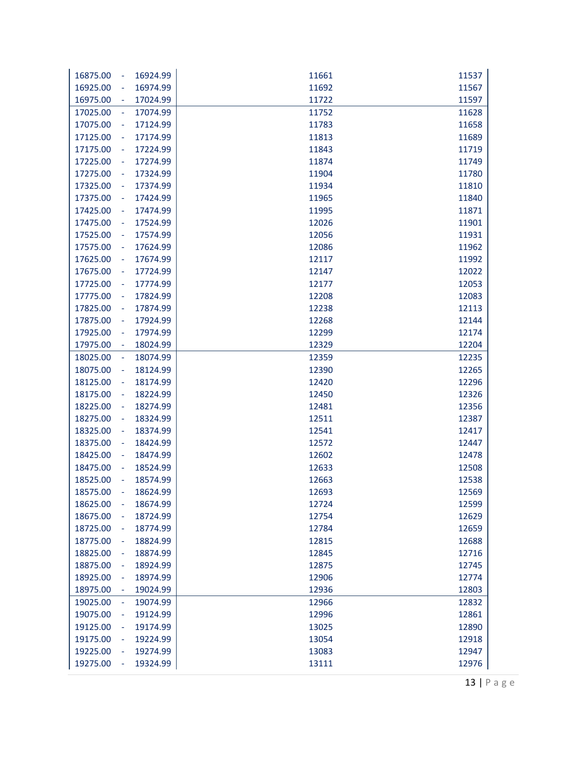| 16924.99<br>16875.00<br>÷  | 11661 | 11537 |
|----------------------------|-------|-------|
| 16925.00<br>16974.99       | 11692 | 11567 |
| 16975.00<br>17024.99       | 11722 | 11597 |
| 17025.00<br>17074.99<br>÷  | 11752 | 11628 |
| 17075.00<br>17124.99<br>÷  | 11783 | 11658 |
| 17125.00<br>17174.99<br>÷  | 11813 | 11689 |
| 17175.00<br>17224.99<br>÷  | 11843 | 11719 |
| 17274.99<br>17225.00<br>÷  | 11874 | 11749 |
| 17324.99<br>17275.00<br>÷  | 11904 | 11780 |
| 17325.00<br>17374.99<br>÷  | 11934 | 11810 |
| 17375.00<br>17424.99<br>÷  | 11965 | 11840 |
| 17425.00<br>17474.99<br>÷  | 11995 | 11871 |
| 17475.00<br>17524.99<br>÷  | 12026 | 11901 |
| 17525.00<br>17574.99<br>÷  | 12056 | 11931 |
| 17575.00<br>17624.99<br>÷  | 12086 | 11962 |
| 17674.99<br>17625.00<br>÷  | 12117 | 11992 |
| 17675.00<br>17724.99<br>÷  | 12147 | 12022 |
| 17725.00<br>17774.99<br>÷  | 12177 | 12053 |
| 17775.00<br>17824.99       | 12208 | 12083 |
| 17825.00<br>17874.99<br>÷, | 12238 | 12113 |
| 17875.00<br>17924.99<br>÷  | 12268 | 12144 |
| 17925.00<br>17974.99<br>÷  | 12299 | 12174 |
| 17975.00<br>18024.99<br>÷  | 12329 | 12204 |
| 18025.00<br>18074.99<br>÷  | 12359 | 12235 |
| 18075.00<br>18124.99<br>÷  | 12390 | 12265 |
| 18125.00<br>18174.99<br>÷  | 12420 | 12296 |
| 18175.00<br>18224.99<br>÷  | 12450 | 12326 |
| 18225.00<br>18274.99<br>÷  | 12481 | 12356 |
| 18275.00<br>18324.99<br>÷  | 12511 | 12387 |
| 18325.00<br>18374.99<br>÷  | 12541 | 12417 |
| 18375.00<br>18424.99<br>÷  | 12572 | 12447 |
| 18425.00<br>18474.99<br>÷  | 12602 | 12478 |
| 18475.00<br>18524.99<br>÷  | 12633 | 12508 |
| 18525.00<br>18574.99       | 12663 | 12538 |
| 18575.00<br>18624.99       | 12693 | 12569 |
| 18625.00<br>18674.99<br>÷  | 12724 | 12599 |
| 18675.00<br>18724.99       | 12754 | 12629 |
| 18725.00<br>18774.99<br>÷  | 12784 | 12659 |
| 18775.00<br>18824.99       | 12815 | 12688 |
| 18825.00<br>18874.99       | 12845 | 12716 |
| 18875.00<br>18924.99       | 12875 | 12745 |
| 18925.00<br>18974.99       | 12906 | 12774 |
| 18975.00<br>19024.99       | 12936 | 12803 |
| 19025.00<br>19074.99<br>÷  | 12966 | 12832 |
| 19075.00<br>19124.99<br>÷  | 12996 | 12861 |
| 19125.00<br>19174.99       | 13025 | 12890 |
| 19175.00<br>19224.99       | 13054 | 12918 |
| 19225.00<br>19274.99       | 13083 | 12947 |
| 19275.00<br>19324.99       | 13111 | 12976 |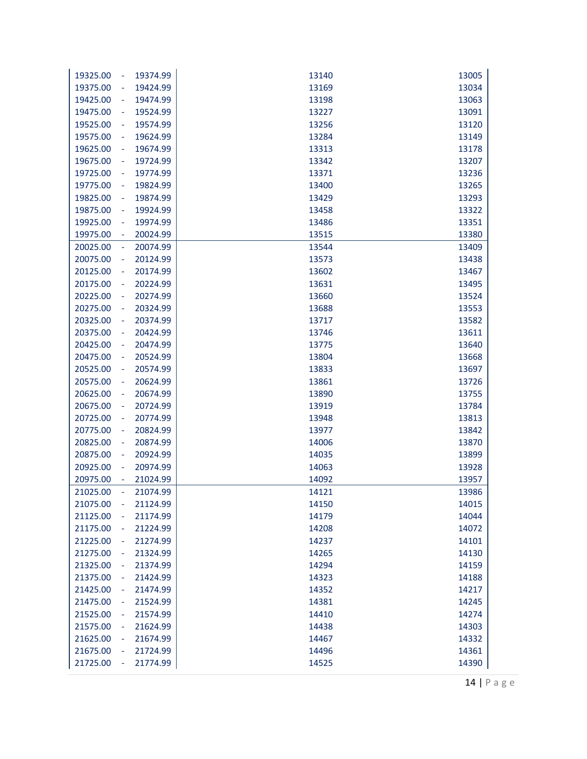| 13005<br>19325.00<br>19374.99<br>13140<br>$\sim$<br>19424.99<br>13169<br>13034<br>19375.00<br>$\blacksquare$<br>19474.99<br>13198<br>13063<br>19425.00<br>$\overline{\phantom{a}}$<br>19475.00<br>19524.99<br>13227<br>13091<br>$\overline{\phantom{a}}$<br>19525.00<br>19574.99<br>13256<br>13120<br>$\overline{\phantom{a}}$<br>19575.00<br>19624.99<br>13284<br>13149<br>$\blacksquare$<br>19625.00<br>19674.99<br>13178<br>13313<br>$\overline{\phantom{a}}$<br>19675.00<br>19724.99<br>13342<br>13207<br>$\equiv$<br>19725.00<br>13371<br>13236<br>19774.99<br>$\overline{\phantom{a}}$<br>19775.00<br>19824.99<br>13400<br>13265<br>$\overline{\phantom{a}}$<br>19825.00<br>19874.99<br>13429<br>13293<br>$\overline{\phantom{a}}$<br>19875.00<br>19924.99<br>13458<br>13322<br>$\overline{\phantom{a}}$<br>19925.00<br>19974.99<br>13486<br>13351<br>$\overline{\phantom{a}}$<br>19975.00<br>20024.99<br>13515<br>13380<br>$\sim$<br>13409<br>20025.00<br>20074.99<br>13544<br>$\overline{\phantom{a}}$<br>20075.00<br>20124.99<br>13438<br>13573<br>$\overline{\phantom{a}}$<br>20125.00<br>20174.99<br>13602<br>13467<br>$\blacksquare$<br>20175.00<br>20224.99<br>13631<br>13495<br>$\blacksquare$<br>20225.00<br>20274.99<br>13660<br>13524<br>$\blacksquare$<br>20275.00<br>20324.99<br>13688<br>13553<br>$\blacksquare$<br>20325.00<br>20374.99<br>13717<br>13582<br>$\blacksquare$<br>20375.00<br>20424.99<br>13611<br>13746<br>$\blacksquare$<br>20425.00<br>20474.99<br>13640<br>13775<br>$\sim$<br>20524.99<br>13668<br>20475.00<br>13804<br>$\overline{\phantom{a}}$<br>20525.00<br>20574.99<br>13833<br>13697<br>$\blacksquare$<br>20575.00<br>13861<br>13726<br>20624.99<br>$\blacksquare$<br>20625.00<br>20674.99<br>13890<br>13755<br>$\blacksquare$<br>20675.00<br>20724.99<br>13919<br>13784<br>$\blacksquare$<br>20725.00<br>20774.99<br>13948<br>13813<br>$\overline{\phantom{a}}$<br>20775.00<br>13977<br>13842<br>20824.99<br>$\blacksquare$<br>20825.00<br>20874.99<br>14006<br>13870<br>$\overline{\phantom{a}}$<br>20924.99<br>20875.00<br>14035<br>13899<br>$\overline{\phantom{a}}$<br>20925.00<br>20974.99<br>14063<br>13928<br>÷<br>20975.00<br>21024.99<br>14092<br>13957<br>21025.00<br>21074.99<br>14121<br>13986<br>21075.00<br>21124.99<br>14015<br>14150<br>$\overline{\phantom{a}}$<br>14044<br>21125.00<br>21174.99<br>14179<br>$\blacksquare$<br>21175.00<br>21224.99<br>14208<br>14072<br>$\overline{\phantom{a}}$<br>21225.00<br>21274.99<br>14237<br>14101<br>$\overline{\phantom{a}}$<br>21275.00<br>21324.99<br>14265<br>14130<br>$\blacksquare$<br>21325.00<br>21374.99<br>14294<br>14159<br>÷<br>21375.00<br>21424.99<br>14323<br>14188<br>$\blacksquare$<br>21425.00<br>21474.99<br>14352<br>14217<br>$\blacksquare$<br>21475.00<br>14245<br>21524.99<br>14381<br>÷<br>21525.00<br>21574.99<br>14410<br>14274<br>÷<br>21575.00<br>21624.99<br>14438<br>14303<br>$\blacksquare$<br>21625.00<br>21674.99<br>14467<br>14332<br>÷<br>21675.00<br>21724.99<br>14496<br>14361<br>$\blacksquare$<br>21725.00<br>21774.99<br>14525<br>14390<br>÷ |  |  |
|----------------------------------------------------------------------------------------------------------------------------------------------------------------------------------------------------------------------------------------------------------------------------------------------------------------------------------------------------------------------------------------------------------------------------------------------------------------------------------------------------------------------------------------------------------------------------------------------------------------------------------------------------------------------------------------------------------------------------------------------------------------------------------------------------------------------------------------------------------------------------------------------------------------------------------------------------------------------------------------------------------------------------------------------------------------------------------------------------------------------------------------------------------------------------------------------------------------------------------------------------------------------------------------------------------------------------------------------------------------------------------------------------------------------------------------------------------------------------------------------------------------------------------------------------------------------------------------------------------------------------------------------------------------------------------------------------------------------------------------------------------------------------------------------------------------------------------------------------------------------------------------------------------------------------------------------------------------------------------------------------------------------------------------------------------------------------------------------------------------------------------------------------------------------------------------------------------------------------------------------------------------------------------------------------------------------------------------------------------------------------------------------------------------------------------------------------------------------------------------------------------------------------------------------------------------------------------------------------------------------------------------------------------------------------------------------------------------------------------------------------------------------------------------------------------------------------------------------------------------------------------------------------------------------------------------------------------------------------------------------------------------------------------------------------------------------------------------------|--|--|
|                                                                                                                                                                                                                                                                                                                                                                                                                                                                                                                                                                                                                                                                                                                                                                                                                                                                                                                                                                                                                                                                                                                                                                                                                                                                                                                                                                                                                                                                                                                                                                                                                                                                                                                                                                                                                                                                                                                                                                                                                                                                                                                                                                                                                                                                                                                                                                                                                                                                                                                                                                                                                                                                                                                                                                                                                                                                                                                                                                                                                                                                                              |  |  |
|                                                                                                                                                                                                                                                                                                                                                                                                                                                                                                                                                                                                                                                                                                                                                                                                                                                                                                                                                                                                                                                                                                                                                                                                                                                                                                                                                                                                                                                                                                                                                                                                                                                                                                                                                                                                                                                                                                                                                                                                                                                                                                                                                                                                                                                                                                                                                                                                                                                                                                                                                                                                                                                                                                                                                                                                                                                                                                                                                                                                                                                                                              |  |  |
|                                                                                                                                                                                                                                                                                                                                                                                                                                                                                                                                                                                                                                                                                                                                                                                                                                                                                                                                                                                                                                                                                                                                                                                                                                                                                                                                                                                                                                                                                                                                                                                                                                                                                                                                                                                                                                                                                                                                                                                                                                                                                                                                                                                                                                                                                                                                                                                                                                                                                                                                                                                                                                                                                                                                                                                                                                                                                                                                                                                                                                                                                              |  |  |
|                                                                                                                                                                                                                                                                                                                                                                                                                                                                                                                                                                                                                                                                                                                                                                                                                                                                                                                                                                                                                                                                                                                                                                                                                                                                                                                                                                                                                                                                                                                                                                                                                                                                                                                                                                                                                                                                                                                                                                                                                                                                                                                                                                                                                                                                                                                                                                                                                                                                                                                                                                                                                                                                                                                                                                                                                                                                                                                                                                                                                                                                                              |  |  |
|                                                                                                                                                                                                                                                                                                                                                                                                                                                                                                                                                                                                                                                                                                                                                                                                                                                                                                                                                                                                                                                                                                                                                                                                                                                                                                                                                                                                                                                                                                                                                                                                                                                                                                                                                                                                                                                                                                                                                                                                                                                                                                                                                                                                                                                                                                                                                                                                                                                                                                                                                                                                                                                                                                                                                                                                                                                                                                                                                                                                                                                                                              |  |  |
|                                                                                                                                                                                                                                                                                                                                                                                                                                                                                                                                                                                                                                                                                                                                                                                                                                                                                                                                                                                                                                                                                                                                                                                                                                                                                                                                                                                                                                                                                                                                                                                                                                                                                                                                                                                                                                                                                                                                                                                                                                                                                                                                                                                                                                                                                                                                                                                                                                                                                                                                                                                                                                                                                                                                                                                                                                                                                                                                                                                                                                                                                              |  |  |
|                                                                                                                                                                                                                                                                                                                                                                                                                                                                                                                                                                                                                                                                                                                                                                                                                                                                                                                                                                                                                                                                                                                                                                                                                                                                                                                                                                                                                                                                                                                                                                                                                                                                                                                                                                                                                                                                                                                                                                                                                                                                                                                                                                                                                                                                                                                                                                                                                                                                                                                                                                                                                                                                                                                                                                                                                                                                                                                                                                                                                                                                                              |  |  |
|                                                                                                                                                                                                                                                                                                                                                                                                                                                                                                                                                                                                                                                                                                                                                                                                                                                                                                                                                                                                                                                                                                                                                                                                                                                                                                                                                                                                                                                                                                                                                                                                                                                                                                                                                                                                                                                                                                                                                                                                                                                                                                                                                                                                                                                                                                                                                                                                                                                                                                                                                                                                                                                                                                                                                                                                                                                                                                                                                                                                                                                                                              |  |  |
|                                                                                                                                                                                                                                                                                                                                                                                                                                                                                                                                                                                                                                                                                                                                                                                                                                                                                                                                                                                                                                                                                                                                                                                                                                                                                                                                                                                                                                                                                                                                                                                                                                                                                                                                                                                                                                                                                                                                                                                                                                                                                                                                                                                                                                                                                                                                                                                                                                                                                                                                                                                                                                                                                                                                                                                                                                                                                                                                                                                                                                                                                              |  |  |
|                                                                                                                                                                                                                                                                                                                                                                                                                                                                                                                                                                                                                                                                                                                                                                                                                                                                                                                                                                                                                                                                                                                                                                                                                                                                                                                                                                                                                                                                                                                                                                                                                                                                                                                                                                                                                                                                                                                                                                                                                                                                                                                                                                                                                                                                                                                                                                                                                                                                                                                                                                                                                                                                                                                                                                                                                                                                                                                                                                                                                                                                                              |  |  |
|                                                                                                                                                                                                                                                                                                                                                                                                                                                                                                                                                                                                                                                                                                                                                                                                                                                                                                                                                                                                                                                                                                                                                                                                                                                                                                                                                                                                                                                                                                                                                                                                                                                                                                                                                                                                                                                                                                                                                                                                                                                                                                                                                                                                                                                                                                                                                                                                                                                                                                                                                                                                                                                                                                                                                                                                                                                                                                                                                                                                                                                                                              |  |  |
|                                                                                                                                                                                                                                                                                                                                                                                                                                                                                                                                                                                                                                                                                                                                                                                                                                                                                                                                                                                                                                                                                                                                                                                                                                                                                                                                                                                                                                                                                                                                                                                                                                                                                                                                                                                                                                                                                                                                                                                                                                                                                                                                                                                                                                                                                                                                                                                                                                                                                                                                                                                                                                                                                                                                                                                                                                                                                                                                                                                                                                                                                              |  |  |
|                                                                                                                                                                                                                                                                                                                                                                                                                                                                                                                                                                                                                                                                                                                                                                                                                                                                                                                                                                                                                                                                                                                                                                                                                                                                                                                                                                                                                                                                                                                                                                                                                                                                                                                                                                                                                                                                                                                                                                                                                                                                                                                                                                                                                                                                                                                                                                                                                                                                                                                                                                                                                                                                                                                                                                                                                                                                                                                                                                                                                                                                                              |  |  |
|                                                                                                                                                                                                                                                                                                                                                                                                                                                                                                                                                                                                                                                                                                                                                                                                                                                                                                                                                                                                                                                                                                                                                                                                                                                                                                                                                                                                                                                                                                                                                                                                                                                                                                                                                                                                                                                                                                                                                                                                                                                                                                                                                                                                                                                                                                                                                                                                                                                                                                                                                                                                                                                                                                                                                                                                                                                                                                                                                                                                                                                                                              |  |  |
|                                                                                                                                                                                                                                                                                                                                                                                                                                                                                                                                                                                                                                                                                                                                                                                                                                                                                                                                                                                                                                                                                                                                                                                                                                                                                                                                                                                                                                                                                                                                                                                                                                                                                                                                                                                                                                                                                                                                                                                                                                                                                                                                                                                                                                                                                                                                                                                                                                                                                                                                                                                                                                                                                                                                                                                                                                                                                                                                                                                                                                                                                              |  |  |
|                                                                                                                                                                                                                                                                                                                                                                                                                                                                                                                                                                                                                                                                                                                                                                                                                                                                                                                                                                                                                                                                                                                                                                                                                                                                                                                                                                                                                                                                                                                                                                                                                                                                                                                                                                                                                                                                                                                                                                                                                                                                                                                                                                                                                                                                                                                                                                                                                                                                                                                                                                                                                                                                                                                                                                                                                                                                                                                                                                                                                                                                                              |  |  |
|                                                                                                                                                                                                                                                                                                                                                                                                                                                                                                                                                                                                                                                                                                                                                                                                                                                                                                                                                                                                                                                                                                                                                                                                                                                                                                                                                                                                                                                                                                                                                                                                                                                                                                                                                                                                                                                                                                                                                                                                                                                                                                                                                                                                                                                                                                                                                                                                                                                                                                                                                                                                                                                                                                                                                                                                                                                                                                                                                                                                                                                                                              |  |  |
|                                                                                                                                                                                                                                                                                                                                                                                                                                                                                                                                                                                                                                                                                                                                                                                                                                                                                                                                                                                                                                                                                                                                                                                                                                                                                                                                                                                                                                                                                                                                                                                                                                                                                                                                                                                                                                                                                                                                                                                                                                                                                                                                                                                                                                                                                                                                                                                                                                                                                                                                                                                                                                                                                                                                                                                                                                                                                                                                                                                                                                                                                              |  |  |
|                                                                                                                                                                                                                                                                                                                                                                                                                                                                                                                                                                                                                                                                                                                                                                                                                                                                                                                                                                                                                                                                                                                                                                                                                                                                                                                                                                                                                                                                                                                                                                                                                                                                                                                                                                                                                                                                                                                                                                                                                                                                                                                                                                                                                                                                                                                                                                                                                                                                                                                                                                                                                                                                                                                                                                                                                                                                                                                                                                                                                                                                                              |  |  |
|                                                                                                                                                                                                                                                                                                                                                                                                                                                                                                                                                                                                                                                                                                                                                                                                                                                                                                                                                                                                                                                                                                                                                                                                                                                                                                                                                                                                                                                                                                                                                                                                                                                                                                                                                                                                                                                                                                                                                                                                                                                                                                                                                                                                                                                                                                                                                                                                                                                                                                                                                                                                                                                                                                                                                                                                                                                                                                                                                                                                                                                                                              |  |  |
|                                                                                                                                                                                                                                                                                                                                                                                                                                                                                                                                                                                                                                                                                                                                                                                                                                                                                                                                                                                                                                                                                                                                                                                                                                                                                                                                                                                                                                                                                                                                                                                                                                                                                                                                                                                                                                                                                                                                                                                                                                                                                                                                                                                                                                                                                                                                                                                                                                                                                                                                                                                                                                                                                                                                                                                                                                                                                                                                                                                                                                                                                              |  |  |
|                                                                                                                                                                                                                                                                                                                                                                                                                                                                                                                                                                                                                                                                                                                                                                                                                                                                                                                                                                                                                                                                                                                                                                                                                                                                                                                                                                                                                                                                                                                                                                                                                                                                                                                                                                                                                                                                                                                                                                                                                                                                                                                                                                                                                                                                                                                                                                                                                                                                                                                                                                                                                                                                                                                                                                                                                                                                                                                                                                                                                                                                                              |  |  |
|                                                                                                                                                                                                                                                                                                                                                                                                                                                                                                                                                                                                                                                                                                                                                                                                                                                                                                                                                                                                                                                                                                                                                                                                                                                                                                                                                                                                                                                                                                                                                                                                                                                                                                                                                                                                                                                                                                                                                                                                                                                                                                                                                                                                                                                                                                                                                                                                                                                                                                                                                                                                                                                                                                                                                                                                                                                                                                                                                                                                                                                                                              |  |  |
|                                                                                                                                                                                                                                                                                                                                                                                                                                                                                                                                                                                                                                                                                                                                                                                                                                                                                                                                                                                                                                                                                                                                                                                                                                                                                                                                                                                                                                                                                                                                                                                                                                                                                                                                                                                                                                                                                                                                                                                                                                                                                                                                                                                                                                                                                                                                                                                                                                                                                                                                                                                                                                                                                                                                                                                                                                                                                                                                                                                                                                                                                              |  |  |
|                                                                                                                                                                                                                                                                                                                                                                                                                                                                                                                                                                                                                                                                                                                                                                                                                                                                                                                                                                                                                                                                                                                                                                                                                                                                                                                                                                                                                                                                                                                                                                                                                                                                                                                                                                                                                                                                                                                                                                                                                                                                                                                                                                                                                                                                                                                                                                                                                                                                                                                                                                                                                                                                                                                                                                                                                                                                                                                                                                                                                                                                                              |  |  |
|                                                                                                                                                                                                                                                                                                                                                                                                                                                                                                                                                                                                                                                                                                                                                                                                                                                                                                                                                                                                                                                                                                                                                                                                                                                                                                                                                                                                                                                                                                                                                                                                                                                                                                                                                                                                                                                                                                                                                                                                                                                                                                                                                                                                                                                                                                                                                                                                                                                                                                                                                                                                                                                                                                                                                                                                                                                                                                                                                                                                                                                                                              |  |  |
|                                                                                                                                                                                                                                                                                                                                                                                                                                                                                                                                                                                                                                                                                                                                                                                                                                                                                                                                                                                                                                                                                                                                                                                                                                                                                                                                                                                                                                                                                                                                                                                                                                                                                                                                                                                                                                                                                                                                                                                                                                                                                                                                                                                                                                                                                                                                                                                                                                                                                                                                                                                                                                                                                                                                                                                                                                                                                                                                                                                                                                                                                              |  |  |
|                                                                                                                                                                                                                                                                                                                                                                                                                                                                                                                                                                                                                                                                                                                                                                                                                                                                                                                                                                                                                                                                                                                                                                                                                                                                                                                                                                                                                                                                                                                                                                                                                                                                                                                                                                                                                                                                                                                                                                                                                                                                                                                                                                                                                                                                                                                                                                                                                                                                                                                                                                                                                                                                                                                                                                                                                                                                                                                                                                                                                                                                                              |  |  |
|                                                                                                                                                                                                                                                                                                                                                                                                                                                                                                                                                                                                                                                                                                                                                                                                                                                                                                                                                                                                                                                                                                                                                                                                                                                                                                                                                                                                                                                                                                                                                                                                                                                                                                                                                                                                                                                                                                                                                                                                                                                                                                                                                                                                                                                                                                                                                                                                                                                                                                                                                                                                                                                                                                                                                                                                                                                                                                                                                                                                                                                                                              |  |  |
|                                                                                                                                                                                                                                                                                                                                                                                                                                                                                                                                                                                                                                                                                                                                                                                                                                                                                                                                                                                                                                                                                                                                                                                                                                                                                                                                                                                                                                                                                                                                                                                                                                                                                                                                                                                                                                                                                                                                                                                                                                                                                                                                                                                                                                                                                                                                                                                                                                                                                                                                                                                                                                                                                                                                                                                                                                                                                                                                                                                                                                                                                              |  |  |
|                                                                                                                                                                                                                                                                                                                                                                                                                                                                                                                                                                                                                                                                                                                                                                                                                                                                                                                                                                                                                                                                                                                                                                                                                                                                                                                                                                                                                                                                                                                                                                                                                                                                                                                                                                                                                                                                                                                                                                                                                                                                                                                                                                                                                                                                                                                                                                                                                                                                                                                                                                                                                                                                                                                                                                                                                                                                                                                                                                                                                                                                                              |  |  |
|                                                                                                                                                                                                                                                                                                                                                                                                                                                                                                                                                                                                                                                                                                                                                                                                                                                                                                                                                                                                                                                                                                                                                                                                                                                                                                                                                                                                                                                                                                                                                                                                                                                                                                                                                                                                                                                                                                                                                                                                                                                                                                                                                                                                                                                                                                                                                                                                                                                                                                                                                                                                                                                                                                                                                                                                                                                                                                                                                                                                                                                                                              |  |  |
|                                                                                                                                                                                                                                                                                                                                                                                                                                                                                                                                                                                                                                                                                                                                                                                                                                                                                                                                                                                                                                                                                                                                                                                                                                                                                                                                                                                                                                                                                                                                                                                                                                                                                                                                                                                                                                                                                                                                                                                                                                                                                                                                                                                                                                                                                                                                                                                                                                                                                                                                                                                                                                                                                                                                                                                                                                                                                                                                                                                                                                                                                              |  |  |
|                                                                                                                                                                                                                                                                                                                                                                                                                                                                                                                                                                                                                                                                                                                                                                                                                                                                                                                                                                                                                                                                                                                                                                                                                                                                                                                                                                                                                                                                                                                                                                                                                                                                                                                                                                                                                                                                                                                                                                                                                                                                                                                                                                                                                                                                                                                                                                                                                                                                                                                                                                                                                                                                                                                                                                                                                                                                                                                                                                                                                                                                                              |  |  |
|                                                                                                                                                                                                                                                                                                                                                                                                                                                                                                                                                                                                                                                                                                                                                                                                                                                                                                                                                                                                                                                                                                                                                                                                                                                                                                                                                                                                                                                                                                                                                                                                                                                                                                                                                                                                                                                                                                                                                                                                                                                                                                                                                                                                                                                                                                                                                                                                                                                                                                                                                                                                                                                                                                                                                                                                                                                                                                                                                                                                                                                                                              |  |  |
|                                                                                                                                                                                                                                                                                                                                                                                                                                                                                                                                                                                                                                                                                                                                                                                                                                                                                                                                                                                                                                                                                                                                                                                                                                                                                                                                                                                                                                                                                                                                                                                                                                                                                                                                                                                                                                                                                                                                                                                                                                                                                                                                                                                                                                                                                                                                                                                                                                                                                                                                                                                                                                                                                                                                                                                                                                                                                                                                                                                                                                                                                              |  |  |
|                                                                                                                                                                                                                                                                                                                                                                                                                                                                                                                                                                                                                                                                                                                                                                                                                                                                                                                                                                                                                                                                                                                                                                                                                                                                                                                                                                                                                                                                                                                                                                                                                                                                                                                                                                                                                                                                                                                                                                                                                                                                                                                                                                                                                                                                                                                                                                                                                                                                                                                                                                                                                                                                                                                                                                                                                                                                                                                                                                                                                                                                                              |  |  |
|                                                                                                                                                                                                                                                                                                                                                                                                                                                                                                                                                                                                                                                                                                                                                                                                                                                                                                                                                                                                                                                                                                                                                                                                                                                                                                                                                                                                                                                                                                                                                                                                                                                                                                                                                                                                                                                                                                                                                                                                                                                                                                                                                                                                                                                                                                                                                                                                                                                                                                                                                                                                                                                                                                                                                                                                                                                                                                                                                                                                                                                                                              |  |  |
|                                                                                                                                                                                                                                                                                                                                                                                                                                                                                                                                                                                                                                                                                                                                                                                                                                                                                                                                                                                                                                                                                                                                                                                                                                                                                                                                                                                                                                                                                                                                                                                                                                                                                                                                                                                                                                                                                                                                                                                                                                                                                                                                                                                                                                                                                                                                                                                                                                                                                                                                                                                                                                                                                                                                                                                                                                                                                                                                                                                                                                                                                              |  |  |
|                                                                                                                                                                                                                                                                                                                                                                                                                                                                                                                                                                                                                                                                                                                                                                                                                                                                                                                                                                                                                                                                                                                                                                                                                                                                                                                                                                                                                                                                                                                                                                                                                                                                                                                                                                                                                                                                                                                                                                                                                                                                                                                                                                                                                                                                                                                                                                                                                                                                                                                                                                                                                                                                                                                                                                                                                                                                                                                                                                                                                                                                                              |  |  |
|                                                                                                                                                                                                                                                                                                                                                                                                                                                                                                                                                                                                                                                                                                                                                                                                                                                                                                                                                                                                                                                                                                                                                                                                                                                                                                                                                                                                                                                                                                                                                                                                                                                                                                                                                                                                                                                                                                                                                                                                                                                                                                                                                                                                                                                                                                                                                                                                                                                                                                                                                                                                                                                                                                                                                                                                                                                                                                                                                                                                                                                                                              |  |  |
|                                                                                                                                                                                                                                                                                                                                                                                                                                                                                                                                                                                                                                                                                                                                                                                                                                                                                                                                                                                                                                                                                                                                                                                                                                                                                                                                                                                                                                                                                                                                                                                                                                                                                                                                                                                                                                                                                                                                                                                                                                                                                                                                                                                                                                                                                                                                                                                                                                                                                                                                                                                                                                                                                                                                                                                                                                                                                                                                                                                                                                                                                              |  |  |
|                                                                                                                                                                                                                                                                                                                                                                                                                                                                                                                                                                                                                                                                                                                                                                                                                                                                                                                                                                                                                                                                                                                                                                                                                                                                                                                                                                                                                                                                                                                                                                                                                                                                                                                                                                                                                                                                                                                                                                                                                                                                                                                                                                                                                                                                                                                                                                                                                                                                                                                                                                                                                                                                                                                                                                                                                                                                                                                                                                                                                                                                                              |  |  |
|                                                                                                                                                                                                                                                                                                                                                                                                                                                                                                                                                                                                                                                                                                                                                                                                                                                                                                                                                                                                                                                                                                                                                                                                                                                                                                                                                                                                                                                                                                                                                                                                                                                                                                                                                                                                                                                                                                                                                                                                                                                                                                                                                                                                                                                                                                                                                                                                                                                                                                                                                                                                                                                                                                                                                                                                                                                                                                                                                                                                                                                                                              |  |  |
|                                                                                                                                                                                                                                                                                                                                                                                                                                                                                                                                                                                                                                                                                                                                                                                                                                                                                                                                                                                                                                                                                                                                                                                                                                                                                                                                                                                                                                                                                                                                                                                                                                                                                                                                                                                                                                                                                                                                                                                                                                                                                                                                                                                                                                                                                                                                                                                                                                                                                                                                                                                                                                                                                                                                                                                                                                                                                                                                                                                                                                                                                              |  |  |
|                                                                                                                                                                                                                                                                                                                                                                                                                                                                                                                                                                                                                                                                                                                                                                                                                                                                                                                                                                                                                                                                                                                                                                                                                                                                                                                                                                                                                                                                                                                                                                                                                                                                                                                                                                                                                                                                                                                                                                                                                                                                                                                                                                                                                                                                                                                                                                                                                                                                                                                                                                                                                                                                                                                                                                                                                                                                                                                                                                                                                                                                                              |  |  |
|                                                                                                                                                                                                                                                                                                                                                                                                                                                                                                                                                                                                                                                                                                                                                                                                                                                                                                                                                                                                                                                                                                                                                                                                                                                                                                                                                                                                                                                                                                                                                                                                                                                                                                                                                                                                                                                                                                                                                                                                                                                                                                                                                                                                                                                                                                                                                                                                                                                                                                                                                                                                                                                                                                                                                                                                                                                                                                                                                                                                                                                                                              |  |  |
|                                                                                                                                                                                                                                                                                                                                                                                                                                                                                                                                                                                                                                                                                                                                                                                                                                                                                                                                                                                                                                                                                                                                                                                                                                                                                                                                                                                                                                                                                                                                                                                                                                                                                                                                                                                                                                                                                                                                                                                                                                                                                                                                                                                                                                                                                                                                                                                                                                                                                                                                                                                                                                                                                                                                                                                                                                                                                                                                                                                                                                                                                              |  |  |
|                                                                                                                                                                                                                                                                                                                                                                                                                                                                                                                                                                                                                                                                                                                                                                                                                                                                                                                                                                                                                                                                                                                                                                                                                                                                                                                                                                                                                                                                                                                                                                                                                                                                                                                                                                                                                                                                                                                                                                                                                                                                                                                                                                                                                                                                                                                                                                                                                                                                                                                                                                                                                                                                                                                                                                                                                                                                                                                                                                                                                                                                                              |  |  |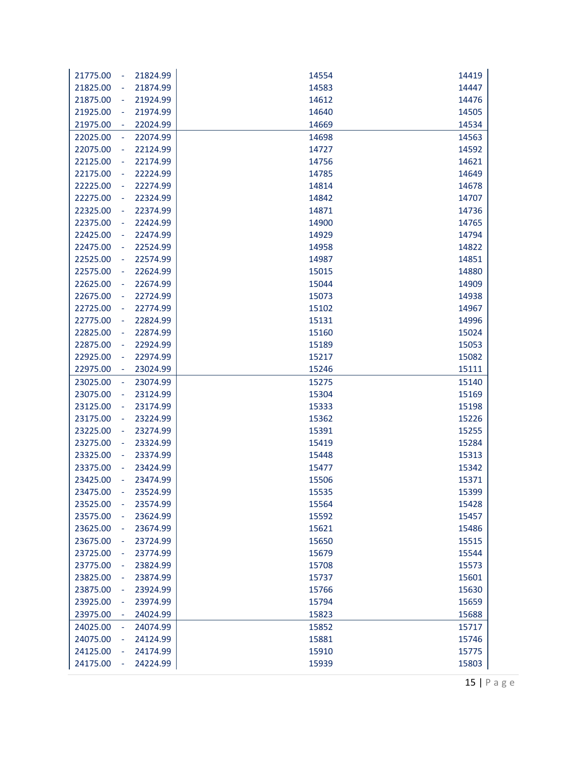| 21775.00<br>$\blacksquare$           | 21824.99 | 14554 | 14419 |
|--------------------------------------|----------|-------|-------|
| 21825.00                             | 21874.99 | 14583 | 14447 |
| 21875.00<br>$\blacksquare$           | 21924.99 | 14612 | 14476 |
| 21925.00<br>$\overline{\phantom{a}}$ | 21974.99 | 14640 | 14505 |
| 21975.00                             | 22024.99 | 14669 | 14534 |
| 22025.00<br>÷                        | 22074.99 | 14698 | 14563 |
| 22075.00<br>÷                        | 22124.99 | 14727 | 14592 |
| 22125.00<br>$\overline{\phantom{a}}$ | 22174.99 | 14756 | 14621 |
| 22175.00<br>$\blacksquare$           | 22224.99 | 14785 | 14649 |
| 22225.00<br>$\blacksquare$           | 22274.99 | 14814 | 14678 |
| 22275.00<br>$\blacksquare$           | 22324.99 | 14842 | 14707 |
| 22325.00<br>$\overline{\phantom{a}}$ | 22374.99 | 14871 | 14736 |
| 22375.00                             | 22424.99 | 14900 | 14765 |
| 22425.00                             | 22474.99 | 14929 | 14794 |
| 22475.00<br>۰                        | 22524.99 | 14958 | 14822 |
| 22525.00<br>$\blacksquare$           | 22574.99 | 14987 | 14851 |
| 22575.00<br>$\blacksquare$           | 22624.99 | 15015 | 14880 |
| 22625.00<br>$\blacksquare$           | 22674.99 | 15044 | 14909 |
| 22675.00                             | 22724.99 | 15073 | 14938 |
| 22725.00<br>$\overline{\phantom{a}}$ | 22774.99 | 15102 | 14967 |
| 22775.00                             | 22824.99 | 15131 | 14996 |
| 22825.00                             | 22874.99 | 15160 | 15024 |
| 22875.00<br>÷                        | 22924.99 | 15189 | 15053 |
| 22925.00<br>$\blacksquare$           | 22974.99 | 15217 | 15082 |
| 22975.00<br>$\overline{\phantom{a}}$ | 23024.99 | 15246 | 15111 |
| 23025.00<br>$\overline{\phantom{a}}$ | 23074.99 | 15275 | 15140 |
| 23075.00<br>$\overline{\phantom{a}}$ | 23124.99 | 15304 | 15169 |
| 23125.00                             | 23174.99 | 15333 | 15198 |
| 23175.00                             | 23224.99 | 15362 | 15226 |
| 23225.00<br>÷                        | 23274.99 | 15391 | 15255 |
| 23275.00<br>$\blacksquare$           | 23324.99 | 15419 | 15284 |
| 23325.00<br>$\blacksquare$           | 23374.99 | 15448 | 15313 |
| 23375.00                             | 23424.99 | 15477 | 15342 |
| 23425.00                             | 23474.99 | 15506 | 15371 |
| 23475.00                             | 23524.99 | 15535 | 15399 |
| 23525.00                             | 23574.99 | 15564 | 15428 |
| 23575.00                             | 23624.99 | 15592 | 15457 |
| 23625.00<br>۰                        | 23674.99 | 15621 | 15486 |
| 23675.00<br>$\overline{\phantom{a}}$ | 23724.99 | 15650 | 15515 |
| 23725.00                             | 23774.99 | 15679 | 15544 |
| 23775.00                             | 23824.99 | 15708 | 15573 |
| 23825.00                             | 23874.99 | 15737 | 15601 |
| 23875.00                             | 23924.99 | 15766 | 15630 |
| 23925.00                             | 23974.99 | 15794 | 15659 |
| 23975.00                             | 24024.99 | 15823 | 15688 |
| 24025.00<br>$\blacksquare$           | 24074.99 | 15852 | 15717 |
| 24075.00                             | 24124.99 | 15881 | 15746 |
| 24125.00<br>$\equiv$                 | 24174.99 | 15910 | 15775 |
| 24175.00                             | 24224.99 | 15939 | 15803 |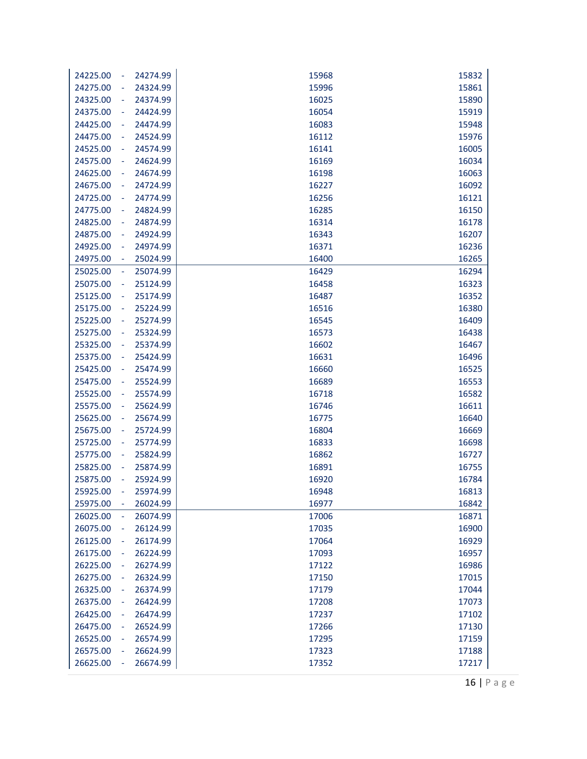| 24274.99<br>24225.00<br>÷                    | 15968          | 15832          |
|----------------------------------------------|----------------|----------------|
| 24324.99<br>24275.00<br>÷                    | 15996          | 15861          |
| 24325.00<br>24374.99<br>÷                    | 16025          | 15890          |
| 24375.00<br>24424.99<br>÷,                   | 16054          | 15919          |
| 24425.00<br>24474.99<br>÷,                   | 16083          | 15948          |
| 24475.00<br>24524.99<br>÷                    | 16112          | 15976          |
| 24525.00<br>24574.99<br>÷                    | 16141          | 16005          |
| 24575.00<br>24624.99<br>÷                    | 16169          | 16034          |
| 24674.99<br>24625.00<br>÷                    | 16198          | 16063          |
| 24675.00<br>24724.99<br>÷                    | 16227          | 16092          |
| 24725.00<br>24774.99<br>÷                    | 16256          | 16121          |
| 24824.99<br>24775.00<br>÷                    | 16285          | 16150          |
| 24825.00<br>24874.99<br>÷                    | 16314          | 16178          |
| 24875.00<br>24924.99<br>÷                    | 16343          | 16207          |
| 24925.00<br>24974.99<br>÷                    | 16371          | 16236          |
| 24975.00<br>25024.99<br>÷                    | 16400          | 16265          |
| 25025.00<br>25074.99<br>$\blacksquare$       | 16429          | 16294          |
| 25075.00<br>25124.99<br>÷                    | 16458          | 16323          |
| 25125.00<br>25174.99                         | 16487          | 16352          |
| 25175.00<br>25224.99<br>÷,                   | 16516          | 16380          |
| 25225.00<br>25274.99<br>÷                    | 16545          | 16409          |
| 25275.00<br>25324.99<br>÷                    | 16573          | 16438          |
| 25325.00<br>25374.99<br>÷                    | 16602          | 16467          |
| 25375.00<br>25424.99<br>÷                    | 16631          | 16496          |
| 25474.99<br>25425.00<br>÷                    | 16660          | 16525          |
| 25475.00<br>25524.99<br>÷                    | 16689          | 16553          |
| 25525.00<br>25574.99<br>Ĭ,                   | 16718          | 16582          |
| 25575.00<br>25624.99<br>÷                    | 16746          | 16611          |
| 25625.00<br>25674.99<br>÷                    | 16775          | 16640          |
| 25675.00<br>25724.99<br>÷                    | 16804          | 16669          |
| 25725.00<br>25774.99<br>÷                    | 16833          | 16698          |
| 25824.99<br>25775.00<br>÷                    | 16862          | 16727          |
| 25874.99<br>25825.00<br>÷                    | 16891          | 16755          |
| 25875.00<br>25924.99<br>÷                    | 16920          | 16784          |
| 25925.00<br>25974.99                         | 16948          | 16813          |
| 25975.00<br>÷<br>26024.99                    | 16977          | 16842          |
| 26025.00<br>26074.99                         | 17006<br>17035 | 16871          |
| 26075.00<br>26124.99<br>÷                    |                | 16900          |
| 26125.00<br>26174.99<br>÷                    | 17064          | 16929          |
| 26175.00<br>26224.99<br>26225.00<br>26274.99 | 17093<br>17122 | 16957<br>16986 |
|                                              |                |                |
| 26275.00<br>26324.99<br>26325.00<br>26374.99 | 17150<br>17179 | 17015<br>17044 |
| 26375.00<br>26424.99                         | 17208          | 17073          |
| 26425.00<br>26474.99<br>÷                    | 17237          | 17102          |
| 26475.00<br>26524.99<br>÷                    | 17266          | 17130          |
| 26525.00<br>26574.99<br>÷                    | 17295          | 17159          |
| 26575.00<br>26624.99<br>÷                    | 17323          | 17188          |
| 26625.00<br>26674.99                         | 17352          | 17217          |
|                                              |                |                |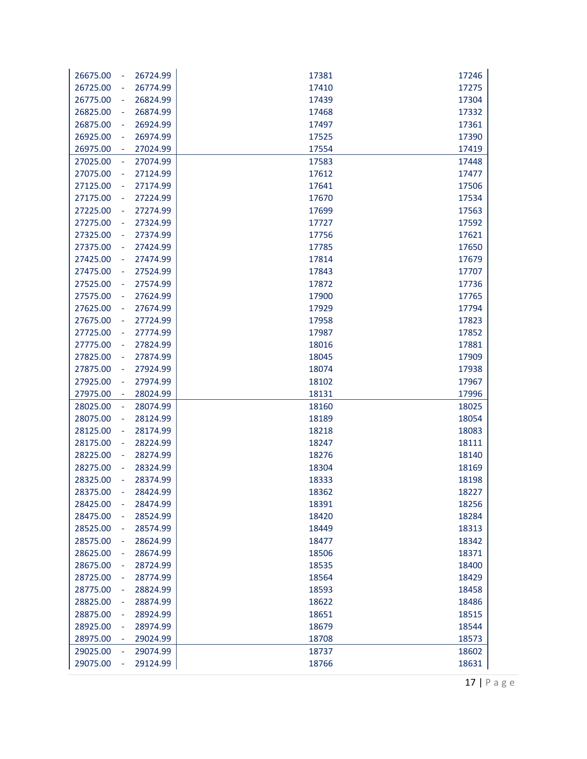| 26724.99<br>17246<br>26675.00<br>17381<br>$\blacksquare$<br>26774.99<br>17410<br>17275<br>26725.00<br>$\blacksquare$<br>26775.00<br>26824.99<br>17439<br>17304<br>÷<br>26825.00<br>26874.99<br>17332<br>17468<br>$\blacksquare$<br>26875.00<br>26924.99<br>17497<br>17361<br>$\blacksquare$<br>26974.99<br>17390<br>26925.00<br>17525<br>Ξ<br>26975.00<br>27024.99<br>17554<br>17419<br>$\blacksquare$<br>27025.00<br>27074.99<br>17448<br>17583<br>$\overline{\phantom{a}}$<br>27075.00<br>17612<br>17477<br>27124.99<br>÷<br>27125.00<br>27174.99<br>17641<br>17506<br>÷,<br>27175.00<br>27224.99<br>17670<br>17534<br>÷<br>27225.00<br>27274.99<br>17699<br>17563<br>$\blacksquare$<br>27324.99<br>17592<br>27275.00<br>17727<br>Ξ<br>27374.99<br>17621<br>27325.00<br>17756<br>$\equiv$<br>27375.00<br>17650<br>27424.99<br>17785<br>$\blacksquare$<br>27425.00<br>27474.99<br>17814<br>17679<br>$\blacksquare$<br>27524.99<br>17707<br>27475.00<br>17843<br>÷<br>27525.00<br>27574.99<br>17872<br>17736<br>$\blacksquare$<br>27624.99<br>27575.00<br>17900<br>17765<br>$\blacksquare$<br>27625.00<br>27674.99<br>17929<br>17794<br>÷,<br>27675.00<br>27724.99<br>17823<br>17958<br>Ξ<br>27725.00<br>27774.99<br>17987<br>17852<br>÷<br>27775.00<br>27824.99<br>17881<br>18016<br>$\blacksquare$<br>27825.00<br>27874.99<br>18045<br>17909<br>$\blacksquare$<br>27875.00<br>18074<br>17938<br>27924.99<br>÷<br>27925.00<br>27974.99<br>18102<br>17967<br>÷<br>27975.00<br>28024.99<br>18131<br>17996<br>۰<br>28025.00<br>28074.99<br>18160<br>18025<br>$\blacksquare$<br>28075.00<br>28124.99<br>18189<br>18054<br>÷<br>28125.00<br>18083<br>28174.99<br>18218<br>$\blacksquare$<br>28224.99<br>18247<br>18111<br>28175.00<br>$\blacksquare$<br>18276<br>18140<br>28225.00<br>28274.99<br>÷<br>28275.00<br>28324.99<br>18169<br>18304<br>÷<br>28325.00<br>28374.99<br>18333<br>18198<br>÷,<br>18362<br>18227<br>28375.00<br>28424.99<br>28425.00<br>28474.99<br>18256<br>18391<br>$\blacksquare$<br>28475.00<br>28524.99<br>18420<br>18284<br>۳<br>28525.00<br>28574.99<br>18449<br>18313<br>÷<br>28575.00<br>28624.99<br>18477<br>18342<br>÷<br>28625.00<br>28674.99<br>18506<br>18371<br>÷<br>28675.00<br>28724.99<br>18535<br>18400<br>÷<br>28725.00<br>28774.99<br>18564<br>18429<br>÷<br>28775.00<br>28824.99<br>18593<br>18458<br>÷<br>28825.00<br>28874.99<br>18622<br>18486<br>÷<br>28875.00<br>28924.99<br>18651<br>18515<br>۰<br>28925.00<br>28974.99<br>18679<br>18544<br>÷<br>28975.00<br>29024.99<br>18708<br>18573<br>29025.00<br>29074.99<br>18737<br>18602<br>$\blacksquare$<br>29075.00<br>29124.99<br>18766<br>18631<br>÷ |  |  |
|-------------------------------------------------------------------------------------------------------------------------------------------------------------------------------------------------------------------------------------------------------------------------------------------------------------------------------------------------------------------------------------------------------------------------------------------------------------------------------------------------------------------------------------------------------------------------------------------------------------------------------------------------------------------------------------------------------------------------------------------------------------------------------------------------------------------------------------------------------------------------------------------------------------------------------------------------------------------------------------------------------------------------------------------------------------------------------------------------------------------------------------------------------------------------------------------------------------------------------------------------------------------------------------------------------------------------------------------------------------------------------------------------------------------------------------------------------------------------------------------------------------------------------------------------------------------------------------------------------------------------------------------------------------------------------------------------------------------------------------------------------------------------------------------------------------------------------------------------------------------------------------------------------------------------------------------------------------------------------------------------------------------------------------------------------------------------------------------------------------------------------------------------------------------------------------------------------------------------------------------------------------------------------------------------------------------------------------------------------------------------------------------------------------------------------------------------------------------------------------------------------------------------------------------------------------------------------------------------------------------------------------------------|--|--|
|                                                                                                                                                                                                                                                                                                                                                                                                                                                                                                                                                                                                                                                                                                                                                                                                                                                                                                                                                                                                                                                                                                                                                                                                                                                                                                                                                                                                                                                                                                                                                                                                                                                                                                                                                                                                                                                                                                                                                                                                                                                                                                                                                                                                                                                                                                                                                                                                                                                                                                                                                                                                                                                 |  |  |
|                                                                                                                                                                                                                                                                                                                                                                                                                                                                                                                                                                                                                                                                                                                                                                                                                                                                                                                                                                                                                                                                                                                                                                                                                                                                                                                                                                                                                                                                                                                                                                                                                                                                                                                                                                                                                                                                                                                                                                                                                                                                                                                                                                                                                                                                                                                                                                                                                                                                                                                                                                                                                                                 |  |  |
|                                                                                                                                                                                                                                                                                                                                                                                                                                                                                                                                                                                                                                                                                                                                                                                                                                                                                                                                                                                                                                                                                                                                                                                                                                                                                                                                                                                                                                                                                                                                                                                                                                                                                                                                                                                                                                                                                                                                                                                                                                                                                                                                                                                                                                                                                                                                                                                                                                                                                                                                                                                                                                                 |  |  |
|                                                                                                                                                                                                                                                                                                                                                                                                                                                                                                                                                                                                                                                                                                                                                                                                                                                                                                                                                                                                                                                                                                                                                                                                                                                                                                                                                                                                                                                                                                                                                                                                                                                                                                                                                                                                                                                                                                                                                                                                                                                                                                                                                                                                                                                                                                                                                                                                                                                                                                                                                                                                                                                 |  |  |
|                                                                                                                                                                                                                                                                                                                                                                                                                                                                                                                                                                                                                                                                                                                                                                                                                                                                                                                                                                                                                                                                                                                                                                                                                                                                                                                                                                                                                                                                                                                                                                                                                                                                                                                                                                                                                                                                                                                                                                                                                                                                                                                                                                                                                                                                                                                                                                                                                                                                                                                                                                                                                                                 |  |  |
|                                                                                                                                                                                                                                                                                                                                                                                                                                                                                                                                                                                                                                                                                                                                                                                                                                                                                                                                                                                                                                                                                                                                                                                                                                                                                                                                                                                                                                                                                                                                                                                                                                                                                                                                                                                                                                                                                                                                                                                                                                                                                                                                                                                                                                                                                                                                                                                                                                                                                                                                                                                                                                                 |  |  |
|                                                                                                                                                                                                                                                                                                                                                                                                                                                                                                                                                                                                                                                                                                                                                                                                                                                                                                                                                                                                                                                                                                                                                                                                                                                                                                                                                                                                                                                                                                                                                                                                                                                                                                                                                                                                                                                                                                                                                                                                                                                                                                                                                                                                                                                                                                                                                                                                                                                                                                                                                                                                                                                 |  |  |
|                                                                                                                                                                                                                                                                                                                                                                                                                                                                                                                                                                                                                                                                                                                                                                                                                                                                                                                                                                                                                                                                                                                                                                                                                                                                                                                                                                                                                                                                                                                                                                                                                                                                                                                                                                                                                                                                                                                                                                                                                                                                                                                                                                                                                                                                                                                                                                                                                                                                                                                                                                                                                                                 |  |  |
|                                                                                                                                                                                                                                                                                                                                                                                                                                                                                                                                                                                                                                                                                                                                                                                                                                                                                                                                                                                                                                                                                                                                                                                                                                                                                                                                                                                                                                                                                                                                                                                                                                                                                                                                                                                                                                                                                                                                                                                                                                                                                                                                                                                                                                                                                                                                                                                                                                                                                                                                                                                                                                                 |  |  |
|                                                                                                                                                                                                                                                                                                                                                                                                                                                                                                                                                                                                                                                                                                                                                                                                                                                                                                                                                                                                                                                                                                                                                                                                                                                                                                                                                                                                                                                                                                                                                                                                                                                                                                                                                                                                                                                                                                                                                                                                                                                                                                                                                                                                                                                                                                                                                                                                                                                                                                                                                                                                                                                 |  |  |
|                                                                                                                                                                                                                                                                                                                                                                                                                                                                                                                                                                                                                                                                                                                                                                                                                                                                                                                                                                                                                                                                                                                                                                                                                                                                                                                                                                                                                                                                                                                                                                                                                                                                                                                                                                                                                                                                                                                                                                                                                                                                                                                                                                                                                                                                                                                                                                                                                                                                                                                                                                                                                                                 |  |  |
|                                                                                                                                                                                                                                                                                                                                                                                                                                                                                                                                                                                                                                                                                                                                                                                                                                                                                                                                                                                                                                                                                                                                                                                                                                                                                                                                                                                                                                                                                                                                                                                                                                                                                                                                                                                                                                                                                                                                                                                                                                                                                                                                                                                                                                                                                                                                                                                                                                                                                                                                                                                                                                                 |  |  |
|                                                                                                                                                                                                                                                                                                                                                                                                                                                                                                                                                                                                                                                                                                                                                                                                                                                                                                                                                                                                                                                                                                                                                                                                                                                                                                                                                                                                                                                                                                                                                                                                                                                                                                                                                                                                                                                                                                                                                                                                                                                                                                                                                                                                                                                                                                                                                                                                                                                                                                                                                                                                                                                 |  |  |
|                                                                                                                                                                                                                                                                                                                                                                                                                                                                                                                                                                                                                                                                                                                                                                                                                                                                                                                                                                                                                                                                                                                                                                                                                                                                                                                                                                                                                                                                                                                                                                                                                                                                                                                                                                                                                                                                                                                                                                                                                                                                                                                                                                                                                                                                                                                                                                                                                                                                                                                                                                                                                                                 |  |  |
|                                                                                                                                                                                                                                                                                                                                                                                                                                                                                                                                                                                                                                                                                                                                                                                                                                                                                                                                                                                                                                                                                                                                                                                                                                                                                                                                                                                                                                                                                                                                                                                                                                                                                                                                                                                                                                                                                                                                                                                                                                                                                                                                                                                                                                                                                                                                                                                                                                                                                                                                                                                                                                                 |  |  |
|                                                                                                                                                                                                                                                                                                                                                                                                                                                                                                                                                                                                                                                                                                                                                                                                                                                                                                                                                                                                                                                                                                                                                                                                                                                                                                                                                                                                                                                                                                                                                                                                                                                                                                                                                                                                                                                                                                                                                                                                                                                                                                                                                                                                                                                                                                                                                                                                                                                                                                                                                                                                                                                 |  |  |
|                                                                                                                                                                                                                                                                                                                                                                                                                                                                                                                                                                                                                                                                                                                                                                                                                                                                                                                                                                                                                                                                                                                                                                                                                                                                                                                                                                                                                                                                                                                                                                                                                                                                                                                                                                                                                                                                                                                                                                                                                                                                                                                                                                                                                                                                                                                                                                                                                                                                                                                                                                                                                                                 |  |  |
|                                                                                                                                                                                                                                                                                                                                                                                                                                                                                                                                                                                                                                                                                                                                                                                                                                                                                                                                                                                                                                                                                                                                                                                                                                                                                                                                                                                                                                                                                                                                                                                                                                                                                                                                                                                                                                                                                                                                                                                                                                                                                                                                                                                                                                                                                                                                                                                                                                                                                                                                                                                                                                                 |  |  |
|                                                                                                                                                                                                                                                                                                                                                                                                                                                                                                                                                                                                                                                                                                                                                                                                                                                                                                                                                                                                                                                                                                                                                                                                                                                                                                                                                                                                                                                                                                                                                                                                                                                                                                                                                                                                                                                                                                                                                                                                                                                                                                                                                                                                                                                                                                                                                                                                                                                                                                                                                                                                                                                 |  |  |
|                                                                                                                                                                                                                                                                                                                                                                                                                                                                                                                                                                                                                                                                                                                                                                                                                                                                                                                                                                                                                                                                                                                                                                                                                                                                                                                                                                                                                                                                                                                                                                                                                                                                                                                                                                                                                                                                                                                                                                                                                                                                                                                                                                                                                                                                                                                                                                                                                                                                                                                                                                                                                                                 |  |  |
|                                                                                                                                                                                                                                                                                                                                                                                                                                                                                                                                                                                                                                                                                                                                                                                                                                                                                                                                                                                                                                                                                                                                                                                                                                                                                                                                                                                                                                                                                                                                                                                                                                                                                                                                                                                                                                                                                                                                                                                                                                                                                                                                                                                                                                                                                                                                                                                                                                                                                                                                                                                                                                                 |  |  |
|                                                                                                                                                                                                                                                                                                                                                                                                                                                                                                                                                                                                                                                                                                                                                                                                                                                                                                                                                                                                                                                                                                                                                                                                                                                                                                                                                                                                                                                                                                                                                                                                                                                                                                                                                                                                                                                                                                                                                                                                                                                                                                                                                                                                                                                                                                                                                                                                                                                                                                                                                                                                                                                 |  |  |
|                                                                                                                                                                                                                                                                                                                                                                                                                                                                                                                                                                                                                                                                                                                                                                                                                                                                                                                                                                                                                                                                                                                                                                                                                                                                                                                                                                                                                                                                                                                                                                                                                                                                                                                                                                                                                                                                                                                                                                                                                                                                                                                                                                                                                                                                                                                                                                                                                                                                                                                                                                                                                                                 |  |  |
|                                                                                                                                                                                                                                                                                                                                                                                                                                                                                                                                                                                                                                                                                                                                                                                                                                                                                                                                                                                                                                                                                                                                                                                                                                                                                                                                                                                                                                                                                                                                                                                                                                                                                                                                                                                                                                                                                                                                                                                                                                                                                                                                                                                                                                                                                                                                                                                                                                                                                                                                                                                                                                                 |  |  |
|                                                                                                                                                                                                                                                                                                                                                                                                                                                                                                                                                                                                                                                                                                                                                                                                                                                                                                                                                                                                                                                                                                                                                                                                                                                                                                                                                                                                                                                                                                                                                                                                                                                                                                                                                                                                                                                                                                                                                                                                                                                                                                                                                                                                                                                                                                                                                                                                                                                                                                                                                                                                                                                 |  |  |
|                                                                                                                                                                                                                                                                                                                                                                                                                                                                                                                                                                                                                                                                                                                                                                                                                                                                                                                                                                                                                                                                                                                                                                                                                                                                                                                                                                                                                                                                                                                                                                                                                                                                                                                                                                                                                                                                                                                                                                                                                                                                                                                                                                                                                                                                                                                                                                                                                                                                                                                                                                                                                                                 |  |  |
|                                                                                                                                                                                                                                                                                                                                                                                                                                                                                                                                                                                                                                                                                                                                                                                                                                                                                                                                                                                                                                                                                                                                                                                                                                                                                                                                                                                                                                                                                                                                                                                                                                                                                                                                                                                                                                                                                                                                                                                                                                                                                                                                                                                                                                                                                                                                                                                                                                                                                                                                                                                                                                                 |  |  |
|                                                                                                                                                                                                                                                                                                                                                                                                                                                                                                                                                                                                                                                                                                                                                                                                                                                                                                                                                                                                                                                                                                                                                                                                                                                                                                                                                                                                                                                                                                                                                                                                                                                                                                                                                                                                                                                                                                                                                                                                                                                                                                                                                                                                                                                                                                                                                                                                                                                                                                                                                                                                                                                 |  |  |
|                                                                                                                                                                                                                                                                                                                                                                                                                                                                                                                                                                                                                                                                                                                                                                                                                                                                                                                                                                                                                                                                                                                                                                                                                                                                                                                                                                                                                                                                                                                                                                                                                                                                                                                                                                                                                                                                                                                                                                                                                                                                                                                                                                                                                                                                                                                                                                                                                                                                                                                                                                                                                                                 |  |  |
|                                                                                                                                                                                                                                                                                                                                                                                                                                                                                                                                                                                                                                                                                                                                                                                                                                                                                                                                                                                                                                                                                                                                                                                                                                                                                                                                                                                                                                                                                                                                                                                                                                                                                                                                                                                                                                                                                                                                                                                                                                                                                                                                                                                                                                                                                                                                                                                                                                                                                                                                                                                                                                                 |  |  |
|                                                                                                                                                                                                                                                                                                                                                                                                                                                                                                                                                                                                                                                                                                                                                                                                                                                                                                                                                                                                                                                                                                                                                                                                                                                                                                                                                                                                                                                                                                                                                                                                                                                                                                                                                                                                                                                                                                                                                                                                                                                                                                                                                                                                                                                                                                                                                                                                                                                                                                                                                                                                                                                 |  |  |
|                                                                                                                                                                                                                                                                                                                                                                                                                                                                                                                                                                                                                                                                                                                                                                                                                                                                                                                                                                                                                                                                                                                                                                                                                                                                                                                                                                                                                                                                                                                                                                                                                                                                                                                                                                                                                                                                                                                                                                                                                                                                                                                                                                                                                                                                                                                                                                                                                                                                                                                                                                                                                                                 |  |  |
|                                                                                                                                                                                                                                                                                                                                                                                                                                                                                                                                                                                                                                                                                                                                                                                                                                                                                                                                                                                                                                                                                                                                                                                                                                                                                                                                                                                                                                                                                                                                                                                                                                                                                                                                                                                                                                                                                                                                                                                                                                                                                                                                                                                                                                                                                                                                                                                                                                                                                                                                                                                                                                                 |  |  |
|                                                                                                                                                                                                                                                                                                                                                                                                                                                                                                                                                                                                                                                                                                                                                                                                                                                                                                                                                                                                                                                                                                                                                                                                                                                                                                                                                                                                                                                                                                                                                                                                                                                                                                                                                                                                                                                                                                                                                                                                                                                                                                                                                                                                                                                                                                                                                                                                                                                                                                                                                                                                                                                 |  |  |
|                                                                                                                                                                                                                                                                                                                                                                                                                                                                                                                                                                                                                                                                                                                                                                                                                                                                                                                                                                                                                                                                                                                                                                                                                                                                                                                                                                                                                                                                                                                                                                                                                                                                                                                                                                                                                                                                                                                                                                                                                                                                                                                                                                                                                                                                                                                                                                                                                                                                                                                                                                                                                                                 |  |  |
|                                                                                                                                                                                                                                                                                                                                                                                                                                                                                                                                                                                                                                                                                                                                                                                                                                                                                                                                                                                                                                                                                                                                                                                                                                                                                                                                                                                                                                                                                                                                                                                                                                                                                                                                                                                                                                                                                                                                                                                                                                                                                                                                                                                                                                                                                                                                                                                                                                                                                                                                                                                                                                                 |  |  |
|                                                                                                                                                                                                                                                                                                                                                                                                                                                                                                                                                                                                                                                                                                                                                                                                                                                                                                                                                                                                                                                                                                                                                                                                                                                                                                                                                                                                                                                                                                                                                                                                                                                                                                                                                                                                                                                                                                                                                                                                                                                                                                                                                                                                                                                                                                                                                                                                                                                                                                                                                                                                                                                 |  |  |
|                                                                                                                                                                                                                                                                                                                                                                                                                                                                                                                                                                                                                                                                                                                                                                                                                                                                                                                                                                                                                                                                                                                                                                                                                                                                                                                                                                                                                                                                                                                                                                                                                                                                                                                                                                                                                                                                                                                                                                                                                                                                                                                                                                                                                                                                                                                                                                                                                                                                                                                                                                                                                                                 |  |  |
|                                                                                                                                                                                                                                                                                                                                                                                                                                                                                                                                                                                                                                                                                                                                                                                                                                                                                                                                                                                                                                                                                                                                                                                                                                                                                                                                                                                                                                                                                                                                                                                                                                                                                                                                                                                                                                                                                                                                                                                                                                                                                                                                                                                                                                                                                                                                                                                                                                                                                                                                                                                                                                                 |  |  |
|                                                                                                                                                                                                                                                                                                                                                                                                                                                                                                                                                                                                                                                                                                                                                                                                                                                                                                                                                                                                                                                                                                                                                                                                                                                                                                                                                                                                                                                                                                                                                                                                                                                                                                                                                                                                                                                                                                                                                                                                                                                                                                                                                                                                                                                                                                                                                                                                                                                                                                                                                                                                                                                 |  |  |
|                                                                                                                                                                                                                                                                                                                                                                                                                                                                                                                                                                                                                                                                                                                                                                                                                                                                                                                                                                                                                                                                                                                                                                                                                                                                                                                                                                                                                                                                                                                                                                                                                                                                                                                                                                                                                                                                                                                                                                                                                                                                                                                                                                                                                                                                                                                                                                                                                                                                                                                                                                                                                                                 |  |  |
|                                                                                                                                                                                                                                                                                                                                                                                                                                                                                                                                                                                                                                                                                                                                                                                                                                                                                                                                                                                                                                                                                                                                                                                                                                                                                                                                                                                                                                                                                                                                                                                                                                                                                                                                                                                                                                                                                                                                                                                                                                                                                                                                                                                                                                                                                                                                                                                                                                                                                                                                                                                                                                                 |  |  |
|                                                                                                                                                                                                                                                                                                                                                                                                                                                                                                                                                                                                                                                                                                                                                                                                                                                                                                                                                                                                                                                                                                                                                                                                                                                                                                                                                                                                                                                                                                                                                                                                                                                                                                                                                                                                                                                                                                                                                                                                                                                                                                                                                                                                                                                                                                                                                                                                                                                                                                                                                                                                                                                 |  |  |
|                                                                                                                                                                                                                                                                                                                                                                                                                                                                                                                                                                                                                                                                                                                                                                                                                                                                                                                                                                                                                                                                                                                                                                                                                                                                                                                                                                                                                                                                                                                                                                                                                                                                                                                                                                                                                                                                                                                                                                                                                                                                                                                                                                                                                                                                                                                                                                                                                                                                                                                                                                                                                                                 |  |  |
|                                                                                                                                                                                                                                                                                                                                                                                                                                                                                                                                                                                                                                                                                                                                                                                                                                                                                                                                                                                                                                                                                                                                                                                                                                                                                                                                                                                                                                                                                                                                                                                                                                                                                                                                                                                                                                                                                                                                                                                                                                                                                                                                                                                                                                                                                                                                                                                                                                                                                                                                                                                                                                                 |  |  |
|                                                                                                                                                                                                                                                                                                                                                                                                                                                                                                                                                                                                                                                                                                                                                                                                                                                                                                                                                                                                                                                                                                                                                                                                                                                                                                                                                                                                                                                                                                                                                                                                                                                                                                                                                                                                                                                                                                                                                                                                                                                                                                                                                                                                                                                                                                                                                                                                                                                                                                                                                                                                                                                 |  |  |
|                                                                                                                                                                                                                                                                                                                                                                                                                                                                                                                                                                                                                                                                                                                                                                                                                                                                                                                                                                                                                                                                                                                                                                                                                                                                                                                                                                                                                                                                                                                                                                                                                                                                                                                                                                                                                                                                                                                                                                                                                                                                                                                                                                                                                                                                                                                                                                                                                                                                                                                                                                                                                                                 |  |  |
|                                                                                                                                                                                                                                                                                                                                                                                                                                                                                                                                                                                                                                                                                                                                                                                                                                                                                                                                                                                                                                                                                                                                                                                                                                                                                                                                                                                                                                                                                                                                                                                                                                                                                                                                                                                                                                                                                                                                                                                                                                                                                                                                                                                                                                                                                                                                                                                                                                                                                                                                                                                                                                                 |  |  |
|                                                                                                                                                                                                                                                                                                                                                                                                                                                                                                                                                                                                                                                                                                                                                                                                                                                                                                                                                                                                                                                                                                                                                                                                                                                                                                                                                                                                                                                                                                                                                                                                                                                                                                                                                                                                                                                                                                                                                                                                                                                                                                                                                                                                                                                                                                                                                                                                                                                                                                                                                                                                                                                 |  |  |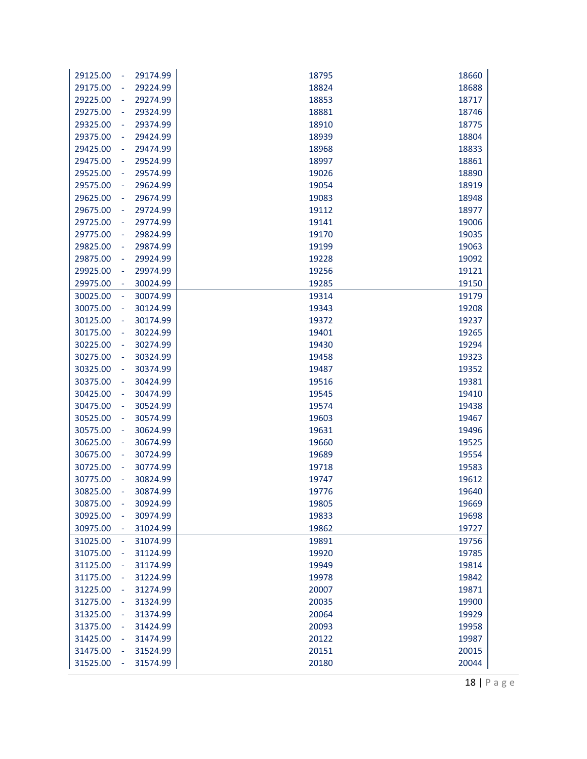| 18824<br>18688<br>29175.00<br>29224.99<br>÷<br>29274.99<br>18853<br>18717<br>29225.00<br>$\blacksquare$<br>29275.00<br>29324.99<br>18881<br>18746<br>÷<br>29325.00<br>29374.99<br>18910<br>18775<br>÷<br>29375.00<br>18939<br>18804<br>29424.99<br>÷,<br>29425.00<br>29474.99<br>18968<br>18833<br>29475.00<br>29524.99<br>18997<br>18861<br>÷<br>29525.00<br>29574.99<br>19026<br>18890<br>÷<br>29624.99<br>19054<br>18919<br>29575.00<br>÷<br>29674.99<br>19083<br>18948<br>29625.00<br>$\blacksquare$<br>18977<br>29675.00<br>29724.99<br>19112<br>÷<br>29725.00<br>29774.99<br>19141<br>19006<br>÷<br>29775.00<br>29824.99<br>19170<br>19035<br>Ĭ,<br>29825.00<br>29874.99<br>19199<br>19063<br>÷<br>29875.00<br>29924.99<br>19228<br>19092<br>÷<br>29925.00<br>29974.99<br>19256<br>19121<br>÷<br>19150<br>29975.00<br>30024.99<br>19285<br>÷<br>30025.00<br>30074.99<br>19314<br>19179<br>$\blacksquare$<br>30075.00<br>30124.99<br>19208<br>19343<br>÷<br>30125.00<br>30174.99<br>19372<br>19237<br>30175.00<br>30224.99<br>19401<br>19265<br>÷,<br>30225.00<br>30274.99<br>19430<br>19294<br>÷<br>30275.00<br>30324.99<br>19323<br>19458<br>÷<br>30325.00<br>30374.99<br>19487<br>19352<br>÷<br>19381<br>30375.00<br>30424.99<br>19516<br>÷<br>30474.99<br>19410<br>30425.00<br>19545<br>÷<br>30475.00<br>30524.99<br>19438<br>19574<br>÷<br>30525.00<br>30574.99<br>19603<br>19467<br>Ĭ,<br>30575.00<br>30624.99<br>19631<br>19496<br>÷<br>30625.00<br>30674.99<br>19660<br>19525<br>÷<br>30675.00<br>30724.99<br>19689<br>19554<br>÷<br>30725.00<br>30774.99<br>19718<br>19583<br>÷<br>30775.00<br>30824.99<br>19747<br>19612<br>30825.00<br>30874.99<br>19776<br>19640<br>÷<br>19669<br>30875.00<br>30924.99<br>19805<br>۰<br>30925.00<br>30974.99<br>19833<br>19698<br>31024.99<br>19727<br>30975.00<br>19862<br>31025.00<br>31074.99<br>19891<br>19756<br>÷<br>31075.00<br>19920<br>19785<br>31124.99<br>31125.00<br>19814<br>31174.99<br>19949<br>31175.00<br>31224.99<br>19842<br>19978<br>31225.00<br>31274.99<br>20007<br>19871<br>31275.00<br>31324.99<br>20035<br>19900<br>31325.00<br>20064<br>31374.99<br>19929<br>31375.00<br>31424.99<br>20093<br>19958<br>31425.00<br>20122<br>19987<br>31474.99 | 29125.00<br>÷ | 29174.99 | 18795 | 18660 |
|--------------------------------------------------------------------------------------------------------------------------------------------------------------------------------------------------------------------------------------------------------------------------------------------------------------------------------------------------------------------------------------------------------------------------------------------------------------------------------------------------------------------------------------------------------------------------------------------------------------------------------------------------------------------------------------------------------------------------------------------------------------------------------------------------------------------------------------------------------------------------------------------------------------------------------------------------------------------------------------------------------------------------------------------------------------------------------------------------------------------------------------------------------------------------------------------------------------------------------------------------------------------------------------------------------------------------------------------------------------------------------------------------------------------------------------------------------------------------------------------------------------------------------------------------------------------------------------------------------------------------------------------------------------------------------------------------------------------------------------------------------------------------------------------------------------------------------------------------------------------------------------------------------------------------------------------------------------------------------------------------------------------------------------------------------------------------------------------------------------------------------------------------------------------------------------------------------------------------|---------------|----------|-------|-------|
|                                                                                                                                                                                                                                                                                                                                                                                                                                                                                                                                                                                                                                                                                                                                                                                                                                                                                                                                                                                                                                                                                                                                                                                                                                                                                                                                                                                                                                                                                                                                                                                                                                                                                                                                                                                                                                                                                                                                                                                                                                                                                                                                                                                                                          |               |          |       |       |
|                                                                                                                                                                                                                                                                                                                                                                                                                                                                                                                                                                                                                                                                                                                                                                                                                                                                                                                                                                                                                                                                                                                                                                                                                                                                                                                                                                                                                                                                                                                                                                                                                                                                                                                                                                                                                                                                                                                                                                                                                                                                                                                                                                                                                          |               |          |       |       |
|                                                                                                                                                                                                                                                                                                                                                                                                                                                                                                                                                                                                                                                                                                                                                                                                                                                                                                                                                                                                                                                                                                                                                                                                                                                                                                                                                                                                                                                                                                                                                                                                                                                                                                                                                                                                                                                                                                                                                                                                                                                                                                                                                                                                                          |               |          |       |       |
|                                                                                                                                                                                                                                                                                                                                                                                                                                                                                                                                                                                                                                                                                                                                                                                                                                                                                                                                                                                                                                                                                                                                                                                                                                                                                                                                                                                                                                                                                                                                                                                                                                                                                                                                                                                                                                                                                                                                                                                                                                                                                                                                                                                                                          |               |          |       |       |
|                                                                                                                                                                                                                                                                                                                                                                                                                                                                                                                                                                                                                                                                                                                                                                                                                                                                                                                                                                                                                                                                                                                                                                                                                                                                                                                                                                                                                                                                                                                                                                                                                                                                                                                                                                                                                                                                                                                                                                                                                                                                                                                                                                                                                          |               |          |       |       |
|                                                                                                                                                                                                                                                                                                                                                                                                                                                                                                                                                                                                                                                                                                                                                                                                                                                                                                                                                                                                                                                                                                                                                                                                                                                                                                                                                                                                                                                                                                                                                                                                                                                                                                                                                                                                                                                                                                                                                                                                                                                                                                                                                                                                                          |               |          |       |       |
|                                                                                                                                                                                                                                                                                                                                                                                                                                                                                                                                                                                                                                                                                                                                                                                                                                                                                                                                                                                                                                                                                                                                                                                                                                                                                                                                                                                                                                                                                                                                                                                                                                                                                                                                                                                                                                                                                                                                                                                                                                                                                                                                                                                                                          |               |          |       |       |
|                                                                                                                                                                                                                                                                                                                                                                                                                                                                                                                                                                                                                                                                                                                                                                                                                                                                                                                                                                                                                                                                                                                                                                                                                                                                                                                                                                                                                                                                                                                                                                                                                                                                                                                                                                                                                                                                                                                                                                                                                                                                                                                                                                                                                          |               |          |       |       |
|                                                                                                                                                                                                                                                                                                                                                                                                                                                                                                                                                                                                                                                                                                                                                                                                                                                                                                                                                                                                                                                                                                                                                                                                                                                                                                                                                                                                                                                                                                                                                                                                                                                                                                                                                                                                                                                                                                                                                                                                                                                                                                                                                                                                                          |               |          |       |       |
|                                                                                                                                                                                                                                                                                                                                                                                                                                                                                                                                                                                                                                                                                                                                                                                                                                                                                                                                                                                                                                                                                                                                                                                                                                                                                                                                                                                                                                                                                                                                                                                                                                                                                                                                                                                                                                                                                                                                                                                                                                                                                                                                                                                                                          |               |          |       |       |
|                                                                                                                                                                                                                                                                                                                                                                                                                                                                                                                                                                                                                                                                                                                                                                                                                                                                                                                                                                                                                                                                                                                                                                                                                                                                                                                                                                                                                                                                                                                                                                                                                                                                                                                                                                                                                                                                                                                                                                                                                                                                                                                                                                                                                          |               |          |       |       |
|                                                                                                                                                                                                                                                                                                                                                                                                                                                                                                                                                                                                                                                                                                                                                                                                                                                                                                                                                                                                                                                                                                                                                                                                                                                                                                                                                                                                                                                                                                                                                                                                                                                                                                                                                                                                                                                                                                                                                                                                                                                                                                                                                                                                                          |               |          |       |       |
|                                                                                                                                                                                                                                                                                                                                                                                                                                                                                                                                                                                                                                                                                                                                                                                                                                                                                                                                                                                                                                                                                                                                                                                                                                                                                                                                                                                                                                                                                                                                                                                                                                                                                                                                                                                                                                                                                                                                                                                                                                                                                                                                                                                                                          |               |          |       |       |
|                                                                                                                                                                                                                                                                                                                                                                                                                                                                                                                                                                                                                                                                                                                                                                                                                                                                                                                                                                                                                                                                                                                                                                                                                                                                                                                                                                                                                                                                                                                                                                                                                                                                                                                                                                                                                                                                                                                                                                                                                                                                                                                                                                                                                          |               |          |       |       |
|                                                                                                                                                                                                                                                                                                                                                                                                                                                                                                                                                                                                                                                                                                                                                                                                                                                                                                                                                                                                                                                                                                                                                                                                                                                                                                                                                                                                                                                                                                                                                                                                                                                                                                                                                                                                                                                                                                                                                                                                                                                                                                                                                                                                                          |               |          |       |       |
|                                                                                                                                                                                                                                                                                                                                                                                                                                                                                                                                                                                                                                                                                                                                                                                                                                                                                                                                                                                                                                                                                                                                                                                                                                                                                                                                                                                                                                                                                                                                                                                                                                                                                                                                                                                                                                                                                                                                                                                                                                                                                                                                                                                                                          |               |          |       |       |
|                                                                                                                                                                                                                                                                                                                                                                                                                                                                                                                                                                                                                                                                                                                                                                                                                                                                                                                                                                                                                                                                                                                                                                                                                                                                                                                                                                                                                                                                                                                                                                                                                                                                                                                                                                                                                                                                                                                                                                                                                                                                                                                                                                                                                          |               |          |       |       |
|                                                                                                                                                                                                                                                                                                                                                                                                                                                                                                                                                                                                                                                                                                                                                                                                                                                                                                                                                                                                                                                                                                                                                                                                                                                                                                                                                                                                                                                                                                                                                                                                                                                                                                                                                                                                                                                                                                                                                                                                                                                                                                                                                                                                                          |               |          |       |       |
|                                                                                                                                                                                                                                                                                                                                                                                                                                                                                                                                                                                                                                                                                                                                                                                                                                                                                                                                                                                                                                                                                                                                                                                                                                                                                                                                                                                                                                                                                                                                                                                                                                                                                                                                                                                                                                                                                                                                                                                                                                                                                                                                                                                                                          |               |          |       |       |
|                                                                                                                                                                                                                                                                                                                                                                                                                                                                                                                                                                                                                                                                                                                                                                                                                                                                                                                                                                                                                                                                                                                                                                                                                                                                                                                                                                                                                                                                                                                                                                                                                                                                                                                                                                                                                                                                                                                                                                                                                                                                                                                                                                                                                          |               |          |       |       |
|                                                                                                                                                                                                                                                                                                                                                                                                                                                                                                                                                                                                                                                                                                                                                                                                                                                                                                                                                                                                                                                                                                                                                                                                                                                                                                                                                                                                                                                                                                                                                                                                                                                                                                                                                                                                                                                                                                                                                                                                                                                                                                                                                                                                                          |               |          |       |       |
|                                                                                                                                                                                                                                                                                                                                                                                                                                                                                                                                                                                                                                                                                                                                                                                                                                                                                                                                                                                                                                                                                                                                                                                                                                                                                                                                                                                                                                                                                                                                                                                                                                                                                                                                                                                                                                                                                                                                                                                                                                                                                                                                                                                                                          |               |          |       |       |
|                                                                                                                                                                                                                                                                                                                                                                                                                                                                                                                                                                                                                                                                                                                                                                                                                                                                                                                                                                                                                                                                                                                                                                                                                                                                                                                                                                                                                                                                                                                                                                                                                                                                                                                                                                                                                                                                                                                                                                                                                                                                                                                                                                                                                          |               |          |       |       |
|                                                                                                                                                                                                                                                                                                                                                                                                                                                                                                                                                                                                                                                                                                                                                                                                                                                                                                                                                                                                                                                                                                                                                                                                                                                                                                                                                                                                                                                                                                                                                                                                                                                                                                                                                                                                                                                                                                                                                                                                                                                                                                                                                                                                                          |               |          |       |       |
|                                                                                                                                                                                                                                                                                                                                                                                                                                                                                                                                                                                                                                                                                                                                                                                                                                                                                                                                                                                                                                                                                                                                                                                                                                                                                                                                                                                                                                                                                                                                                                                                                                                                                                                                                                                                                                                                                                                                                                                                                                                                                                                                                                                                                          |               |          |       |       |
|                                                                                                                                                                                                                                                                                                                                                                                                                                                                                                                                                                                                                                                                                                                                                                                                                                                                                                                                                                                                                                                                                                                                                                                                                                                                                                                                                                                                                                                                                                                                                                                                                                                                                                                                                                                                                                                                                                                                                                                                                                                                                                                                                                                                                          |               |          |       |       |
|                                                                                                                                                                                                                                                                                                                                                                                                                                                                                                                                                                                                                                                                                                                                                                                                                                                                                                                                                                                                                                                                                                                                                                                                                                                                                                                                                                                                                                                                                                                                                                                                                                                                                                                                                                                                                                                                                                                                                                                                                                                                                                                                                                                                                          |               |          |       |       |
|                                                                                                                                                                                                                                                                                                                                                                                                                                                                                                                                                                                                                                                                                                                                                                                                                                                                                                                                                                                                                                                                                                                                                                                                                                                                                                                                                                                                                                                                                                                                                                                                                                                                                                                                                                                                                                                                                                                                                                                                                                                                                                                                                                                                                          |               |          |       |       |
|                                                                                                                                                                                                                                                                                                                                                                                                                                                                                                                                                                                                                                                                                                                                                                                                                                                                                                                                                                                                                                                                                                                                                                                                                                                                                                                                                                                                                                                                                                                                                                                                                                                                                                                                                                                                                                                                                                                                                                                                                                                                                                                                                                                                                          |               |          |       |       |
|                                                                                                                                                                                                                                                                                                                                                                                                                                                                                                                                                                                                                                                                                                                                                                                                                                                                                                                                                                                                                                                                                                                                                                                                                                                                                                                                                                                                                                                                                                                                                                                                                                                                                                                                                                                                                                                                                                                                                                                                                                                                                                                                                                                                                          |               |          |       |       |
|                                                                                                                                                                                                                                                                                                                                                                                                                                                                                                                                                                                                                                                                                                                                                                                                                                                                                                                                                                                                                                                                                                                                                                                                                                                                                                                                                                                                                                                                                                                                                                                                                                                                                                                                                                                                                                                                                                                                                                                                                                                                                                                                                                                                                          |               |          |       |       |
|                                                                                                                                                                                                                                                                                                                                                                                                                                                                                                                                                                                                                                                                                                                                                                                                                                                                                                                                                                                                                                                                                                                                                                                                                                                                                                                                                                                                                                                                                                                                                                                                                                                                                                                                                                                                                                                                                                                                                                                                                                                                                                                                                                                                                          |               |          |       |       |
|                                                                                                                                                                                                                                                                                                                                                                                                                                                                                                                                                                                                                                                                                                                                                                                                                                                                                                                                                                                                                                                                                                                                                                                                                                                                                                                                                                                                                                                                                                                                                                                                                                                                                                                                                                                                                                                                                                                                                                                                                                                                                                                                                                                                                          |               |          |       |       |
|                                                                                                                                                                                                                                                                                                                                                                                                                                                                                                                                                                                                                                                                                                                                                                                                                                                                                                                                                                                                                                                                                                                                                                                                                                                                                                                                                                                                                                                                                                                                                                                                                                                                                                                                                                                                                                                                                                                                                                                                                                                                                                                                                                                                                          |               |          |       |       |
|                                                                                                                                                                                                                                                                                                                                                                                                                                                                                                                                                                                                                                                                                                                                                                                                                                                                                                                                                                                                                                                                                                                                                                                                                                                                                                                                                                                                                                                                                                                                                                                                                                                                                                                                                                                                                                                                                                                                                                                                                                                                                                                                                                                                                          |               |          |       |       |
|                                                                                                                                                                                                                                                                                                                                                                                                                                                                                                                                                                                                                                                                                                                                                                                                                                                                                                                                                                                                                                                                                                                                                                                                                                                                                                                                                                                                                                                                                                                                                                                                                                                                                                                                                                                                                                                                                                                                                                                                                                                                                                                                                                                                                          |               |          |       |       |
|                                                                                                                                                                                                                                                                                                                                                                                                                                                                                                                                                                                                                                                                                                                                                                                                                                                                                                                                                                                                                                                                                                                                                                                                                                                                                                                                                                                                                                                                                                                                                                                                                                                                                                                                                                                                                                                                                                                                                                                                                                                                                                                                                                                                                          |               |          |       |       |
|                                                                                                                                                                                                                                                                                                                                                                                                                                                                                                                                                                                                                                                                                                                                                                                                                                                                                                                                                                                                                                                                                                                                                                                                                                                                                                                                                                                                                                                                                                                                                                                                                                                                                                                                                                                                                                                                                                                                                                                                                                                                                                                                                                                                                          |               |          |       |       |
|                                                                                                                                                                                                                                                                                                                                                                                                                                                                                                                                                                                                                                                                                                                                                                                                                                                                                                                                                                                                                                                                                                                                                                                                                                                                                                                                                                                                                                                                                                                                                                                                                                                                                                                                                                                                                                                                                                                                                                                                                                                                                                                                                                                                                          |               |          |       |       |
|                                                                                                                                                                                                                                                                                                                                                                                                                                                                                                                                                                                                                                                                                                                                                                                                                                                                                                                                                                                                                                                                                                                                                                                                                                                                                                                                                                                                                                                                                                                                                                                                                                                                                                                                                                                                                                                                                                                                                                                                                                                                                                                                                                                                                          |               |          |       |       |
|                                                                                                                                                                                                                                                                                                                                                                                                                                                                                                                                                                                                                                                                                                                                                                                                                                                                                                                                                                                                                                                                                                                                                                                                                                                                                                                                                                                                                                                                                                                                                                                                                                                                                                                                                                                                                                                                                                                                                                                                                                                                                                                                                                                                                          |               |          |       |       |
|                                                                                                                                                                                                                                                                                                                                                                                                                                                                                                                                                                                                                                                                                                                                                                                                                                                                                                                                                                                                                                                                                                                                                                                                                                                                                                                                                                                                                                                                                                                                                                                                                                                                                                                                                                                                                                                                                                                                                                                                                                                                                                                                                                                                                          |               |          |       |       |
|                                                                                                                                                                                                                                                                                                                                                                                                                                                                                                                                                                                                                                                                                                                                                                                                                                                                                                                                                                                                                                                                                                                                                                                                                                                                                                                                                                                                                                                                                                                                                                                                                                                                                                                                                                                                                                                                                                                                                                                                                                                                                                                                                                                                                          |               |          |       |       |
|                                                                                                                                                                                                                                                                                                                                                                                                                                                                                                                                                                                                                                                                                                                                                                                                                                                                                                                                                                                                                                                                                                                                                                                                                                                                                                                                                                                                                                                                                                                                                                                                                                                                                                                                                                                                                                                                                                                                                                                                                                                                                                                                                                                                                          |               |          |       |       |
|                                                                                                                                                                                                                                                                                                                                                                                                                                                                                                                                                                                                                                                                                                                                                                                                                                                                                                                                                                                                                                                                                                                                                                                                                                                                                                                                                                                                                                                                                                                                                                                                                                                                                                                                                                                                                                                                                                                                                                                                                                                                                                                                                                                                                          |               |          |       |       |
|                                                                                                                                                                                                                                                                                                                                                                                                                                                                                                                                                                                                                                                                                                                                                                                                                                                                                                                                                                                                                                                                                                                                                                                                                                                                                                                                                                                                                                                                                                                                                                                                                                                                                                                                                                                                                                                                                                                                                                                                                                                                                                                                                                                                                          |               |          |       |       |
| 31475.00<br>20151<br>20015<br>31524.99<br>÷                                                                                                                                                                                                                                                                                                                                                                                                                                                                                                                                                                                                                                                                                                                                                                                                                                                                                                                                                                                                                                                                                                                                                                                                                                                                                                                                                                                                                                                                                                                                                                                                                                                                                                                                                                                                                                                                                                                                                                                                                                                                                                                                                                              |               |          |       |       |
| 31525.00<br>31574.99<br>20044<br>20180<br>÷,                                                                                                                                                                                                                                                                                                                                                                                                                                                                                                                                                                                                                                                                                                                                                                                                                                                                                                                                                                                                                                                                                                                                                                                                                                                                                                                                                                                                                                                                                                                                                                                                                                                                                                                                                                                                                                                                                                                                                                                                                                                                                                                                                                             |               |          |       |       |

18 | Page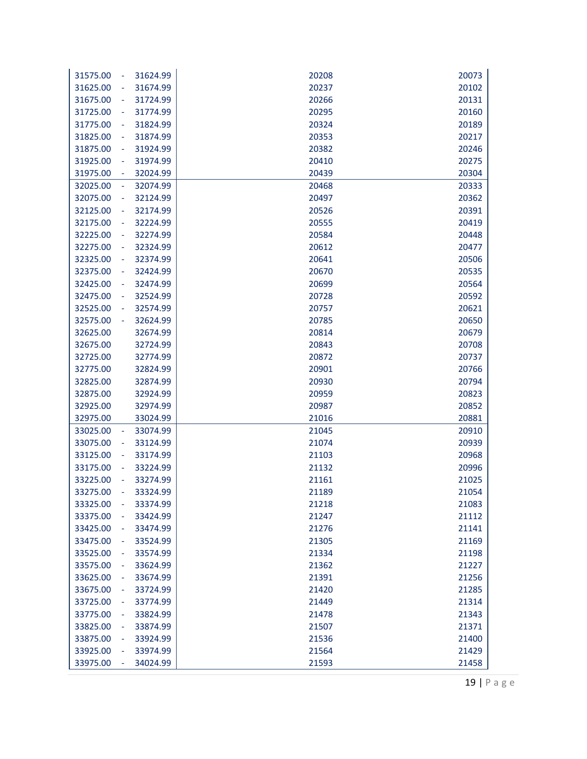| 31624.99<br>31575.00<br>÷                        | 20208          | 20073          |
|--------------------------------------------------|----------------|----------------|
| 31674.99<br>31625.00                             | 20237          | 20102          |
| 31724.99<br>31675.00                             | 20266          | 20131          |
| 31725.00<br>31774.99<br>÷                        | 20295          | 20160          |
| 31775.00<br>31824.99<br>÷                        | 20324          | 20189          |
| 31825.00<br>31874.99<br>$\overline{\phantom{a}}$ | 20353          | 20217          |
| 31875.00<br>31924.99<br>÷                        | 20382          | 20246          |
| 31925.00<br>31974.99<br>÷                        | 20410          | 20275          |
| 32024.99<br>31975.00                             | 20439          | 20304          |
| 32025.00<br>32074.99<br>$\overline{\phantom{a}}$ | 20468          | 20333          |
| 32075.00<br>32124.99<br>L,                       | 20497          | 20362          |
| 32125.00<br>32174.99                             | 20526          | 20391          |
| 32175.00<br>32224.99<br>÷                        | 20555          | 20419          |
| 32225.00<br>32274.99<br>÷                        | 20584          | 20448          |
| 32275.00<br>32324.99<br>÷                        | 20612          | 20477          |
| 32374.99<br>32325.00                             | 20641          | 20506          |
| 32375.00<br>32424.99                             | 20670          | 20535          |
| 32425.00<br>32474.99<br>÷                        | 20699          | 20564          |
| 32475.00<br>32524.99                             | 20728          | 20592          |
| 32525.00<br>32574.99                             | 20757          | 20621          |
| 32575.00<br>32624.99                             | 20785          | 20650          |
| 32625.00<br>32674.99                             | 20814          | 20679          |
| 32675.00<br>32724.99                             | 20843          | 20708          |
| 32774.99<br>32725.00                             | 20872          | 20737          |
| 32775.00<br>32824.99                             | 20901          | 20766          |
| 32825.00<br>32874.99                             | 20930          | 20794          |
| 32924.99<br>32875.00                             | 20959          | 20823          |
| 32925.00<br>32974.99                             | 20987          | 20852          |
| 32975.00<br>33024.99                             | 21016          | 20881          |
| 33025.00<br>33074.99<br>$\blacksquare$           | 21045          | 20910          |
| 33075.00<br>33124.99<br>33125.00<br>33174.99     | 21074          | 20939<br>20968 |
| 33175.00<br>33224.99<br>÷                        | 21103<br>21132 | 20996          |
| 33225.00<br>33274.99                             | 21161          | 21025          |
| 33275.00<br>33324.99                             | 21189          | 21054          |
| 33325.00<br>33374.99<br>÷,                       | 21218          | 21083          |
| 33375.00<br>33424.99                             | 21247          | 21112          |
| 33425.00<br>33474.99                             | 21276          | 21141          |
| 33524.99<br>33475.00                             | 21305          | 21169          |
| 33525.00<br>33574.99                             | 21334          | 21198          |
| 33575.00<br>33624.99                             | 21362          | 21227          |
| 33625.00<br>33674.99                             | 21391          | 21256          |
| 33675.00<br>33724.99                             | 21420          | 21285          |
| 33725.00<br>33774.99                             | 21449          | 21314          |
| 33775.00<br>33824.99                             | 21478          | 21343          |
| 33825.00<br>33874.99                             | 21507          | 21371          |
| 33875.00<br>33924.99                             | 21536          | 21400          |
| 33925.00<br>33974.99                             | 21564          | 21429          |
| 33975.00<br>34024.99                             | 21593          | 21458          |

19 | Page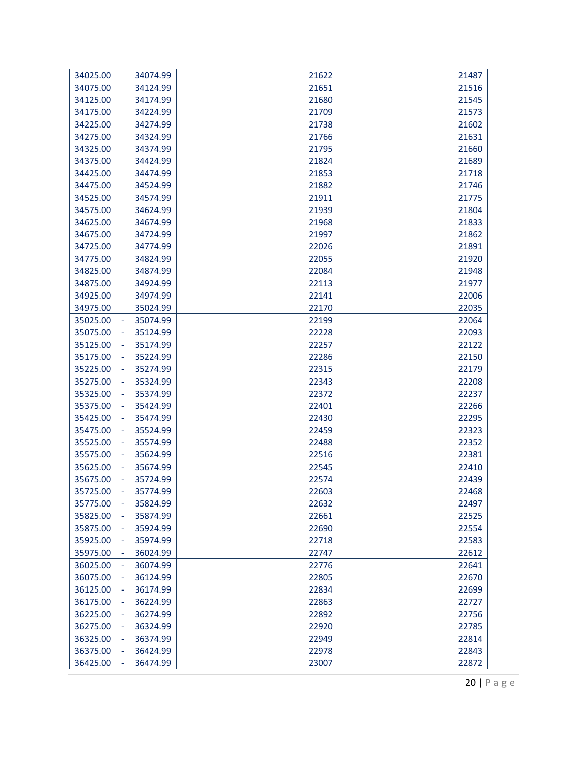| 34025.00                   | 34074.99 | 21622 | 21487 |
|----------------------------|----------|-------|-------|
| 34075.00                   | 34124.99 | 21651 | 21516 |
| 34125.00                   | 34174.99 | 21680 | 21545 |
| 34175.00                   | 34224.99 | 21709 | 21573 |
| 34225.00                   | 34274.99 | 21738 | 21602 |
| 34275.00                   | 34324.99 | 21766 | 21631 |
| 34325.00                   | 34374.99 | 21795 | 21660 |
| 34375.00                   | 34424.99 | 21824 | 21689 |
| 34425.00                   | 34474.99 | 21853 | 21718 |
| 34475.00                   | 34524.99 | 21882 | 21746 |
| 34525.00                   | 34574.99 | 21911 | 21775 |
| 34575.00                   | 34624.99 | 21939 | 21804 |
| 34625.00                   | 34674.99 | 21968 | 21833 |
| 34675.00                   | 34724.99 | 21997 | 21862 |
| 34725.00                   | 34774.99 | 22026 | 21891 |
| 34775.00                   | 34824.99 | 22055 | 21920 |
| 34825.00                   | 34874.99 | 22084 | 21948 |
| 34875.00                   | 34924.99 | 22113 | 21977 |
| 34925.00                   | 34974.99 | 22141 | 22006 |
| 34975.00                   | 35024.99 | 22170 | 22035 |
| 35025.00<br>$\blacksquare$ | 35074.99 | 22199 | 22064 |
| 35075.00<br>$\blacksquare$ | 35124.99 | 22228 | 22093 |
| 35125.00<br>÷              | 35174.99 | 22257 | 22122 |
| 35175.00                   | 35224.99 | 22286 | 22150 |
| 35225.00<br>÷              | 35274.99 | 22315 | 22179 |
| 35275.00<br>÷              | 35324.99 | 22343 | 22208 |
| 35325.00                   | 35374.99 | 22372 | 22237 |
| 35375.00                   | 35424.99 | 22401 | 22266 |
| 35425.00<br>÷              | 35474.99 | 22430 | 22295 |
| 35475.00<br>$\blacksquare$ | 35524.99 | 22459 | 22323 |
| 35525.00                   | 35574.99 | 22488 | 22352 |
| 35575.00                   | 35624.99 | 22516 | 22381 |
| 35625.00                   | 35674.99 | 22545 | 22410 |
| 35675.00                   | 35724.99 | 22574 | 22439 |
| 35725.00                   | 35774.99 | 22603 | 22468 |
| 35775.00<br>÷,             | 35824.99 | 22632 | 22497 |
| 35825.00                   | 35874.99 | 22661 | 22525 |
| 35875.00<br>÷              | 35924.99 | 22690 | 22554 |
| 35925.00                   | 35974.99 | 22718 | 22583 |
| 35975.00                   | 36024.99 | 22747 | 22612 |
| 36025.00<br>÷              | 36074.99 | 22776 | 22641 |
| 36075.00                   | 36124.99 | 22805 | 22670 |
| 36125.00                   | 36174.99 | 22834 | 22699 |
| 36175.00                   | 36224.99 | 22863 | 22727 |
| 36225.00                   | 36274.99 | 22892 | 22756 |
| 36275.00                   | 36324.99 | 22920 | 22785 |
| 36325.00                   | 36374.99 | 22949 | 22814 |
| 36375.00                   | 36424.99 | 22978 | 22843 |
| 36425.00                   | 36474.99 | 23007 | 22872 |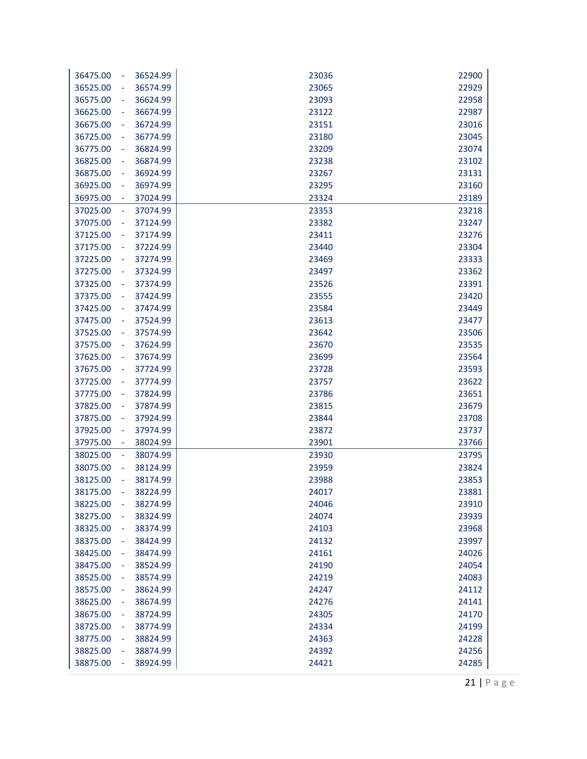| 36475.00<br>36524.99<br>÷                        | 23036 | 22900 |
|--------------------------------------------------|-------|-------|
| 36574.99<br>36525.00                             | 23065 | 22929 |
| 36624.99<br>36575.00<br>÷                        | 23093 | 22958 |
| 36625.00<br>36674.99<br>÷,                       | 23122 | 22987 |
| 36675.00<br>36724.99<br>÷                        | 23151 | 23016 |
| 36725.00<br>36774.99<br>÷                        | 23180 | 23045 |
| 36775.00<br>36824.99<br>÷                        | 23209 | 23074 |
| 36825.00<br>36874.99<br>÷                        | 23238 | 23102 |
| 36924.99<br>36875.00<br>÷                        | 23267 | 23131 |
| 36925.00<br>36974.99<br>÷                        | 23295 | 23160 |
| 36975.00<br>37024.99                             | 23324 | 23189 |
| 37025.00<br>37074.99<br>÷                        | 23353 | 23218 |
| 37075.00<br>37124.99<br>÷                        | 23382 | 23247 |
| 37125.00<br>37174.99<br>÷                        | 23411 | 23276 |
| 37224.99<br>37175.00<br>÷                        | 23440 | 23304 |
| 37274.99<br>37225.00<br>÷                        | 23469 | 23333 |
| 37275.00<br>37324.99<br>÷                        | 23497 | 23362 |
| 37325.00<br>37374.99<br>÷                        | 23526 | 23391 |
| 37375.00<br>37424.99<br>÷,                       | 23555 | 23420 |
| 37425.00<br>37474.99<br>÷,                       | 23584 | 23449 |
| 37475.00<br>37524.99<br>÷                        | 23613 | 23477 |
| 37525.00<br>37574.99<br>÷                        | 23642 | 23506 |
| 37575.00<br>37624.99<br>÷                        | 23670 | 23535 |
| 37674.99<br>37625.00<br>÷                        | 23699 | 23564 |
| 37675.00<br>37724.99<br>÷                        | 23728 | 23593 |
| 37725.00<br>37774.99<br>÷                        | 23757 | 23622 |
| 37775.00<br>37824.99<br>÷                        | 23786 | 23651 |
| 37825.00<br>37874.99<br>÷                        | 23815 | 23679 |
| 37875.00<br>37924.99<br>÷                        | 23844 | 23708 |
| 37925.00<br>37974.99<br>÷                        | 23872 | 23737 |
| 37975.00<br>38024.99<br>÷                        | 23901 | 23766 |
| 38025.00<br>38074.99<br>÷                        | 23930 | 23795 |
| 38075.00<br>38124.99<br>÷                        | 23959 | 23824 |
| 38125.00<br>38174.99                             | 23988 | 23853 |
| 38175.00<br>38224.99                             | 24017 | 23881 |
| 38225.00<br>38274.99<br>÷,                       | 24046 | 23910 |
| 38275.00<br>38324.99                             | 24074 | 23939 |
| 38325.00<br>38374.99<br>۰                        | 24103 | 23968 |
| 38375.00<br>38424.99                             | 24132 | 23997 |
| 38425.00<br>38474.99                             | 24161 | 24026 |
| 38475.00<br>38524.99                             | 24190 | 24054 |
| 38525.00<br>38574.99                             | 24219 | 24083 |
| 38575.00<br>38624.99                             | 24247 | 24112 |
| 38625.00<br>38674.99<br>÷                        | 24276 | 24141 |
| 38675.00<br>38724.99<br>۰                        | 24305 | 24170 |
| 38725.00<br>38774.99<br>٠                        | 24334 | 24199 |
| 38775.00<br>38824.99<br>٠                        | 24363 | 24228 |
| 38825.00<br>38874.99<br>$\overline{\phantom{a}}$ | 24392 | 24256 |
| 38875.00<br>38924.99                             | 24421 | 24285 |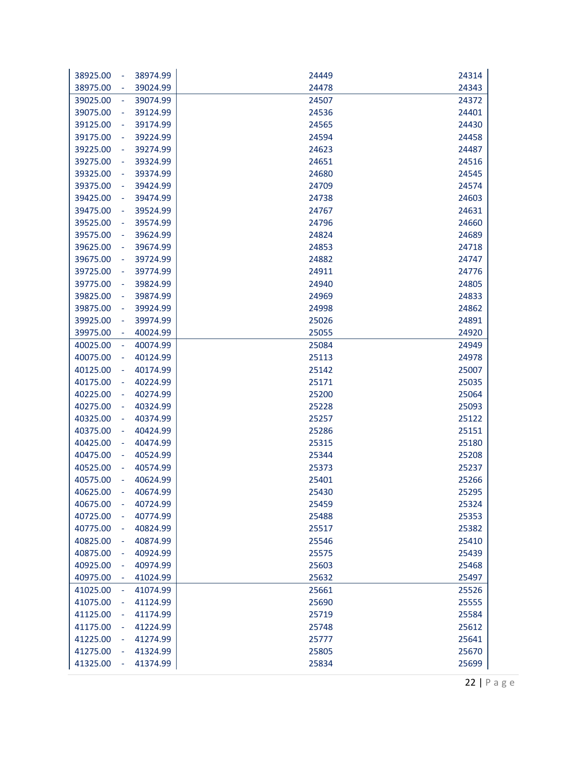|                                        |                      | 24449          | 24314          |
|----------------------------------------|----------------------|----------------|----------------|
| 38925.00<br>$\overline{\phantom{a}}$   | 38974.99             |                |                |
| 38975.00<br>$\overline{\phantom{a}}$   | 39024.99             | 24478<br>24507 | 24343<br>24372 |
| 39025.00<br>$\blacksquare$             | 39074.99<br>39124.99 |                |                |
| 39075.00<br>$\blacksquare$             |                      | 24536          | 24401          |
| 39125.00<br>÷                          | 39174.99             | 24565          | 24430          |
| 39175.00<br>$\overline{\phantom{a}}$   | 39224.99             | 24594          | 24458          |
| 39225.00<br>$\blacksquare$             | 39274.99             | 24623          | 24487          |
| 39275.00<br>$\blacksquare$             | 39324.99             | 24651<br>24680 | 24516          |
| 39325.00<br>$\blacksquare$             | 39374.99             |                | 24545          |
| 39375.00<br>$\overline{\phantom{a}}$   | 39424.99             | 24709          | 24574          |
| 39425.00<br>$\blacksquare$<br>39475.00 | 39474.99<br>39524.99 | 24738<br>24767 | 24603<br>24631 |
| $\blacksquare$                         |                      |                |                |
| 39525.00<br>$\blacksquare$             | 39574.99             | 24796          | 24660          |
| 39575.00                               | 39624.99             | 24824          | 24689          |
| 39625.00<br>$\blacksquare$             | 39674.99             | 24853          | 24718          |
| 39675.00<br>$\blacksquare$             | 39724.99             | 24882          | 24747          |
| 39725.00<br>$\blacksquare$             | 39774.99             | 24911          | 24776          |
| 39775.00<br>$\overline{\phantom{a}}$   | 39824.99             | 24940          | 24805          |
| 39825.00<br>÷                          | 39874.99             | 24969          | 24833          |
| 39875.00<br>$\blacksquare$             | 39924.99             | 24998          | 24862          |
| 39925.00<br>$\blacksquare$             | 39974.99             | 25026          | 24891          |
| 39975.00<br>÷                          | 40024.99             | 25055          | 24920          |
| 40025.00<br>$\overline{\phantom{a}}$   | 40074.99             | 25084          | 24949          |
| 40075.00<br>÷                          | 40124.99             | 25113          | 24978          |
| 40125.00<br>÷                          | 40174.99             | 25142          | 25007          |
| 40175.00<br>÷                          | 40224.99             | 25171          | 25035          |
| 40225.00<br>$\blacksquare$             | 40274.99             | 25200          | 25064          |
| 40275.00<br>$\blacksquare$             | 40324.99             | 25228          | 25093          |
| 40325.00                               | 40374.99             | 25257          | 25122          |
| 40375.00<br>$\blacksquare$             | 40424.99             | 25286          | 25151          |
| 40425.00<br>$\blacksquare$             | 40474.99             | 25315          | 25180          |
| 40475.00<br>$\blacksquare$             | 40524.99             | 25344          | 25208          |
| 40525.00<br>÷                          | 40574.99             | 25373          | 25237          |
| 40575.00<br>÷<br>40625.00              | 40624.99             | 25401          | 25266          |
|                                        | 40674.99             | 25430          | 25295          |
| 40675.00<br>÷                          | 40724.99             | 25459          | 25324          |
| 40725.00                               | 40774.99             | 25488          | 25353          |
| 40775.00<br>$\overline{\phantom{a}}$   | 40824.99             | 25517          | 25382          |
| 40825.00<br>$\overline{\phantom{a}}$   | 40874.99             | 25546<br>25575 | 25410          |
| 40875.00<br>÷                          | 40924.99             |                | 25439          |
| 40925.00<br>÷                          | 40974.99             | 25603          | 25468          |
| 40975.00<br>۰                          | 41024.99             | 25632          | 25497          |
| 41025.00<br>$\equiv$                   | 41074.99             | 25661          | 25526          |
| 41075.00<br>÷                          | 41124.99             | 25690          | 25555          |
| 41125.00                               | 41174.99             | 25719          | 25584          |
| 41175.00<br>$\blacksquare$             | 41224.99             | 25748          | 25612          |
| 41225.00                               | 41274.99             | 25777          | 25641          |
| 41275.00                               | 41324.99             | 25805          | 25670          |
| 41325.00                               | 41374.99             | 25834          | 25699          |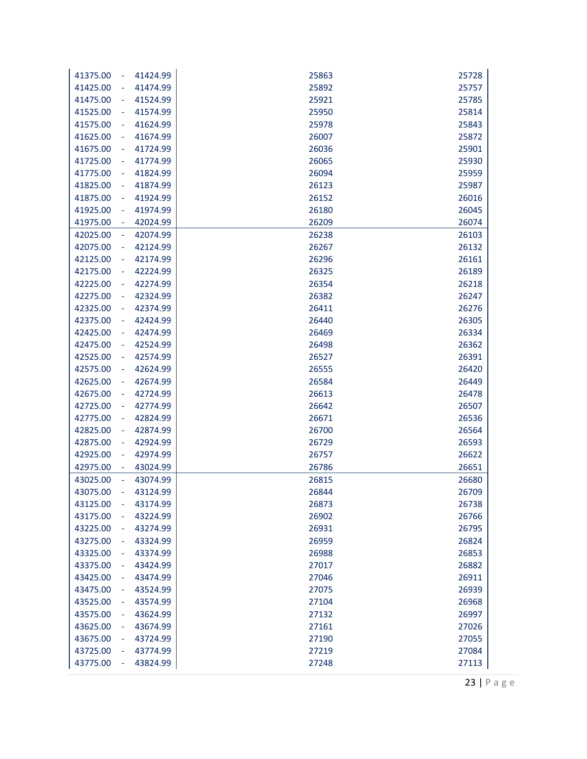| 25757<br>41425.00<br>41474.99<br>25892<br>41475.00<br>41524.99<br>25921<br>25785<br>41525.00<br>41574.99<br>25950<br>25814<br>÷,<br>41575.00<br>41624.99<br>25978<br>25843<br>41625.00<br>41674.99<br>26007<br>25872<br>÷<br>41675.00<br>41724.99<br>26036<br>25901<br>÷<br>26065<br>25930<br>41725.00<br>41774.99<br>÷<br>41824.99<br>26094<br>25959<br>41775.00<br>÷<br>41874.99<br>26123<br>25987<br>41825.00<br>÷<br>41875.00<br>41924.99<br>26152<br>26016<br>÷<br>41974.99<br>26180<br>26045<br>41925.00<br>÷<br>41975.00<br>42024.99<br>26209<br>26074<br>÷<br>42074.99<br>26238<br>42025.00<br>26103<br>÷<br>42075.00<br>42124.99<br>26267<br>26132<br>÷<br>42125.00<br>42174.99<br>26296<br>26161<br>÷<br>42224.99<br>26325<br>26189<br>42175.00<br>÷<br>42225.00<br>42274.99<br>26354<br>26218<br>÷,<br>42275.00<br>42324.99<br>26382<br>26247<br>42325.00<br>42374.99<br>26411<br>26276<br>÷,<br>42375.00<br>42424.99<br>26440<br>26305<br>÷<br>42425.00<br>42474.99<br>26469<br>26334<br>÷<br>42475.00<br>42524.99<br>26498<br>26362<br>÷<br>26527<br>26391<br>42525.00<br>42574.99<br>÷<br>42624.99<br>26555<br>26420<br>42575.00<br>÷<br>42625.00<br>42674.99<br>26584<br>26449<br>÷<br>42675.00<br>42724.99<br>26613<br>26478<br>Ĭ,<br>42774.99<br>26642<br>26507<br>42725.00<br>÷<br>42775.00<br>42824.99<br>26671<br>26536<br>÷<br>42825.00<br>42874.99<br>26700<br>26564<br>÷<br>42875.00<br>42924.99<br>26729<br>26593<br>÷<br>26757<br>26622<br>42925.00<br>42974.99<br>÷<br>26651<br>42975.00<br>43024.99<br>26786<br>43025.00<br>43074.99<br>26815<br>26680<br>43075.00<br>43124.99<br>26844<br>26709<br>43125.00<br>L,<br>43174.99<br>26873<br>26738<br>43224.99<br>26766<br>43175.00<br>26902<br>43225.00<br>26931<br>26795<br>43274.99<br>÷<br>26959<br>26824<br>43275.00<br>43324.99<br>٠<br>43325.00<br>26988<br>26853<br>43374.99<br>27017<br>26882<br>43375.00<br>43424.99<br>43425.00<br>43474.99<br>27046<br>26911<br>43475.00<br>43524.99<br>27075<br>26939<br>43525.00<br>43574.99<br>27104<br>26968<br>÷<br>43575.00<br>43624.99<br>27132<br>26997<br>÷<br>43625.00<br>27161<br>27026<br>43674.99<br>÷<br>27190<br>27055<br>43675.00<br>43724.99<br>٠<br>43725.00<br>27219<br>27084<br>43774.99<br>÷ | 41424.99<br>41375.00<br>÷ | 25863 | 25728 |
|----------------------------------------------------------------------------------------------------------------------------------------------------------------------------------------------------------------------------------------------------------------------------------------------------------------------------------------------------------------------------------------------------------------------------------------------------------------------------------------------------------------------------------------------------------------------------------------------------------------------------------------------------------------------------------------------------------------------------------------------------------------------------------------------------------------------------------------------------------------------------------------------------------------------------------------------------------------------------------------------------------------------------------------------------------------------------------------------------------------------------------------------------------------------------------------------------------------------------------------------------------------------------------------------------------------------------------------------------------------------------------------------------------------------------------------------------------------------------------------------------------------------------------------------------------------------------------------------------------------------------------------------------------------------------------------------------------------------------------------------------------------------------------------------------------------------------------------------------------------------------------------------------------------------------------------------------------------------------------------------------------------------------------------------------------------------------------------------------------------------------------------------------------------------------------------------------------------------------------------|---------------------------|-------|-------|
|                                                                                                                                                                                                                                                                                                                                                                                                                                                                                                                                                                                                                                                                                                                                                                                                                                                                                                                                                                                                                                                                                                                                                                                                                                                                                                                                                                                                                                                                                                                                                                                                                                                                                                                                                                                                                                                                                                                                                                                                                                                                                                                                                                                                                                        |                           |       |       |
|                                                                                                                                                                                                                                                                                                                                                                                                                                                                                                                                                                                                                                                                                                                                                                                                                                                                                                                                                                                                                                                                                                                                                                                                                                                                                                                                                                                                                                                                                                                                                                                                                                                                                                                                                                                                                                                                                                                                                                                                                                                                                                                                                                                                                                        |                           |       |       |
|                                                                                                                                                                                                                                                                                                                                                                                                                                                                                                                                                                                                                                                                                                                                                                                                                                                                                                                                                                                                                                                                                                                                                                                                                                                                                                                                                                                                                                                                                                                                                                                                                                                                                                                                                                                                                                                                                                                                                                                                                                                                                                                                                                                                                                        |                           |       |       |
|                                                                                                                                                                                                                                                                                                                                                                                                                                                                                                                                                                                                                                                                                                                                                                                                                                                                                                                                                                                                                                                                                                                                                                                                                                                                                                                                                                                                                                                                                                                                                                                                                                                                                                                                                                                                                                                                                                                                                                                                                                                                                                                                                                                                                                        |                           |       |       |
|                                                                                                                                                                                                                                                                                                                                                                                                                                                                                                                                                                                                                                                                                                                                                                                                                                                                                                                                                                                                                                                                                                                                                                                                                                                                                                                                                                                                                                                                                                                                                                                                                                                                                                                                                                                                                                                                                                                                                                                                                                                                                                                                                                                                                                        |                           |       |       |
|                                                                                                                                                                                                                                                                                                                                                                                                                                                                                                                                                                                                                                                                                                                                                                                                                                                                                                                                                                                                                                                                                                                                                                                                                                                                                                                                                                                                                                                                                                                                                                                                                                                                                                                                                                                                                                                                                                                                                                                                                                                                                                                                                                                                                                        |                           |       |       |
|                                                                                                                                                                                                                                                                                                                                                                                                                                                                                                                                                                                                                                                                                                                                                                                                                                                                                                                                                                                                                                                                                                                                                                                                                                                                                                                                                                                                                                                                                                                                                                                                                                                                                                                                                                                                                                                                                                                                                                                                                                                                                                                                                                                                                                        |                           |       |       |
|                                                                                                                                                                                                                                                                                                                                                                                                                                                                                                                                                                                                                                                                                                                                                                                                                                                                                                                                                                                                                                                                                                                                                                                                                                                                                                                                                                                                                                                                                                                                                                                                                                                                                                                                                                                                                                                                                                                                                                                                                                                                                                                                                                                                                                        |                           |       |       |
|                                                                                                                                                                                                                                                                                                                                                                                                                                                                                                                                                                                                                                                                                                                                                                                                                                                                                                                                                                                                                                                                                                                                                                                                                                                                                                                                                                                                                                                                                                                                                                                                                                                                                                                                                                                                                                                                                                                                                                                                                                                                                                                                                                                                                                        |                           |       |       |
|                                                                                                                                                                                                                                                                                                                                                                                                                                                                                                                                                                                                                                                                                                                                                                                                                                                                                                                                                                                                                                                                                                                                                                                                                                                                                                                                                                                                                                                                                                                                                                                                                                                                                                                                                                                                                                                                                                                                                                                                                                                                                                                                                                                                                                        |                           |       |       |
|                                                                                                                                                                                                                                                                                                                                                                                                                                                                                                                                                                                                                                                                                                                                                                                                                                                                                                                                                                                                                                                                                                                                                                                                                                                                                                                                                                                                                                                                                                                                                                                                                                                                                                                                                                                                                                                                                                                                                                                                                                                                                                                                                                                                                                        |                           |       |       |
|                                                                                                                                                                                                                                                                                                                                                                                                                                                                                                                                                                                                                                                                                                                                                                                                                                                                                                                                                                                                                                                                                                                                                                                                                                                                                                                                                                                                                                                                                                                                                                                                                                                                                                                                                                                                                                                                                                                                                                                                                                                                                                                                                                                                                                        |                           |       |       |
|                                                                                                                                                                                                                                                                                                                                                                                                                                                                                                                                                                                                                                                                                                                                                                                                                                                                                                                                                                                                                                                                                                                                                                                                                                                                                                                                                                                                                                                                                                                                                                                                                                                                                                                                                                                                                                                                                                                                                                                                                                                                                                                                                                                                                                        |                           |       |       |
|                                                                                                                                                                                                                                                                                                                                                                                                                                                                                                                                                                                                                                                                                                                                                                                                                                                                                                                                                                                                                                                                                                                                                                                                                                                                                                                                                                                                                                                                                                                                                                                                                                                                                                                                                                                                                                                                                                                                                                                                                                                                                                                                                                                                                                        |                           |       |       |
|                                                                                                                                                                                                                                                                                                                                                                                                                                                                                                                                                                                                                                                                                                                                                                                                                                                                                                                                                                                                                                                                                                                                                                                                                                                                                                                                                                                                                                                                                                                                                                                                                                                                                                                                                                                                                                                                                                                                                                                                                                                                                                                                                                                                                                        |                           |       |       |
|                                                                                                                                                                                                                                                                                                                                                                                                                                                                                                                                                                                                                                                                                                                                                                                                                                                                                                                                                                                                                                                                                                                                                                                                                                                                                                                                                                                                                                                                                                                                                                                                                                                                                                                                                                                                                                                                                                                                                                                                                                                                                                                                                                                                                                        |                           |       |       |
|                                                                                                                                                                                                                                                                                                                                                                                                                                                                                                                                                                                                                                                                                                                                                                                                                                                                                                                                                                                                                                                                                                                                                                                                                                                                                                                                                                                                                                                                                                                                                                                                                                                                                                                                                                                                                                                                                                                                                                                                                                                                                                                                                                                                                                        |                           |       |       |
|                                                                                                                                                                                                                                                                                                                                                                                                                                                                                                                                                                                                                                                                                                                                                                                                                                                                                                                                                                                                                                                                                                                                                                                                                                                                                                                                                                                                                                                                                                                                                                                                                                                                                                                                                                                                                                                                                                                                                                                                                                                                                                                                                                                                                                        |                           |       |       |
|                                                                                                                                                                                                                                                                                                                                                                                                                                                                                                                                                                                                                                                                                                                                                                                                                                                                                                                                                                                                                                                                                                                                                                                                                                                                                                                                                                                                                                                                                                                                                                                                                                                                                                                                                                                                                                                                                                                                                                                                                                                                                                                                                                                                                                        |                           |       |       |
|                                                                                                                                                                                                                                                                                                                                                                                                                                                                                                                                                                                                                                                                                                                                                                                                                                                                                                                                                                                                                                                                                                                                                                                                                                                                                                                                                                                                                                                                                                                                                                                                                                                                                                                                                                                                                                                                                                                                                                                                                                                                                                                                                                                                                                        |                           |       |       |
|                                                                                                                                                                                                                                                                                                                                                                                                                                                                                                                                                                                                                                                                                                                                                                                                                                                                                                                                                                                                                                                                                                                                                                                                                                                                                                                                                                                                                                                                                                                                                                                                                                                                                                                                                                                                                                                                                                                                                                                                                                                                                                                                                                                                                                        |                           |       |       |
|                                                                                                                                                                                                                                                                                                                                                                                                                                                                                                                                                                                                                                                                                                                                                                                                                                                                                                                                                                                                                                                                                                                                                                                                                                                                                                                                                                                                                                                                                                                                                                                                                                                                                                                                                                                                                                                                                                                                                                                                                                                                                                                                                                                                                                        |                           |       |       |
|                                                                                                                                                                                                                                                                                                                                                                                                                                                                                                                                                                                                                                                                                                                                                                                                                                                                                                                                                                                                                                                                                                                                                                                                                                                                                                                                                                                                                                                                                                                                                                                                                                                                                                                                                                                                                                                                                                                                                                                                                                                                                                                                                                                                                                        |                           |       |       |
|                                                                                                                                                                                                                                                                                                                                                                                                                                                                                                                                                                                                                                                                                                                                                                                                                                                                                                                                                                                                                                                                                                                                                                                                                                                                                                                                                                                                                                                                                                                                                                                                                                                                                                                                                                                                                                                                                                                                                                                                                                                                                                                                                                                                                                        |                           |       |       |
|                                                                                                                                                                                                                                                                                                                                                                                                                                                                                                                                                                                                                                                                                                                                                                                                                                                                                                                                                                                                                                                                                                                                                                                                                                                                                                                                                                                                                                                                                                                                                                                                                                                                                                                                                                                                                                                                                                                                                                                                                                                                                                                                                                                                                                        |                           |       |       |
|                                                                                                                                                                                                                                                                                                                                                                                                                                                                                                                                                                                                                                                                                                                                                                                                                                                                                                                                                                                                                                                                                                                                                                                                                                                                                                                                                                                                                                                                                                                                                                                                                                                                                                                                                                                                                                                                                                                                                                                                                                                                                                                                                                                                                                        |                           |       |       |
|                                                                                                                                                                                                                                                                                                                                                                                                                                                                                                                                                                                                                                                                                                                                                                                                                                                                                                                                                                                                                                                                                                                                                                                                                                                                                                                                                                                                                                                                                                                                                                                                                                                                                                                                                                                                                                                                                                                                                                                                                                                                                                                                                                                                                                        |                           |       |       |
|                                                                                                                                                                                                                                                                                                                                                                                                                                                                                                                                                                                                                                                                                                                                                                                                                                                                                                                                                                                                                                                                                                                                                                                                                                                                                                                                                                                                                                                                                                                                                                                                                                                                                                                                                                                                                                                                                                                                                                                                                                                                                                                                                                                                                                        |                           |       |       |
|                                                                                                                                                                                                                                                                                                                                                                                                                                                                                                                                                                                                                                                                                                                                                                                                                                                                                                                                                                                                                                                                                                                                                                                                                                                                                                                                                                                                                                                                                                                                                                                                                                                                                                                                                                                                                                                                                                                                                                                                                                                                                                                                                                                                                                        |                           |       |       |
|                                                                                                                                                                                                                                                                                                                                                                                                                                                                                                                                                                                                                                                                                                                                                                                                                                                                                                                                                                                                                                                                                                                                                                                                                                                                                                                                                                                                                                                                                                                                                                                                                                                                                                                                                                                                                                                                                                                                                                                                                                                                                                                                                                                                                                        |                           |       |       |
|                                                                                                                                                                                                                                                                                                                                                                                                                                                                                                                                                                                                                                                                                                                                                                                                                                                                                                                                                                                                                                                                                                                                                                                                                                                                                                                                                                                                                                                                                                                                                                                                                                                                                                                                                                                                                                                                                                                                                                                                                                                                                                                                                                                                                                        |                           |       |       |
|                                                                                                                                                                                                                                                                                                                                                                                                                                                                                                                                                                                                                                                                                                                                                                                                                                                                                                                                                                                                                                                                                                                                                                                                                                                                                                                                                                                                                                                                                                                                                                                                                                                                                                                                                                                                                                                                                                                                                                                                                                                                                                                                                                                                                                        |                           |       |       |
|                                                                                                                                                                                                                                                                                                                                                                                                                                                                                                                                                                                                                                                                                                                                                                                                                                                                                                                                                                                                                                                                                                                                                                                                                                                                                                                                                                                                                                                                                                                                                                                                                                                                                                                                                                                                                                                                                                                                                                                                                                                                                                                                                                                                                                        |                           |       |       |
|                                                                                                                                                                                                                                                                                                                                                                                                                                                                                                                                                                                                                                                                                                                                                                                                                                                                                                                                                                                                                                                                                                                                                                                                                                                                                                                                                                                                                                                                                                                                                                                                                                                                                                                                                                                                                                                                                                                                                                                                                                                                                                                                                                                                                                        |                           |       |       |
|                                                                                                                                                                                                                                                                                                                                                                                                                                                                                                                                                                                                                                                                                                                                                                                                                                                                                                                                                                                                                                                                                                                                                                                                                                                                                                                                                                                                                                                                                                                                                                                                                                                                                                                                                                                                                                                                                                                                                                                                                                                                                                                                                                                                                                        |                           |       |       |
|                                                                                                                                                                                                                                                                                                                                                                                                                                                                                                                                                                                                                                                                                                                                                                                                                                                                                                                                                                                                                                                                                                                                                                                                                                                                                                                                                                                                                                                                                                                                                                                                                                                                                                                                                                                                                                                                                                                                                                                                                                                                                                                                                                                                                                        |                           |       |       |
|                                                                                                                                                                                                                                                                                                                                                                                                                                                                                                                                                                                                                                                                                                                                                                                                                                                                                                                                                                                                                                                                                                                                                                                                                                                                                                                                                                                                                                                                                                                                                                                                                                                                                                                                                                                                                                                                                                                                                                                                                                                                                                                                                                                                                                        |                           |       |       |
|                                                                                                                                                                                                                                                                                                                                                                                                                                                                                                                                                                                                                                                                                                                                                                                                                                                                                                                                                                                                                                                                                                                                                                                                                                                                                                                                                                                                                                                                                                                                                                                                                                                                                                                                                                                                                                                                                                                                                                                                                                                                                                                                                                                                                                        |                           |       |       |
|                                                                                                                                                                                                                                                                                                                                                                                                                                                                                                                                                                                                                                                                                                                                                                                                                                                                                                                                                                                                                                                                                                                                                                                                                                                                                                                                                                                                                                                                                                                                                                                                                                                                                                                                                                                                                                                                                                                                                                                                                                                                                                                                                                                                                                        |                           |       |       |
|                                                                                                                                                                                                                                                                                                                                                                                                                                                                                                                                                                                                                                                                                                                                                                                                                                                                                                                                                                                                                                                                                                                                                                                                                                                                                                                                                                                                                                                                                                                                                                                                                                                                                                                                                                                                                                                                                                                                                                                                                                                                                                                                                                                                                                        |                           |       |       |
|                                                                                                                                                                                                                                                                                                                                                                                                                                                                                                                                                                                                                                                                                                                                                                                                                                                                                                                                                                                                                                                                                                                                                                                                                                                                                                                                                                                                                                                                                                                                                                                                                                                                                                                                                                                                                                                                                                                                                                                                                                                                                                                                                                                                                                        |                           |       |       |
|                                                                                                                                                                                                                                                                                                                                                                                                                                                                                                                                                                                                                                                                                                                                                                                                                                                                                                                                                                                                                                                                                                                                                                                                                                                                                                                                                                                                                                                                                                                                                                                                                                                                                                                                                                                                                                                                                                                                                                                                                                                                                                                                                                                                                                        |                           |       |       |
|                                                                                                                                                                                                                                                                                                                                                                                                                                                                                                                                                                                                                                                                                                                                                                                                                                                                                                                                                                                                                                                                                                                                                                                                                                                                                                                                                                                                                                                                                                                                                                                                                                                                                                                                                                                                                                                                                                                                                                                                                                                                                                                                                                                                                                        |                           |       |       |
|                                                                                                                                                                                                                                                                                                                                                                                                                                                                                                                                                                                                                                                                                                                                                                                                                                                                                                                                                                                                                                                                                                                                                                                                                                                                                                                                                                                                                                                                                                                                                                                                                                                                                                                                                                                                                                                                                                                                                                                                                                                                                                                                                                                                                                        |                           |       |       |
|                                                                                                                                                                                                                                                                                                                                                                                                                                                                                                                                                                                                                                                                                                                                                                                                                                                                                                                                                                                                                                                                                                                                                                                                                                                                                                                                                                                                                                                                                                                                                                                                                                                                                                                                                                                                                                                                                                                                                                                                                                                                                                                                                                                                                                        |                           |       |       |
|                                                                                                                                                                                                                                                                                                                                                                                                                                                                                                                                                                                                                                                                                                                                                                                                                                                                                                                                                                                                                                                                                                                                                                                                                                                                                                                                                                                                                                                                                                                                                                                                                                                                                                                                                                                                                                                                                                                                                                                                                                                                                                                                                                                                                                        |                           |       |       |
|                                                                                                                                                                                                                                                                                                                                                                                                                                                                                                                                                                                                                                                                                                                                                                                                                                                                                                                                                                                                                                                                                                                                                                                                                                                                                                                                                                                                                                                                                                                                                                                                                                                                                                                                                                                                                                                                                                                                                                                                                                                                                                                                                                                                                                        |                           |       |       |
|                                                                                                                                                                                                                                                                                                                                                                                                                                                                                                                                                                                                                                                                                                                                                                                                                                                                                                                                                                                                                                                                                                                                                                                                                                                                                                                                                                                                                                                                                                                                                                                                                                                                                                                                                                                                                                                                                                                                                                                                                                                                                                                                                                                                                                        | 43775.00<br>43824.99      | 27248 | 27113 |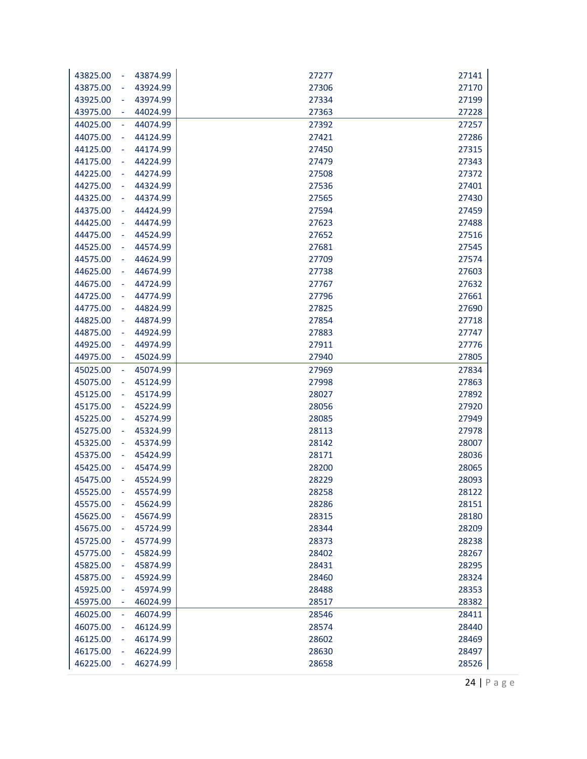| 43874.99<br>43825.00<br>$\sim$                   | 27277 | 27141 |
|--------------------------------------------------|-------|-------|
| 43924.99<br>43875.00<br>$\blacksquare$           | 27306 | 27170 |
| 43974.99<br>43925.00<br>$\blacksquare$           | 27334 | 27199 |
| 43975.00<br>44024.99<br>$\blacksquare$           | 27363 | 27228 |
| 44025.00<br>44074.99<br>$\equiv$                 | 27392 | 27257 |
| 44075.00<br>44124.99<br>$\blacksquare$           | 27421 | 27286 |
| 44174.99<br>44125.00<br>$\blacksquare$           | 27450 | 27315 |
| 44175.00<br>44224.99<br>$\blacksquare$           | 27479 | 27343 |
| 44225.00<br>44274.99<br>$\blacksquare$           | 27508 | 27372 |
| 44275.00<br>44324.99<br>$\blacksquare$           | 27536 | 27401 |
| 44374.99<br>44325.00<br>$\blacksquare$           | 27565 | 27430 |
| 44375.00<br>44424.99<br>÷                        | 27594 | 27459 |
| 44474.99<br>44425.00<br>$\blacksquare$           | 27623 | 27488 |
| 44475.00<br>44524.99<br>$\blacksquare$           | 27652 | 27516 |
| 44525.00<br>44574.99<br>$\blacksquare$           | 27681 | 27545 |
| 44575.00<br>44624.99<br>$\overline{\phantom{a}}$ | 27709 | 27574 |
| 44674.99<br>44625.00<br>$\blacksquare$           | 27738 | 27603 |
| 44675.00<br>44724.99<br>$\blacksquare$           | 27767 | 27632 |
| 44774.99<br>44725.00<br>$\blacksquare$           | 27796 | 27661 |
| 44775.00<br>44824.99<br>$\blacksquare$           | 27825 | 27690 |
| 44825.00<br>44874.99<br>$\blacksquare$           | 27854 | 27718 |
| 44875.00<br>44924.99<br>$\blacksquare$           | 27883 | 27747 |
| 44974.99<br>44925.00<br>$\overline{\phantom{a}}$ | 27911 | 27776 |
| 44975.00<br>45024.99<br>$\blacksquare$           | 27940 | 27805 |
| 45025.00<br>45074.99<br>$\Box$                   | 27969 | 27834 |
| 45075.00<br>45124.99<br>÷                        | 27998 | 27863 |
| 45125.00<br>45174.99<br>$\blacksquare$           | 28027 | 27892 |
| 45175.00<br>45224.99<br>$\blacksquare$           | 28056 | 27920 |
| 45225.00<br>45274.99<br>$\blacksquare$           | 28085 | 27949 |
| 45275.00<br>45324.99<br>$\blacksquare$           | 28113 | 27978 |
| 45325.00<br>45374.99<br>$\overline{\phantom{a}}$ | 28142 | 28007 |
| 45424.99<br>45375.00<br>$\blacksquare$           | 28171 | 28036 |
| 45425.00<br>45474.99<br>÷                        | 28200 | 28065 |
| 45524.99<br>45475.00<br>÷                        | 28229 | 28093 |
| 45525.00<br>45574.99<br>$\overline{\phantom{a}}$ | 28258 | 28122 |
| 45575.00<br>45624.99<br>$\blacksquare$           | 28286 | 28151 |
| 45625.00<br>45674.99<br>$\blacksquare$           | 28315 | 28180 |
| 45675.00<br>45724.99<br>$\blacksquare$           | 28344 | 28209 |
| 45725.00<br>45774.99<br>$\overline{\phantom{a}}$ | 28373 | 28238 |
| 45775.00<br>45824.99<br>÷                        | 28402 | 28267 |
| 45825.00<br>45874.99<br>÷                        | 28431 | 28295 |
| 45875.00<br>45924.99<br>÷                        | 28460 | 28324 |
| 45925.00<br>45974.99<br>÷                        | 28488 | 28353 |
| 45975.00<br>46024.99<br>$\blacksquare$           | 28517 | 28382 |
| 46074.99<br>46025.00<br>$\Box$                   | 28546 | 28411 |
| 46075.00<br>46124.99<br>÷                        | 28574 | 28440 |
| 46125.00<br>46174.99<br>÷                        | 28602 | 28469 |
| 46175.00<br>46224.99<br>$\overline{\phantom{a}}$ | 28630 | 28497 |
| 46274.99<br>46225.00<br>÷                        | 28658 | 28526 |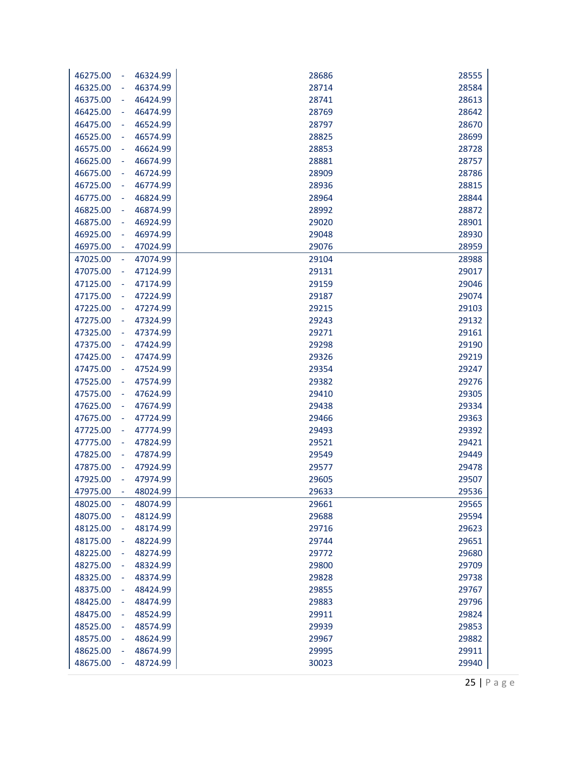| 28714<br>28584<br>46325.00<br>46374.99<br>÷<br>28741<br>28613<br>46375.00<br>46424.99<br>÷<br>28769<br>28642<br>46425.00<br>46474.99<br>÷<br>46475.00<br>46524.99<br>28797<br>28670<br>÷<br>46525.00<br>46574.99<br>28825<br>28699<br>÷<br>28853<br>28728<br>46575.00<br>46624.99<br>÷<br>28881<br>28757<br>46625.00<br>46674.99<br>÷<br>28909<br>28786<br>46675.00<br>46724.99<br>÷<br>28815<br>46725.00<br>46774.99<br>28936<br>÷<br>28964<br>28844<br>46775.00<br>46824.99<br>÷<br>28872<br>46825.00<br>46874.99<br>28992<br>÷<br>46924.99<br>29020<br>28901<br>46875.00<br>÷<br>29048<br>28930<br>46925.00<br>46974.99<br>÷<br>29076<br>28959<br>46975.00<br>47024.99<br>÷<br>47025.00<br>47074.99<br>29104<br>28988<br>÷<br>47075.00<br>29017<br>47124.99<br>29131<br>÷<br>29159<br>29046<br>47125.00<br>47174.99<br>÷<br>29074<br>47175.00<br>47224.99<br>29187<br>÷<br>47274.99<br>29215<br>29103<br>47225.00<br>÷<br>47275.00<br>29243<br>29132<br>47324.99<br>÷<br>47374.99<br>29271<br>29161<br>47325.00<br>÷,<br>29298<br>29190<br>47375.00<br>47424.99<br>÷<br>29219<br>47425.00<br>47474.99<br>29326<br>÷<br>29247<br>47475.00<br>47524.99<br>29354<br>÷<br>47574.99<br>29382<br>29276<br>47525.00<br>÷<br>29410<br>29305<br>47575.00<br>47624.99<br>÷<br>47674.99<br>29438<br>29334<br>47625.00<br>÷<br>47675.00<br>29363<br>47724.99<br>29466<br>÷<br>29493<br>29392<br>47725.00<br>47774.99<br>÷<br>29521<br>29421<br>47775.00<br>47824.99<br>÷<br>29549<br>29449<br>47825.00<br>47874.99<br>÷<br>47875.00<br>47924.99<br>29577<br>29478<br>÷<br>47974.99<br>29605<br>29507<br>47925.00<br>47975.00<br>48024.99<br>29633<br>29536<br>48025.00<br>48074.99<br>29661<br>29565<br>L,<br>29688<br>29594<br>48075.00<br>48124.99<br>29716<br>29623<br>48125.00<br>48174.99<br>÷ |
|--------------------------------------------------------------------------------------------------------------------------------------------------------------------------------------------------------------------------------------------------------------------------------------------------------------------------------------------------------------------------------------------------------------------------------------------------------------------------------------------------------------------------------------------------------------------------------------------------------------------------------------------------------------------------------------------------------------------------------------------------------------------------------------------------------------------------------------------------------------------------------------------------------------------------------------------------------------------------------------------------------------------------------------------------------------------------------------------------------------------------------------------------------------------------------------------------------------------------------------------------------------------------------------------------------------------------------------------------------------------------------------------------------------------------------------------------------------------------------------------------------------------------------------------------------------------------------------------------------------------------------------------------------------------------------------------------------------------------------------------------------------------------------------------|
|                                                                                                                                                                                                                                                                                                                                                                                                                                                                                                                                                                                                                                                                                                                                                                                                                                                                                                                                                                                                                                                                                                                                                                                                                                                                                                                                                                                                                                                                                                                                                                                                                                                                                                                                                                                            |
|                                                                                                                                                                                                                                                                                                                                                                                                                                                                                                                                                                                                                                                                                                                                                                                                                                                                                                                                                                                                                                                                                                                                                                                                                                                                                                                                                                                                                                                                                                                                                                                                                                                                                                                                                                                            |
|                                                                                                                                                                                                                                                                                                                                                                                                                                                                                                                                                                                                                                                                                                                                                                                                                                                                                                                                                                                                                                                                                                                                                                                                                                                                                                                                                                                                                                                                                                                                                                                                                                                                                                                                                                                            |
|                                                                                                                                                                                                                                                                                                                                                                                                                                                                                                                                                                                                                                                                                                                                                                                                                                                                                                                                                                                                                                                                                                                                                                                                                                                                                                                                                                                                                                                                                                                                                                                                                                                                                                                                                                                            |
|                                                                                                                                                                                                                                                                                                                                                                                                                                                                                                                                                                                                                                                                                                                                                                                                                                                                                                                                                                                                                                                                                                                                                                                                                                                                                                                                                                                                                                                                                                                                                                                                                                                                                                                                                                                            |
|                                                                                                                                                                                                                                                                                                                                                                                                                                                                                                                                                                                                                                                                                                                                                                                                                                                                                                                                                                                                                                                                                                                                                                                                                                                                                                                                                                                                                                                                                                                                                                                                                                                                                                                                                                                            |
|                                                                                                                                                                                                                                                                                                                                                                                                                                                                                                                                                                                                                                                                                                                                                                                                                                                                                                                                                                                                                                                                                                                                                                                                                                                                                                                                                                                                                                                                                                                                                                                                                                                                                                                                                                                            |
|                                                                                                                                                                                                                                                                                                                                                                                                                                                                                                                                                                                                                                                                                                                                                                                                                                                                                                                                                                                                                                                                                                                                                                                                                                                                                                                                                                                                                                                                                                                                                                                                                                                                                                                                                                                            |
|                                                                                                                                                                                                                                                                                                                                                                                                                                                                                                                                                                                                                                                                                                                                                                                                                                                                                                                                                                                                                                                                                                                                                                                                                                                                                                                                                                                                                                                                                                                                                                                                                                                                                                                                                                                            |
|                                                                                                                                                                                                                                                                                                                                                                                                                                                                                                                                                                                                                                                                                                                                                                                                                                                                                                                                                                                                                                                                                                                                                                                                                                                                                                                                                                                                                                                                                                                                                                                                                                                                                                                                                                                            |
|                                                                                                                                                                                                                                                                                                                                                                                                                                                                                                                                                                                                                                                                                                                                                                                                                                                                                                                                                                                                                                                                                                                                                                                                                                                                                                                                                                                                                                                                                                                                                                                                                                                                                                                                                                                            |
|                                                                                                                                                                                                                                                                                                                                                                                                                                                                                                                                                                                                                                                                                                                                                                                                                                                                                                                                                                                                                                                                                                                                                                                                                                                                                                                                                                                                                                                                                                                                                                                                                                                                                                                                                                                            |
|                                                                                                                                                                                                                                                                                                                                                                                                                                                                                                                                                                                                                                                                                                                                                                                                                                                                                                                                                                                                                                                                                                                                                                                                                                                                                                                                                                                                                                                                                                                                                                                                                                                                                                                                                                                            |
|                                                                                                                                                                                                                                                                                                                                                                                                                                                                                                                                                                                                                                                                                                                                                                                                                                                                                                                                                                                                                                                                                                                                                                                                                                                                                                                                                                                                                                                                                                                                                                                                                                                                                                                                                                                            |
|                                                                                                                                                                                                                                                                                                                                                                                                                                                                                                                                                                                                                                                                                                                                                                                                                                                                                                                                                                                                                                                                                                                                                                                                                                                                                                                                                                                                                                                                                                                                                                                                                                                                                                                                                                                            |
|                                                                                                                                                                                                                                                                                                                                                                                                                                                                                                                                                                                                                                                                                                                                                                                                                                                                                                                                                                                                                                                                                                                                                                                                                                                                                                                                                                                                                                                                                                                                                                                                                                                                                                                                                                                            |
|                                                                                                                                                                                                                                                                                                                                                                                                                                                                                                                                                                                                                                                                                                                                                                                                                                                                                                                                                                                                                                                                                                                                                                                                                                                                                                                                                                                                                                                                                                                                                                                                                                                                                                                                                                                            |
|                                                                                                                                                                                                                                                                                                                                                                                                                                                                                                                                                                                                                                                                                                                                                                                                                                                                                                                                                                                                                                                                                                                                                                                                                                                                                                                                                                                                                                                                                                                                                                                                                                                                                                                                                                                            |
|                                                                                                                                                                                                                                                                                                                                                                                                                                                                                                                                                                                                                                                                                                                                                                                                                                                                                                                                                                                                                                                                                                                                                                                                                                                                                                                                                                                                                                                                                                                                                                                                                                                                                                                                                                                            |
|                                                                                                                                                                                                                                                                                                                                                                                                                                                                                                                                                                                                                                                                                                                                                                                                                                                                                                                                                                                                                                                                                                                                                                                                                                                                                                                                                                                                                                                                                                                                                                                                                                                                                                                                                                                            |
|                                                                                                                                                                                                                                                                                                                                                                                                                                                                                                                                                                                                                                                                                                                                                                                                                                                                                                                                                                                                                                                                                                                                                                                                                                                                                                                                                                                                                                                                                                                                                                                                                                                                                                                                                                                            |
|                                                                                                                                                                                                                                                                                                                                                                                                                                                                                                                                                                                                                                                                                                                                                                                                                                                                                                                                                                                                                                                                                                                                                                                                                                                                                                                                                                                                                                                                                                                                                                                                                                                                                                                                                                                            |
|                                                                                                                                                                                                                                                                                                                                                                                                                                                                                                                                                                                                                                                                                                                                                                                                                                                                                                                                                                                                                                                                                                                                                                                                                                                                                                                                                                                                                                                                                                                                                                                                                                                                                                                                                                                            |
|                                                                                                                                                                                                                                                                                                                                                                                                                                                                                                                                                                                                                                                                                                                                                                                                                                                                                                                                                                                                                                                                                                                                                                                                                                                                                                                                                                                                                                                                                                                                                                                                                                                                                                                                                                                            |
|                                                                                                                                                                                                                                                                                                                                                                                                                                                                                                                                                                                                                                                                                                                                                                                                                                                                                                                                                                                                                                                                                                                                                                                                                                                                                                                                                                                                                                                                                                                                                                                                                                                                                                                                                                                            |
|                                                                                                                                                                                                                                                                                                                                                                                                                                                                                                                                                                                                                                                                                                                                                                                                                                                                                                                                                                                                                                                                                                                                                                                                                                                                                                                                                                                                                                                                                                                                                                                                                                                                                                                                                                                            |
|                                                                                                                                                                                                                                                                                                                                                                                                                                                                                                                                                                                                                                                                                                                                                                                                                                                                                                                                                                                                                                                                                                                                                                                                                                                                                                                                                                                                                                                                                                                                                                                                                                                                                                                                                                                            |
|                                                                                                                                                                                                                                                                                                                                                                                                                                                                                                                                                                                                                                                                                                                                                                                                                                                                                                                                                                                                                                                                                                                                                                                                                                                                                                                                                                                                                                                                                                                                                                                                                                                                                                                                                                                            |
|                                                                                                                                                                                                                                                                                                                                                                                                                                                                                                                                                                                                                                                                                                                                                                                                                                                                                                                                                                                                                                                                                                                                                                                                                                                                                                                                                                                                                                                                                                                                                                                                                                                                                                                                                                                            |
|                                                                                                                                                                                                                                                                                                                                                                                                                                                                                                                                                                                                                                                                                                                                                                                                                                                                                                                                                                                                                                                                                                                                                                                                                                                                                                                                                                                                                                                                                                                                                                                                                                                                                                                                                                                            |
|                                                                                                                                                                                                                                                                                                                                                                                                                                                                                                                                                                                                                                                                                                                                                                                                                                                                                                                                                                                                                                                                                                                                                                                                                                                                                                                                                                                                                                                                                                                                                                                                                                                                                                                                                                                            |
|                                                                                                                                                                                                                                                                                                                                                                                                                                                                                                                                                                                                                                                                                                                                                                                                                                                                                                                                                                                                                                                                                                                                                                                                                                                                                                                                                                                                                                                                                                                                                                                                                                                                                                                                                                                            |
|                                                                                                                                                                                                                                                                                                                                                                                                                                                                                                                                                                                                                                                                                                                                                                                                                                                                                                                                                                                                                                                                                                                                                                                                                                                                                                                                                                                                                                                                                                                                                                                                                                                                                                                                                                                            |
|                                                                                                                                                                                                                                                                                                                                                                                                                                                                                                                                                                                                                                                                                                                                                                                                                                                                                                                                                                                                                                                                                                                                                                                                                                                                                                                                                                                                                                                                                                                                                                                                                                                                                                                                                                                            |
|                                                                                                                                                                                                                                                                                                                                                                                                                                                                                                                                                                                                                                                                                                                                                                                                                                                                                                                                                                                                                                                                                                                                                                                                                                                                                                                                                                                                                                                                                                                                                                                                                                                                                                                                                                                            |
|                                                                                                                                                                                                                                                                                                                                                                                                                                                                                                                                                                                                                                                                                                                                                                                                                                                                                                                                                                                                                                                                                                                                                                                                                                                                                                                                                                                                                                                                                                                                                                                                                                                                                                                                                                                            |
|                                                                                                                                                                                                                                                                                                                                                                                                                                                                                                                                                                                                                                                                                                                                                                                                                                                                                                                                                                                                                                                                                                                                                                                                                                                                                                                                                                                                                                                                                                                                                                                                                                                                                                                                                                                            |
| 29651<br>48175.00<br>48224.99<br>29744<br>÷                                                                                                                                                                                                                                                                                                                                                                                                                                                                                                                                                                                                                                                                                                                                                                                                                                                                                                                                                                                                                                                                                                                                                                                                                                                                                                                                                                                                                                                                                                                                                                                                                                                                                                                                                |
| 29680<br>48225.00<br>48274.99<br>29772<br>÷                                                                                                                                                                                                                                                                                                                                                                                                                                                                                                                                                                                                                                                                                                                                                                                                                                                                                                                                                                                                                                                                                                                                                                                                                                                                                                                                                                                                                                                                                                                                                                                                                                                                                                                                                |
| 48275.00<br>29709<br>48324.99<br>29800                                                                                                                                                                                                                                                                                                                                                                                                                                                                                                                                                                                                                                                                                                                                                                                                                                                                                                                                                                                                                                                                                                                                                                                                                                                                                                                                                                                                                                                                                                                                                                                                                                                                                                                                                     |
| 48325.00<br>29738<br>48374.99<br>29828                                                                                                                                                                                                                                                                                                                                                                                                                                                                                                                                                                                                                                                                                                                                                                                                                                                                                                                                                                                                                                                                                                                                                                                                                                                                                                                                                                                                                                                                                                                                                                                                                                                                                                                                                     |
| 48375.00<br>48424.99<br>29855<br>29767                                                                                                                                                                                                                                                                                                                                                                                                                                                                                                                                                                                                                                                                                                                                                                                                                                                                                                                                                                                                                                                                                                                                                                                                                                                                                                                                                                                                                                                                                                                                                                                                                                                                                                                                                     |
| 48425.00<br>48474.99<br>29796<br>29883<br>÷                                                                                                                                                                                                                                                                                                                                                                                                                                                                                                                                                                                                                                                                                                                                                                                                                                                                                                                                                                                                                                                                                                                                                                                                                                                                                                                                                                                                                                                                                                                                                                                                                                                                                                                                                |
| 48475.00<br>29911<br>29824<br>48524.99<br>÷                                                                                                                                                                                                                                                                                                                                                                                                                                                                                                                                                                                                                                                                                                                                                                                                                                                                                                                                                                                                                                                                                                                                                                                                                                                                                                                                                                                                                                                                                                                                                                                                                                                                                                                                                |
| 29853<br>48525.00<br>48574.99<br>29939<br>÷                                                                                                                                                                                                                                                                                                                                                                                                                                                                                                                                                                                                                                                                                                                                                                                                                                                                                                                                                                                                                                                                                                                                                                                                                                                                                                                                                                                                                                                                                                                                                                                                                                                                                                                                                |
| 29882<br>48575.00<br>48624.99<br>29967<br>÷                                                                                                                                                                                                                                                                                                                                                                                                                                                                                                                                                                                                                                                                                                                                                                                                                                                                                                                                                                                                                                                                                                                                                                                                                                                                                                                                                                                                                                                                                                                                                                                                                                                                                                                                                |
| 29911<br>48625.00<br>48674.99<br>29995<br>÷                                                                                                                                                                                                                                                                                                                                                                                                                                                                                                                                                                                                                                                                                                                                                                                                                                                                                                                                                                                                                                                                                                                                                                                                                                                                                                                                                                                                                                                                                                                                                                                                                                                                                                                                                |
| 48675.00<br>48724.99<br>30023<br>29940                                                                                                                                                                                                                                                                                                                                                                                                                                                                                                                                                                                                                                                                                                                                                                                                                                                                                                                                                                                                                                                                                                                                                                                                                                                                                                                                                                                                                                                                                                                                                                                                                                                                                                                                                     |